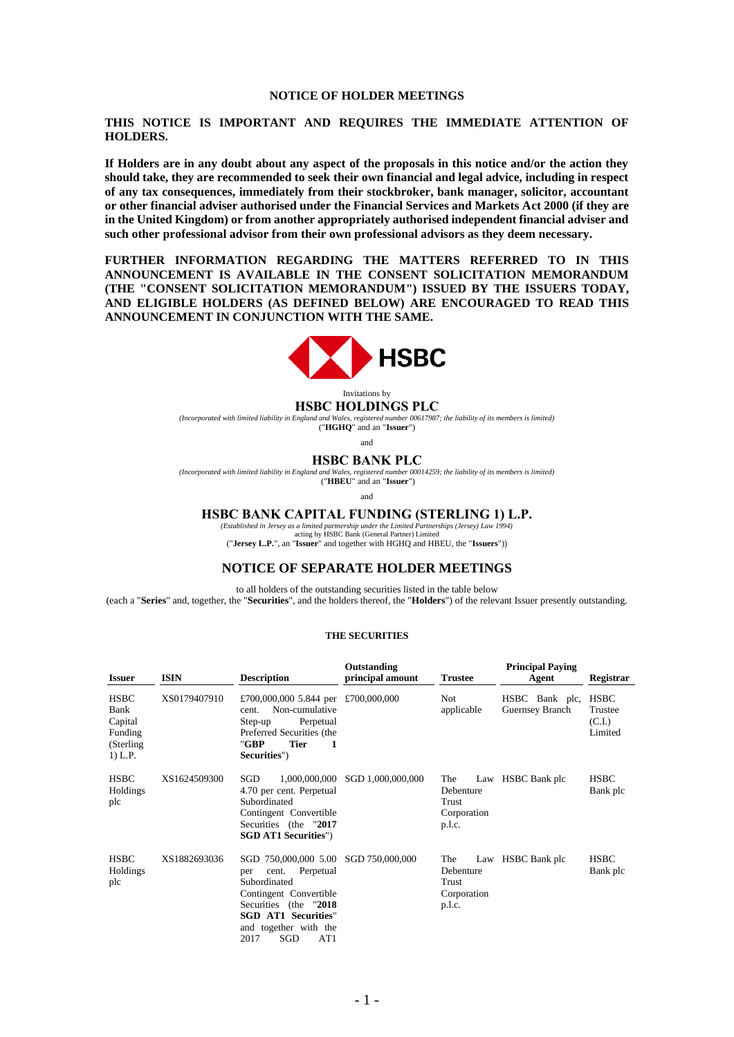#### **NOTICE OF HOLDER MEETINGS**

### **THIS NOTICE IS IMPORTANT AND REQUIRES THE IMMEDIATE ATTENTION OF HOLDERS.**

**If Holders are in any doubt about any aspect of the proposals in this notice and/or the action they should take, they are recommended to seek their own financial and legal advice, including in respect of any tax consequences, immediately from their stockbroker, bank manager, solicitor, accountant or other financial adviser authorised under the Financial Services and Markets Act 2000 (if they are in the United Kingdom) or from another appropriately authorised independent financial adviser and such other professional advisor from their own professional advisors as they deem necessary.**

**FURTHER INFORMATION REGARDING THE MATTERS REFERRED TO IN THIS ANNOUNCEMENT IS AVAILABLE IN THE CONSENT SOLICITATION MEMORANDUM (THE "CONSENT SOLICITATION MEMORANDUM") ISSUED BY THE ISSUERS TODAY, AND ELIGIBLE HOLDERS (AS DEFINED BELOW) ARE ENCOURAGED TO READ THIS ANNOUNCEMENT IN CONJUNCTION WITH THE SAME.**



#### Invitations by **HSBC HOLDINGS PLC**

*(Incorporated with limited liability in England and Wales, registered number 00617987; the liability of its members is limited)* ("**HGHQ**" and an "**Issuer**")

and

#### **HSBC BANK PLC**

*(Incorporated with limited liability in England and Wales, registered number 00014259; the liability of its members is limited)* ("**HBEU**" and an "**Issuer**")

and

#### **HSBC BANK CAPITAL FUNDING (STERLING 1) L.P.**

*(Established in Jersey as a limited partnership under the Limited Partnerships (Jersey) Law 1994)*

acting by HSBC Bank (General Partner) Limited ("**Jersey L.P.**", an "**Issuer**" and together with HGHQ and HBEU, the "**Issuers**"))

# **NOTICE OF SEPARATE HOLDER MEETINGS**

to all holders of the outstanding securities listed in the table below (each a "**Series**" and, together, the "**Securities**", and the holders thereof, the "**Holders**") of the relevant Issuer presently outstanding.

#### **THE SECURITIES**

| <b>Issuer</b>                                                        | <b>ISIN</b>  | <b>Description</b>                                                                                                                                                                                                | Outstanding<br>principal amount | <b>Trustee</b>                                            | <b>Principal Paving</b><br>Agent  | Registrar                                   |
|----------------------------------------------------------------------|--------------|-------------------------------------------------------------------------------------------------------------------------------------------------------------------------------------------------------------------|---------------------------------|-----------------------------------------------------------|-----------------------------------|---------------------------------------------|
| <b>HSBC</b><br>Bank<br>Capital<br>Funding<br>(Sterling)<br>$1)$ L.P. | XS0179407910 | £700,000,000 5.844 per £700,000,000<br>Non-cumulative<br>cent.<br>Perpetual<br>Step-up<br>Preferred Securities (the<br><b>Tier</b><br>"GBP<br>-1<br>Securities")                                                  |                                 | Not<br>applicable                                         | HSBC Bank plc,<br>Guernsey Branch | <b>HSBC</b><br>Trustee<br>(C.I.)<br>Limited |
| <b>HSBC</b><br>Holdings<br>plc                                       | XS1624509300 | SGD<br>1,000,000,000<br>4.70 per cent. Perpetual<br>Subordinated<br>Contingent Convertible<br>Securities (the "2017<br><b>SGD AT1 Securities")</b>                                                                | SGD 1,000,000,000               | The<br>Law<br>Debenture<br>Trust<br>Corporation<br>p.l.c. | HSBC Bank plc                     | <b>HSBC</b><br>Bank plc                     |
| <b>HSBC</b><br>Holdings<br>plc                                       | XS1882693036 | SGD 750,000,000 5.00 SGD 750,000,000<br>Perpetual<br>cent.<br>per<br>Subordinated<br>Contingent Convertible<br>Securities (the "2018<br><b>SGD AT1 Securities"</b><br>and together with the<br>2017<br>SGD<br>AT1 |                                 | The<br>Debenture<br>Trust<br>Corporation<br>p.l.c.        | Law HSBC Bank plc                 | <b>HSBC</b><br>Bank plc                     |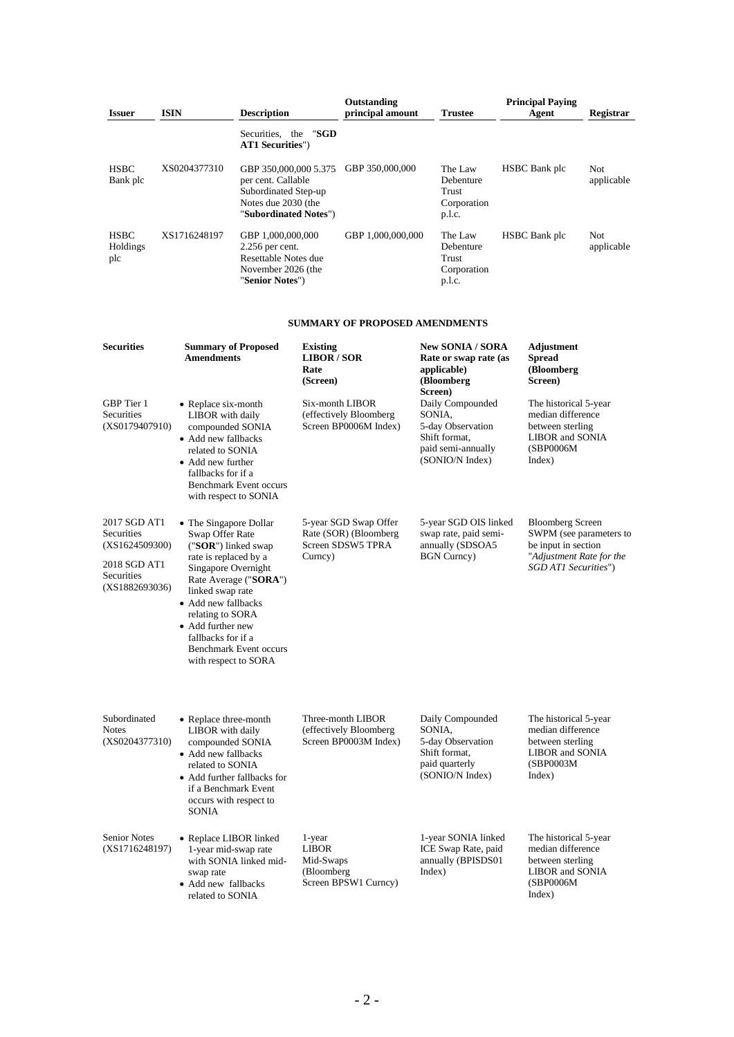|                                                                                              |                                                                                                                                                                                                                                                    | <b>Description</b>                                                                                                  |                                                   | Outstanding<br>principal amount                                      |                   |                                                                                                 | <b>Principal Paying</b>                                                                                                       |                   |
|----------------------------------------------------------------------------------------------|----------------------------------------------------------------------------------------------------------------------------------------------------------------------------------------------------------------------------------------------------|---------------------------------------------------------------------------------------------------------------------|---------------------------------------------------|----------------------------------------------------------------------|-------------------|-------------------------------------------------------------------------------------------------|-------------------------------------------------------------------------------------------------------------------------------|-------------------|
| <b>Issuer</b>                                                                                | <b>ISIN</b>                                                                                                                                                                                                                                        |                                                                                                                     |                                                   |                                                                      |                   | <b>Trustee</b>                                                                                  | Agent                                                                                                                         | Registrar         |
|                                                                                              |                                                                                                                                                                                                                                                    | Securities, the<br><b>AT1 Securities"</b> )                                                                         | "SGD                                              |                                                                      |                   |                                                                                                 |                                                                                                                               |                   |
| <b>HSBC</b><br>Bank plc                                                                      | XS0204377310                                                                                                                                                                                                                                       | GBP 350,000,000 5.375<br>per cent. Callable<br>Subordinated Step-up<br>Notes due 2030 (the<br>"Subordinated Notes") |                                                   | GBP 350,000,000                                                      |                   | The Law<br>Debenture<br>Trust<br>Corporation<br>p.l.c.                                          | HSBC Bank plc                                                                                                                 | Not<br>applicable |
| <b>HSBC</b><br>Holdings<br>plc                                                               | XS1716248197                                                                                                                                                                                                                                       | GBP 1,000,000,000<br>2.256 per cent.<br>Resettable Notes due<br>November 2026 (the<br>"Senior Notes")               |                                                   | GBP 1,000,000,000                                                    |                   | The Law<br>Debenture<br>Trust<br>Corporation<br>p.l.c.                                          | HSBC Bank plc                                                                                                                 | Not<br>applicable |
|                                                                                              |                                                                                                                                                                                                                                                    |                                                                                                                     |                                                   | <b>SUMMARY OF PROPOSED AMENDMENTS</b>                                |                   |                                                                                                 |                                                                                                                               |                   |
| <b>Securities</b>                                                                            | <b>Summary of Proposed</b><br><b>Amendments</b>                                                                                                                                                                                                    |                                                                                                                     | <b>Existing</b><br>LIBOR/SOR<br>Rate<br>(Screen)  |                                                                      |                   | <b>New SONIA / SORA</b><br>Rate or swap rate (as<br>applicable)<br>(Bloomberg                   | Adjustment<br><b>Spread</b><br>(Bloomberg<br>Screen)                                                                          |                   |
| GBP Tier 1<br>Securities<br>(XS0179407910)                                                   | • Replace six-month<br>LIBOR with daily<br>compounded SONIA<br>• Add new fallbacks<br>related to SONIA<br>• Add new further<br>fallbacks for if a                                                                                                  | Benchmark Event occurs<br>with respect to SONIA                                                                     |                                                   | Six-month LIBOR<br>(effectively Bloomberg<br>Screen BP0006M Index)   | Screen)<br>SONIA. | Daily Compounded<br>5-day Observation<br>Shift format,<br>paid semi-annually<br>(SONIO/N Index) | The historical 5-year<br>median difference<br>between sterling<br>LIBOR and SONIA<br>(SBP0006M)<br>Index)                     |                   |
| 2017 SGD AT1<br>Securities<br>(XS1624509300)<br>2018 SGD AT1<br>Securities<br>(XS1882693036) | • The Singapore Dollar<br>Swap Offer Rate<br>("SOR") linked swap<br>rate is replaced by a<br>Singapore Overnight<br>linked swap rate<br>• Add new fallbacks<br>relating to SORA<br>• Add further new<br>fallbacks for if a<br>with respect to SORA | Rate Average ("SORA")<br><b>Benchmark Event occurs</b>                                                              | Curncy)                                           | 5-year SGD Swap Offer<br>Rate (SOR) (Bloomberg<br>Screen SDSW5 TPRA  |                   | 5-year SGD OIS linked<br>swap rate, paid semi-<br>annually (SDSOA5<br><b>BGN</b> Curncy)        | <b>Bloomberg Screen</b><br>SWPM (see parameters to<br>be input in section<br>"Adjustment Rate for the<br>SGD ATI Securities") |                   |
| Subordinated<br>Notes<br>(XS0204377310)                                                      | • Replace three-month<br>LIBOR with daily<br>compounded SONIA<br>• Add new fallbacks<br>related to SONIA<br>if a Benchmark Event<br>occurs with respect to<br><b>SONIA</b>                                                                         | • Add further fallbacks for                                                                                         |                                                   | Three-month LIBOR<br>(effectively Bloomberg<br>Screen BP0003M Index) | SONIA,            | Daily Compounded<br>5-day Observation<br>Shift format,<br>paid quarterly<br>(SONIO/N Index)     | The historical 5-year<br>median difference<br>between sterling<br>LIBOR and SONIA<br>(SBP0003M)<br>Index)                     |                   |
| <b>Senior Notes</b><br>(XS1716248197)                                                        | • Replace LIBOR linked<br>1-year mid-swap rate<br>swap rate<br>• Add new fallbacks<br>related to SONIA                                                                                                                                             | with SONIA linked mid-                                                                                              | 1-year<br><b>LIBOR</b><br>Mid-Swaps<br>(Bloomberg | Screen BPSW1 Curncy)                                                 | Index)            | 1-year SONIA linked<br>ICE Swap Rate, paid<br>annually (BPISDS01                                | The historical 5-year<br>median difference<br>between sterling<br><b>LIBOR</b> and SONIA<br>(SBP0006M)<br>Index)              |                   |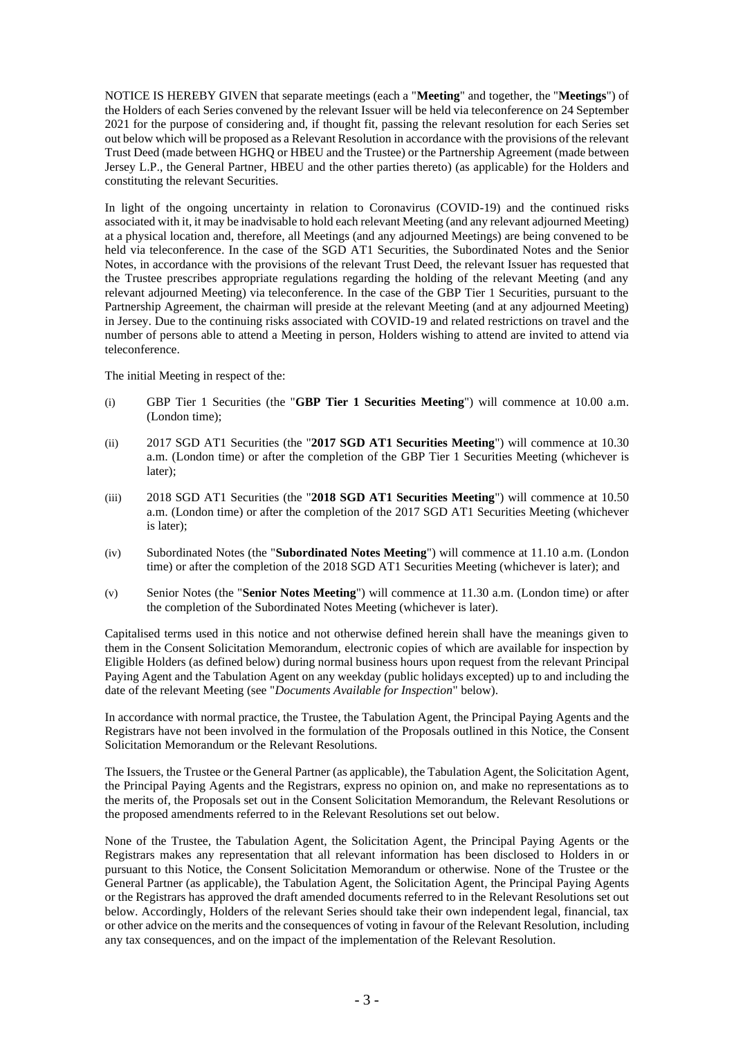NOTICE IS HEREBY GIVEN that separate meetings (each a "**Meeting**" and together, the "**Meetings**") of the Holders of each Series convened by the relevant Issuer will be held via teleconference on 24 September 2021 for the purpose of considering and, if thought fit, passing the relevant resolution for each Series set out below which will be proposed as a Relevant Resolution in accordance with the provisions of the relevant Trust Deed (made between HGHQ or HBEU and the Trustee) or the Partnership Agreement (made between Jersey L.P., the General Partner, HBEU and the other parties thereto) (as applicable) for the Holders and constituting the relevant Securities.

In light of the ongoing uncertainty in relation to Coronavirus (COVID-19) and the continued risks associated with it, it may be inadvisable to hold each relevant Meeting (and any relevant adjourned Meeting) at a physical location and, therefore, all Meetings (and any adjourned Meetings) are being convened to be held via teleconference. In the case of the SGD AT1 Securities, the Subordinated Notes and the Senior Notes, in accordance with the provisions of the relevant Trust Deed, the relevant Issuer has requested that the Trustee prescribes appropriate regulations regarding the holding of the relevant Meeting (and any relevant adjourned Meeting) via teleconference. In the case of the GBP Tier 1 Securities, pursuant to the Partnership Agreement, the chairman will preside at the relevant Meeting (and at any adjourned Meeting) in Jersey. Due to the continuing risks associated with COVID-19 and related restrictions on travel and the number of persons able to attend a Meeting in person, Holders wishing to attend are invited to attend via teleconference.

The initial Meeting in respect of the:

- (i) GBP Tier 1 Securities (the "**GBP Tier 1 Securities Meeting**") will commence at 10.00 a.m. (London time);
- (ii) 2017 SGD AT1 Securities (the "**2017 SGD AT1 Securities Meeting**") will commence at 10.30 a.m. (London time) or after the completion of the GBP Tier 1 Securities Meeting (whichever is later);
- (iii) 2018 SGD AT1 Securities (the "**2018 SGD AT1 Securities Meeting**") will commence at 10.50 a.m. (London time) or after the completion of the 2017 SGD AT1 Securities Meeting (whichever is later);
- (iv) Subordinated Notes (the "**Subordinated Notes Meeting**") will commence at 11.10 a.m. (London time) or after the completion of the 2018 SGD AT1 Securities Meeting (whichever is later); and
- (v) Senior Notes (the "**Senior Notes Meeting**") will commence at 11.30 a.m. (London time) or after the completion of the Subordinated Notes Meeting (whichever is later).

Capitalised terms used in this notice and not otherwise defined herein shall have the meanings given to them in the Consent Solicitation Memorandum, electronic copies of which are available for inspection by Eligible Holders (as defined below) during normal business hours upon request from the relevant Principal Paying Agent and the Tabulation Agent on any weekday (public holidays excepted) up to and including the date of the relevant Meeting (see "*Documents Available for Inspection*" below).

In accordance with normal practice, the Trustee, the Tabulation Agent, the Principal Paying Agents and the Registrars have not been involved in the formulation of the Proposals outlined in this Notice, the Consent Solicitation Memorandum or the Relevant Resolutions.

The Issuers, the Trustee or the General Partner (as applicable), the Tabulation Agent, the Solicitation Agent, the Principal Paying Agents and the Registrars, express no opinion on, and make no representations as to the merits of, the Proposals set out in the Consent Solicitation Memorandum, the Relevant Resolutions or the proposed amendments referred to in the Relevant Resolutions set out below.

None of the Trustee, the Tabulation Agent, the Solicitation Agent, the Principal Paying Agents or the Registrars makes any representation that all relevant information has been disclosed to Holders in or pursuant to this Notice, the Consent Solicitation Memorandum or otherwise. None of the Trustee or the General Partner (as applicable), the Tabulation Agent, the Solicitation Agent, the Principal Paying Agents or the Registrars has approved the draft amended documents referred to in the Relevant Resolutions set out below. Accordingly, Holders of the relevant Series should take their own independent legal, financial, tax or other advice on the merits and the consequences of voting in favour of the Relevant Resolution, including any tax consequences, and on the impact of the implementation of the Relevant Resolution.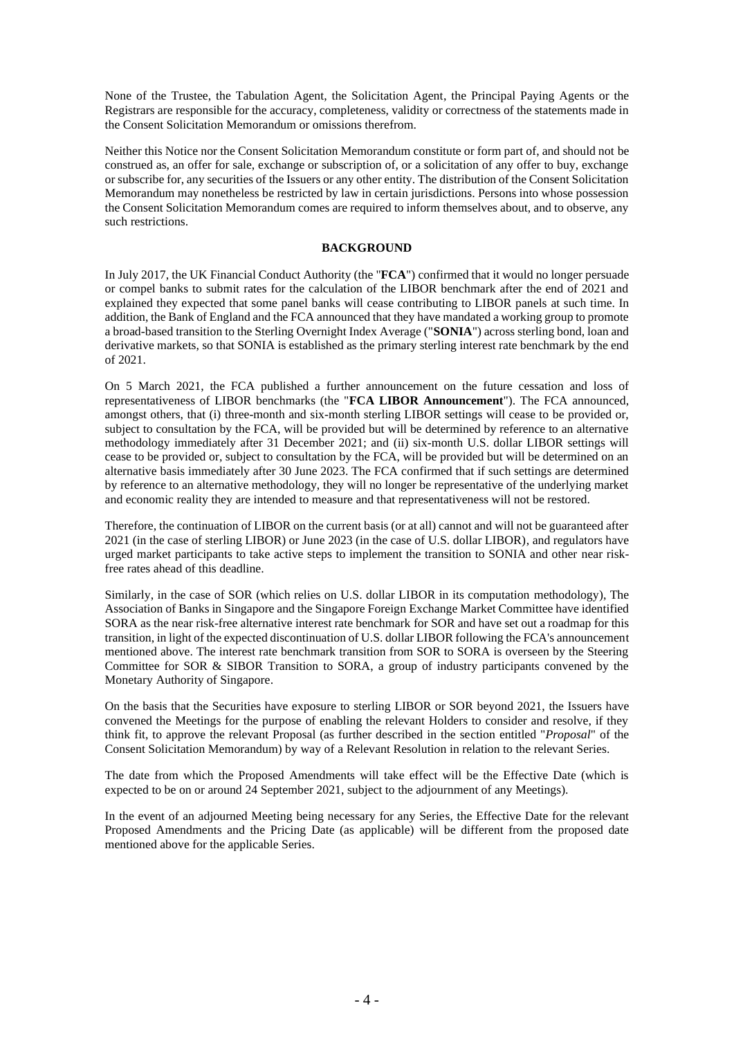None of the Trustee, the Tabulation Agent, the Solicitation Agent, the Principal Paying Agents or the Registrars are responsible for the accuracy, completeness, validity or correctness of the statements made in the Consent Solicitation Memorandum or omissions therefrom.

Neither this Notice nor the Consent Solicitation Memorandum constitute or form part of, and should not be construed as, an offer for sale, exchange or subscription of, or a solicitation of any offer to buy, exchange or subscribe for, any securities of the Issuers or any other entity. The distribution of the Consent Solicitation Memorandum may nonetheless be restricted by law in certain jurisdictions. Persons into whose possession the Consent Solicitation Memorandum comes are required to inform themselves about, and to observe, any such restrictions.

### **BACKGROUND**

In July 2017, the UK Financial Conduct Authority (the "**FCA**") confirmed that it would no longer persuade or compel banks to submit rates for the calculation of the LIBOR benchmark after the end of 2021 and explained they expected that some panel banks will cease contributing to LIBOR panels at such time. In addition, the Bank of England and the FCA announced that they have mandated a working group to promote a broad-based transition to the Sterling Overnight Index Average ("**SONIA**") across sterling bond, loan and derivative markets, so that SONIA is established as the primary sterling interest rate benchmark by the end of 2021.

On 5 March 2021, the FCA published a further announcement on the future cessation and loss of representativeness of LIBOR benchmarks (the "**FCA LIBOR Announcement**"). The FCA announced, amongst others, that (i) three-month and six-month sterling LIBOR settings will cease to be provided or, subject to consultation by the FCA, will be provided but will be determined by reference to an alternative methodology immediately after 31 December 2021; and (ii) six-month U.S. dollar LIBOR settings will cease to be provided or, subject to consultation by the FCA, will be provided but will be determined on an alternative basis immediately after 30 June 2023. The FCA confirmed that if such settings are determined by reference to an alternative methodology, they will no longer be representative of the underlying market and economic reality they are intended to measure and that representativeness will not be restored.

Therefore, the continuation of LIBOR on the current basis (or at all) cannot and will not be guaranteed after 2021 (in the case of sterling LIBOR) or June 2023 (in the case of U.S. dollar LIBOR), and regulators have urged market participants to take active steps to implement the transition to SONIA and other near riskfree rates ahead of this deadline.

Similarly, in the case of SOR (which relies on U.S. dollar LIBOR in its computation methodology), The Association of Banks in Singapore and the Singapore Foreign Exchange Market Committee have identified SORA as the near risk-free alternative interest rate benchmark for SOR and have set out a roadmap for this transition, in light of the expected discontinuation of U.S. dollar LIBOR following the FCA's announcement mentioned above. The interest rate benchmark transition from SOR to SORA is overseen by the Steering Committee for SOR & SIBOR Transition to SORA, a group of industry participants convened by the Monetary Authority of Singapore.

On the basis that the Securities have exposure to sterling LIBOR or SOR beyond 2021, the Issuers have convened the Meetings for the purpose of enabling the relevant Holders to consider and resolve, if they think fit, to approve the relevant Proposal (as further described in the section entitled "*Proposal*" of the Consent Solicitation Memorandum) by way of a Relevant Resolution in relation to the relevant Series.

The date from which the Proposed Amendments will take effect will be the Effective Date (which is expected to be on or around 24 September 2021, subject to the adjournment of any Meetings).

In the event of an adjourned Meeting being necessary for any Series, the Effective Date for the relevant Proposed Amendments and the Pricing Date (as applicable) will be different from the proposed date mentioned above for the applicable Series.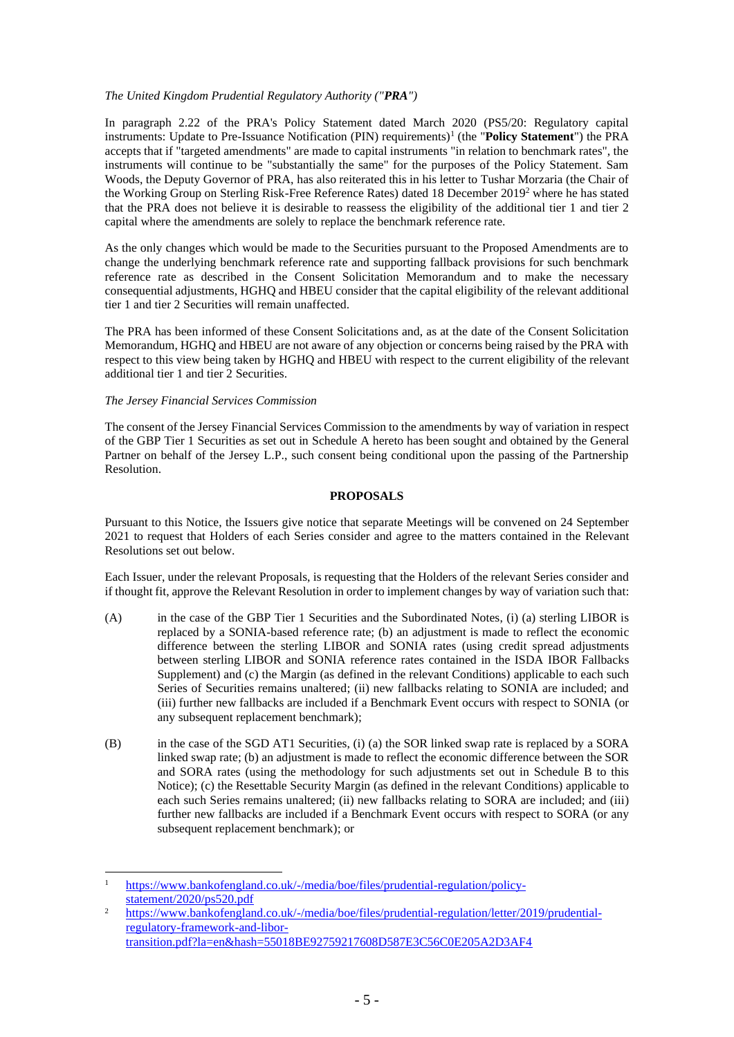## *The United Kingdom Prudential Regulatory Authority ("PRA")*

In paragraph 2.22 of the PRA's Policy Statement dated March 2020 (PS5/20: Regulatory capital instruments: Update to Pre-Issuance Notification (PIN) requirements)<sup>1</sup> (the "Policy Statement") the PRA accepts that if "targeted amendments" are made to capital instruments "in relation to benchmark rates", the instruments will continue to be "substantially the same" for the purposes of the Policy Statement. Sam Woods, the Deputy Governor of PRA, has also reiterated this in his letter to Tushar Morzaria (the Chair of the Working Group on Sterling Risk-Free Reference Rates) dated 18 December 2019<sup>2</sup> where he has stated that the PRA does not believe it is desirable to reassess the eligibility of the additional tier 1 and tier 2 capital where the amendments are solely to replace the benchmark reference rate.

As the only changes which would be made to the Securities pursuant to the Proposed Amendments are to change the underlying benchmark reference rate and supporting fallback provisions for such benchmark reference rate as described in the Consent Solicitation Memorandum and to make the necessary consequential adjustments, HGHQ and HBEU consider that the capital eligibility of the relevant additional tier 1 and tier 2 Securities will remain unaffected.

The PRA has been informed of these Consent Solicitations and, as at the date of the Consent Solicitation Memorandum, HGHQ and HBEU are not aware of any objection or concerns being raised by the PRA with respect to this view being taken by HGHQ and HBEU with respect to the current eligibility of the relevant additional tier 1 and tier 2 Securities.

### *The Jersey Financial Services Commission*

The consent of the Jersey Financial Services Commission to the amendments by way of variation in respect of the GBP Tier 1 Securities as set out in Schedule A hereto has been sought and obtained by the General Partner on behalf of the Jersey L.P., such consent being conditional upon the passing of the Partnership Resolution.

## **PROPOSALS**

Pursuant to this Notice, the Issuers give notice that separate Meetings will be convened on 24 September 2021 to request that Holders of each Series consider and agree to the matters contained in the Relevant Resolutions set out below.

Each Issuer, under the relevant Proposals, is requesting that the Holders of the relevant Series consider and if thought fit, approve the Relevant Resolution in order to implement changes by way of variation such that:

- (A) in the case of the GBP Tier 1 Securities and the Subordinated Notes, (i) (a) sterling LIBOR is replaced by a SONIA-based reference rate; (b) an adjustment is made to reflect the economic difference between the sterling LIBOR and SONIA rates (using credit spread adjustments between sterling LIBOR and SONIA reference rates contained in the ISDA IBOR Fallbacks Supplement) and (c) the Margin (as defined in the relevant Conditions) applicable to each such Series of Securities remains unaltered; (ii) new fallbacks relating to SONIA are included; and (iii) further new fallbacks are included if a Benchmark Event occurs with respect to SONIA (or any subsequent replacement benchmark);
- (B) in the case of the SGD AT1 Securities, (i) (a) the SOR linked swap rate is replaced by a SORA linked swap rate; (b) an adjustment is made to reflect the economic difference between the SOR and SORA rates (using the methodology for such adjustments set out in Schedule B to this Notice); (c) the Resettable Security Margin (as defined in the relevant Conditions) applicable to each such Series remains unaltered; (ii) new fallbacks relating to SORA are included; and (iii) further new fallbacks are included if a Benchmark Event occurs with respect to SORA (or any subsequent replacement benchmark); or

<sup>1</sup> [https://www.bankofengland.co.uk/-/media/boe/files/prudential-regulation/policy](https://www.bankofengland.co.uk/-/media/boe/files/prudential-regulation/policy-statement/2020/ps520.pdf)[statement/2020/ps520.pdf](https://www.bankofengland.co.uk/-/media/boe/files/prudential-regulation/policy-statement/2020/ps520.pdf)

<sup>2</sup> [https://www.bankofengland.co.uk/-/media/boe/files/prudential-regulation/letter/2019/prudential](https://www.bankofengland.co.uk/-/media/boe/files/prudential-regulation/letter/2019/prudential-regulatory-framework-and-libor-transition.pdf?la=en&hash=55018BE92759217608D587E3C56C0E205A2D3AF4)[regulatory-framework-and-libor](https://www.bankofengland.co.uk/-/media/boe/files/prudential-regulation/letter/2019/prudential-regulatory-framework-and-libor-transition.pdf?la=en&hash=55018BE92759217608D587E3C56C0E205A2D3AF4)[transition.pdf?la=en&hash=55018BE92759217608D587E3C56C0E205A2D3AF4](https://www.bankofengland.co.uk/-/media/boe/files/prudential-regulation/letter/2019/prudential-regulatory-framework-and-libor-transition.pdf?la=en&hash=55018BE92759217608D587E3C56C0E205A2D3AF4)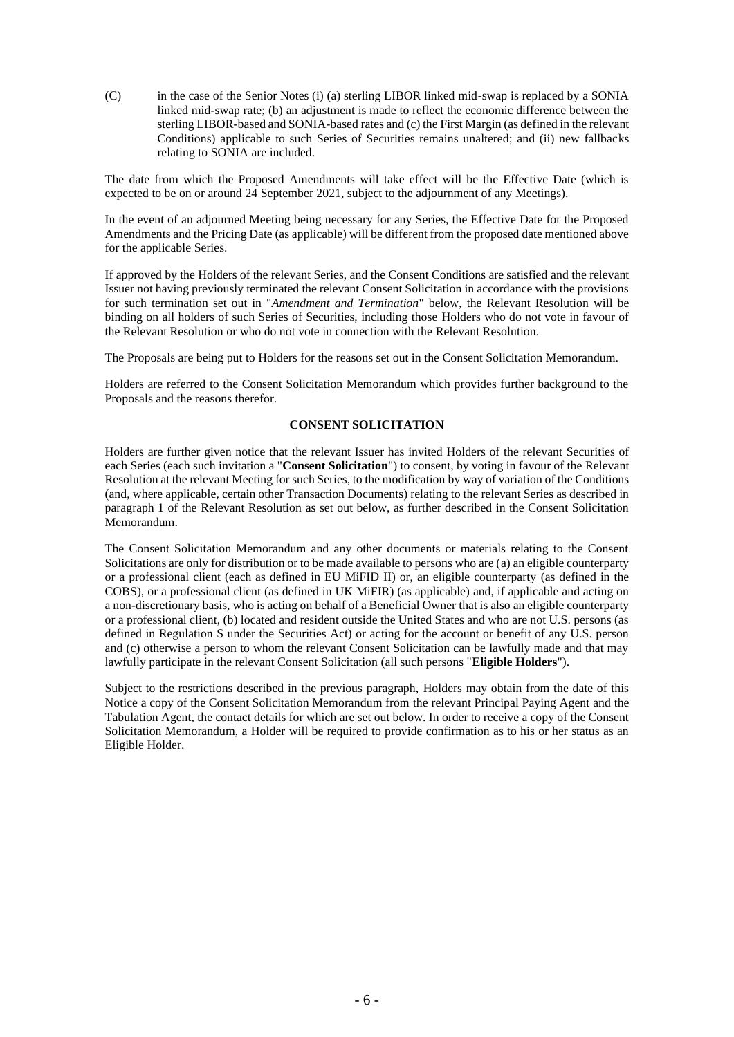(C) in the case of the Senior Notes (i) (a) sterling LIBOR linked mid-swap is replaced by a SONIA linked mid-swap rate; (b) an adjustment is made to reflect the economic difference between the sterling LIBOR-based and SONIA-based rates and (c) the First Margin (as defined in the relevant Conditions) applicable to such Series of Securities remains unaltered; and (ii) new fallbacks relating to SONIA are included.

The date from which the Proposed Amendments will take effect will be the Effective Date (which is expected to be on or around 24 September 2021, subject to the adjournment of any Meetings).

In the event of an adjourned Meeting being necessary for any Series, the Effective Date for the Proposed Amendments and the Pricing Date (as applicable) will be different from the proposed date mentioned above for the applicable Series.

If approved by the Holders of the relevant Series, and the Consent Conditions are satisfied and the relevant Issuer not having previously terminated the relevant Consent Solicitation in accordance with the provisions for such termination set out in "*Amendment and Termination*" below, the Relevant Resolution will be binding on all holders of such Series of Securities, including those Holders who do not vote in favour of the Relevant Resolution or who do not vote in connection with the Relevant Resolution.

The Proposals are being put to Holders for the reasons set out in the Consent Solicitation Memorandum.

Holders are referred to the Consent Solicitation Memorandum which provides further background to the Proposals and the reasons therefor.

### **CONSENT SOLICITATION**

Holders are further given notice that the relevant Issuer has invited Holders of the relevant Securities of each Series (each such invitation a "**Consent Solicitation**") to consent, by voting in favour of the Relevant Resolution at the relevant Meeting for such Series, to the modification by way of variation of the Conditions (and, where applicable, certain other Transaction Documents) relating to the relevant Series as described in paragraph 1 of the Relevant Resolution as set out below, as further described in the Consent Solicitation Memorandum.

The Consent Solicitation Memorandum and any other documents or materials relating to the Consent Solicitations are only for distribution or to be made available to persons who are (a) an eligible counterparty or a professional client (each as defined in EU MiFID II) or, an eligible counterparty (as defined in the COBS), or a professional client (as defined in UK MiFIR) (as applicable) and, if applicable and acting on a non-discretionary basis, who is acting on behalf of a Beneficial Owner that is also an eligible counterparty or a professional client, (b) located and resident outside the United States and who are not U.S. persons (as defined in Regulation S under the Securities Act) or acting for the account or benefit of any U.S. person and (c) otherwise a person to whom the relevant Consent Solicitation can be lawfully made and that may lawfully participate in the relevant Consent Solicitation (all such persons "**Eligible Holders**").

Subject to the restrictions described in the previous paragraph, Holders may obtain from the date of this Notice a copy of the Consent Solicitation Memorandum from the relevant Principal Paying Agent and the Tabulation Agent, the contact details for which are set out below. In order to receive a copy of the Consent Solicitation Memorandum, a Holder will be required to provide confirmation as to his or her status as an Eligible Holder.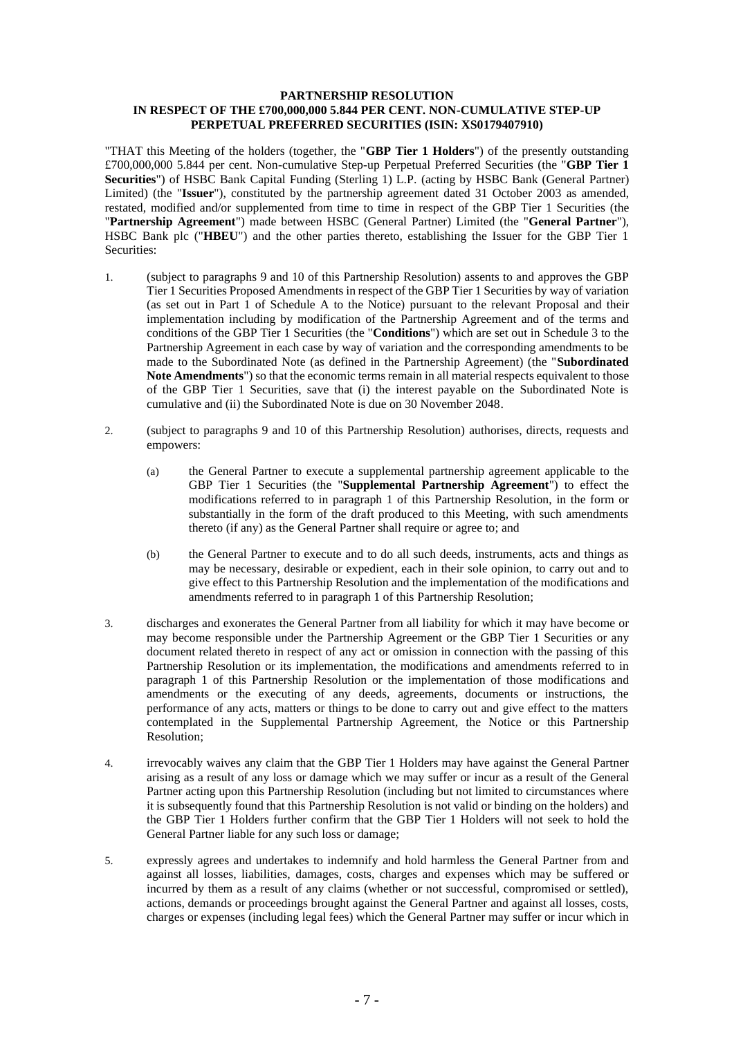### **PARTNERSHIP RESOLUTION IN RESPECT OF THE £700,000,000 5.844 PER CENT. NON-CUMULATIVE STEP-UP PERPETUAL PREFERRED SECURITIES (ISIN: XS0179407910)**

"THAT this Meeting of the holders (together, the "**GBP Tier 1 Holders**") of the presently outstanding £700,000,000 5.844 per cent. Non-cumulative Step-up Perpetual Preferred Securities (the "**GBP Tier 1 Securities**") of HSBC Bank Capital Funding (Sterling 1) L.P. (acting by HSBC Bank (General Partner) Limited) (the "**Issuer**"), constituted by the partnership agreement dated 31 October 2003 as amended, restated, modified and/or supplemented from time to time in respect of the GBP Tier 1 Securities (the "**Partnership Agreement**") made between HSBC (General Partner) Limited (the "**General Partner**"), HSBC Bank plc ("**HBEU**") and the other parties thereto, establishing the Issuer for the GBP Tier 1 Securities:

- 1. (subject to paragraphs 9 and 10 of this Partnership Resolution) assents to and approves the GBP Tier 1 Securities Proposed Amendments in respect of the GBP Tier 1 Securities by way of variation (as set out in Part 1 of Schedule A to the Notice) pursuant to the relevant Proposal and their implementation including by modification of the Partnership Agreement and of the terms and conditions of the GBP Tier 1 Securities (the "**Conditions**") which are set out in Schedule 3 to the Partnership Agreement in each case by way of variation and the corresponding amendments to be made to the Subordinated Note (as defined in the Partnership Agreement) (the "**Subordinated Note Amendments**") so that the economic terms remain in all material respects equivalent to those of the GBP Tier 1 Securities, save that (i) the interest payable on the Subordinated Note is cumulative and (ii) the Subordinated Note is due on 30 November 2048.
- 2. (subject to paragraphs 9 and 10 of this Partnership Resolution) authorises, directs, requests and empowers:
	- (a) the General Partner to execute a supplemental partnership agreement applicable to the GBP Tier 1 Securities (the "**Supplemental Partnership Agreement**") to effect the modifications referred to in paragraph 1 of this Partnership Resolution, in the form or substantially in the form of the draft produced to this Meeting, with such amendments thereto (if any) as the General Partner shall require or agree to; and
	- (b) the General Partner to execute and to do all such deeds, instruments, acts and things as may be necessary, desirable or expedient, each in their sole opinion, to carry out and to give effect to this Partnership Resolution and the implementation of the modifications and amendments referred to in paragraph 1 of this Partnership Resolution;
- 3. discharges and exonerates the General Partner from all liability for which it may have become or may become responsible under the Partnership Agreement or the GBP Tier 1 Securities or any document related thereto in respect of any act or omission in connection with the passing of this Partnership Resolution or its implementation, the modifications and amendments referred to in paragraph 1 of this Partnership Resolution or the implementation of those modifications and amendments or the executing of any deeds, agreements, documents or instructions, the performance of any acts, matters or things to be done to carry out and give effect to the matters contemplated in the Supplemental Partnership Agreement, the Notice or this Partnership Resolution;
- 4. irrevocably waives any claim that the GBP Tier 1 Holders may have against the General Partner arising as a result of any loss or damage which we may suffer or incur as a result of the General Partner acting upon this Partnership Resolution (including but not limited to circumstances where it is subsequently found that this Partnership Resolution is not valid or binding on the holders) and the GBP Tier 1 Holders further confirm that the GBP Tier 1 Holders will not seek to hold the General Partner liable for any such loss or damage;
- 5. expressly agrees and undertakes to indemnify and hold harmless the General Partner from and against all losses, liabilities, damages, costs, charges and expenses which may be suffered or incurred by them as a result of any claims (whether or not successful, compromised or settled), actions, demands or proceedings brought against the General Partner and against all losses, costs, charges or expenses (including legal fees) which the General Partner may suffer or incur which in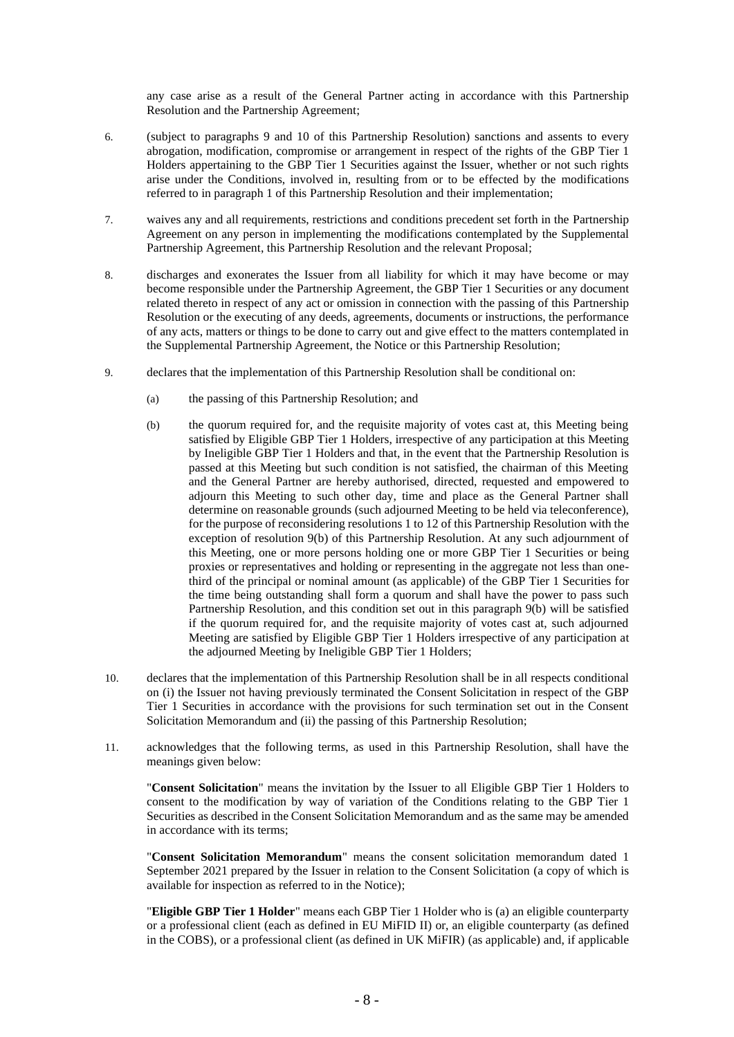any case arise as a result of the General Partner acting in accordance with this Partnership Resolution and the Partnership Agreement;

- 6. (subject to paragraphs 9 and 10 of this Partnership Resolution) sanctions and assents to every abrogation, modification, compromise or arrangement in respect of the rights of the GBP Tier 1 Holders appertaining to the GBP Tier 1 Securities against the Issuer, whether or not such rights arise under the Conditions, involved in, resulting from or to be effected by the modifications referred to in paragraph 1 of this Partnership Resolution and their implementation;
- 7. waives any and all requirements, restrictions and conditions precedent set forth in the Partnership Agreement on any person in implementing the modifications contemplated by the Supplemental Partnership Agreement, this Partnership Resolution and the relevant Proposal;
- 8. discharges and exonerates the Issuer from all liability for which it may have become or may become responsible under the Partnership Agreement, the GBP Tier 1 Securities or any document related thereto in respect of any act or omission in connection with the passing of this Partnership Resolution or the executing of any deeds, agreements, documents or instructions, the performance of any acts, matters or things to be done to carry out and give effect to the matters contemplated in the Supplemental Partnership Agreement, the Notice or this Partnership Resolution;
- 9. declares that the implementation of this Partnership Resolution shall be conditional on:
	- (a) the passing of this Partnership Resolution; and
	- (b) the quorum required for, and the requisite majority of votes cast at, this Meeting being satisfied by Eligible GBP Tier 1 Holders, irrespective of any participation at this Meeting by Ineligible GBP Tier 1 Holders and that, in the event that the Partnership Resolution is passed at this Meeting but such condition is not satisfied, the chairman of this Meeting and the General Partner are hereby authorised, directed, requested and empowered to adjourn this Meeting to such other day, time and place as the General Partner shall determine on reasonable grounds (such adjourned Meeting to be held via teleconference), for the purpose of reconsidering resolutions 1 to 12 of this Partnership Resolution with the exception of resolution 9(b) of this Partnership Resolution. At any such adjournment of this Meeting, one or more persons holding one or more GBP Tier 1 Securities or being proxies or representatives and holding or representing in the aggregate not less than onethird of the principal or nominal amount (as applicable) of the GBP Tier 1 Securities for the time being outstanding shall form a quorum and shall have the power to pass such Partnership Resolution, and this condition set out in this paragraph 9(b) will be satisfied if the quorum required for, and the requisite majority of votes cast at, such adjourned Meeting are satisfied by Eligible GBP Tier 1 Holders irrespective of any participation at the adjourned Meeting by Ineligible GBP Tier 1 Holders;
- 10. declares that the implementation of this Partnership Resolution shall be in all respects conditional on (i) the Issuer not having previously terminated the Consent Solicitation in respect of the GBP Tier 1 Securities in accordance with the provisions for such termination set out in the Consent Solicitation Memorandum and (ii) the passing of this Partnership Resolution;
- 11. acknowledges that the following terms, as used in this Partnership Resolution, shall have the meanings given below:

"**Consent Solicitation**" means the invitation by the Issuer to all Eligible GBP Tier 1 Holders to consent to the modification by way of variation of the Conditions relating to the GBP Tier 1 Securities as described in the Consent Solicitation Memorandum and as the same may be amended in accordance with its terms;

"**Consent Solicitation Memorandum**" means the consent solicitation memorandum dated 1 September 2021 prepared by the Issuer in relation to the Consent Solicitation (a copy of which is available for inspection as referred to in the Notice);

"**Eligible GBP Tier 1 Holder**" means each GBP Tier 1 Holder who is (a) an eligible counterparty or a professional client (each as defined in EU MiFID II) or, an eligible counterparty (as defined in the COBS), or a professional client (as defined in UK MiFIR) (as applicable) and, if applicable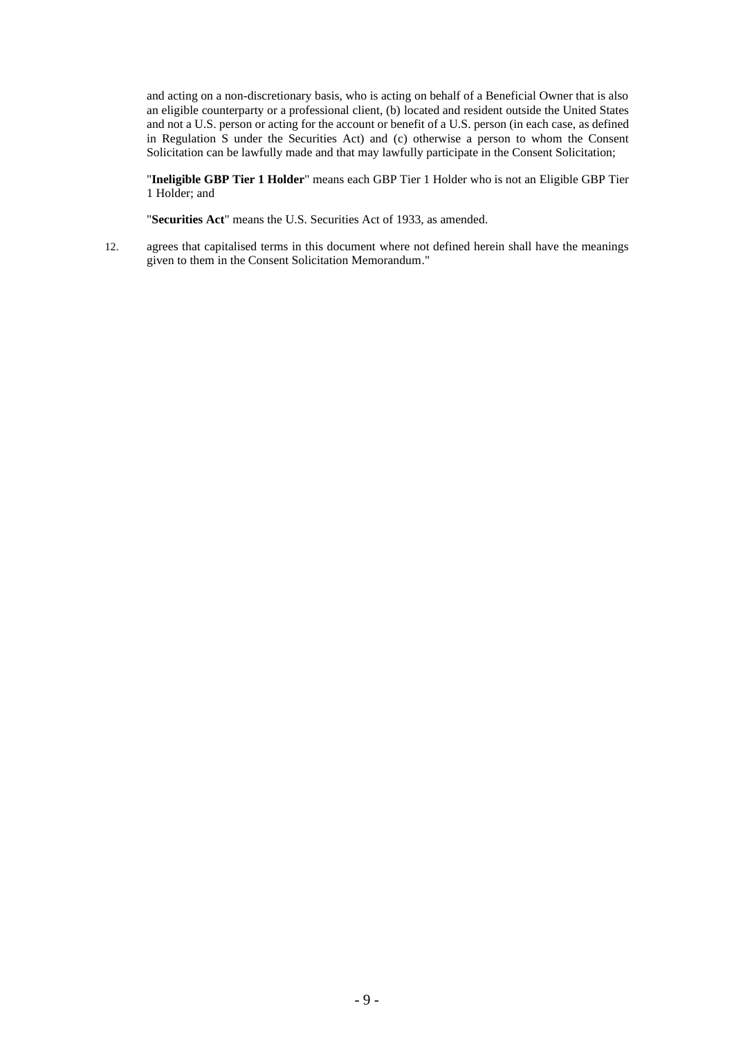and acting on a non-discretionary basis, who is acting on behalf of a Beneficial Owner that is also an eligible counterparty or a professional client, (b) located and resident outside the United States and not a U.S. person or acting for the account or benefit of a U.S. person (in each case, as defined in Regulation S under the Securities Act) and (c) otherwise a person to whom the Consent Solicitation can be lawfully made and that may lawfully participate in the Consent Solicitation;

"**Ineligible GBP Tier 1 Holder**" means each GBP Tier 1 Holder who is not an Eligible GBP Tier 1 Holder; and

"**Securities Act**" means the U.S. Securities Act of 1933, as amended.

12. agrees that capitalised terms in this document where not defined herein shall have the meanings given to them in the Consent Solicitation Memorandum."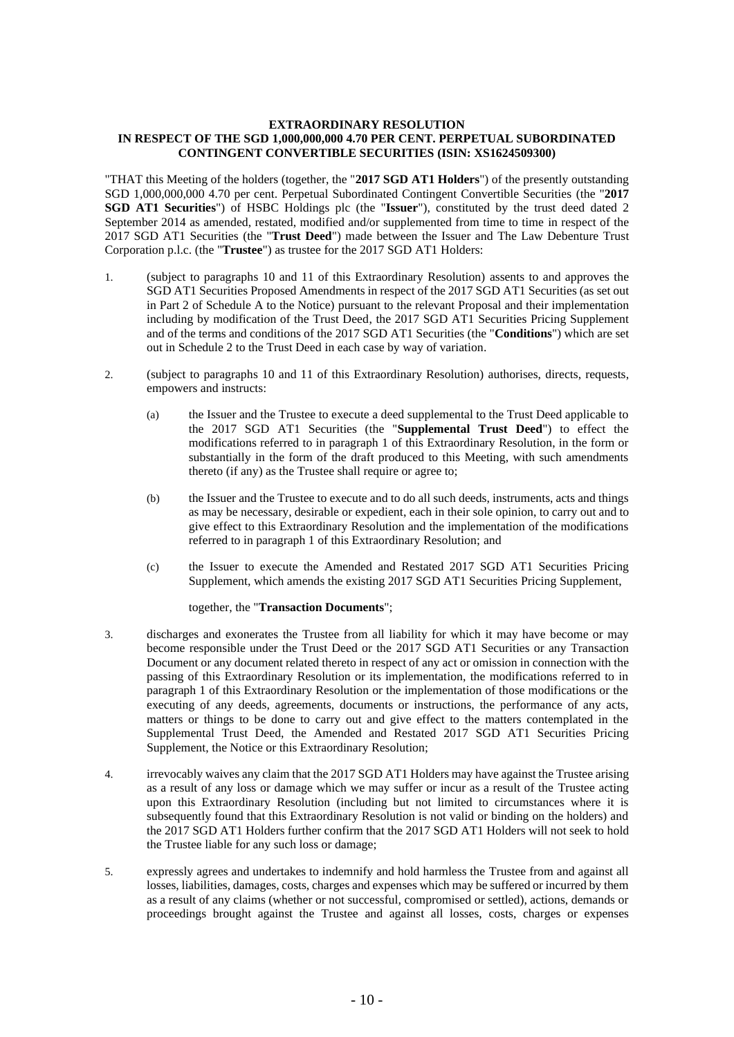### **EXTRAORDINARY RESOLUTION IN RESPECT OF THE SGD 1,000,000,000 4.70 PER CENT. PERPETUAL SUBORDINATED CONTINGENT CONVERTIBLE SECURITIES (ISIN: XS1624509300)**

"THAT this Meeting of the holders (together, the "**2017 SGD AT1 Holders**") of the presently outstanding SGD 1,000,000,000 4.70 per cent. Perpetual Subordinated Contingent Convertible Securities (the "**2017 SGD AT1 Securities**") of HSBC Holdings plc (the "**Issuer**"), constituted by the trust deed dated 2 September 2014 as amended, restated, modified and/or supplemented from time to time in respect of the 2017 SGD AT1 Securities (the "**Trust Deed**") made between the Issuer and The Law Debenture Trust Corporation p.l.c. (the "**Trustee**") as trustee for the 2017 SGD AT1 Holders:

- 1. (subject to paragraphs 10 and 11 of this Extraordinary Resolution) assents to and approves the SGD AT1 Securities Proposed Amendments in respect of the 2017 SGD AT1 Securities (as set out in Part 2 of Schedule A to the Notice) pursuant to the relevant Proposal and their implementation including by modification of the Trust Deed, the 2017 SGD AT1 Securities Pricing Supplement and of the terms and conditions of the 2017 SGD AT1 Securities (the "**Conditions**") which are set out in Schedule 2 to the Trust Deed in each case by way of variation.
- 2. (subject to paragraphs 10 and 11 of this Extraordinary Resolution) authorises, directs, requests, empowers and instructs:
	- (a) the Issuer and the Trustee to execute a deed supplemental to the Trust Deed applicable to the 2017 SGD AT1 Securities (the "**Supplemental Trust Deed**") to effect the modifications referred to in paragraph 1 of this Extraordinary Resolution, in the form or substantially in the form of the draft produced to this Meeting, with such amendments thereto (if any) as the Trustee shall require or agree to;
	- (b) the Issuer and the Trustee to execute and to do all such deeds, instruments, acts and things as may be necessary, desirable or expedient, each in their sole opinion, to carry out and to give effect to this Extraordinary Resolution and the implementation of the modifications referred to in paragraph 1 of this Extraordinary Resolution; and
	- (c) the Issuer to execute the Amended and Restated 2017 SGD AT1 Securities Pricing Supplement, which amends the existing 2017 SGD AT1 Securities Pricing Supplement,

together, the "**Transaction Documents**";

- 3. discharges and exonerates the Trustee from all liability for which it may have become or may become responsible under the Trust Deed or the 2017 SGD AT1 Securities or any Transaction Document or any document related thereto in respect of any act or omission in connection with the passing of this Extraordinary Resolution or its implementation, the modifications referred to in paragraph 1 of this Extraordinary Resolution or the implementation of those modifications or the executing of any deeds, agreements, documents or instructions, the performance of any acts, matters or things to be done to carry out and give effect to the matters contemplated in the Supplemental Trust Deed, the Amended and Restated 2017 SGD AT1 Securities Pricing Supplement, the Notice or this Extraordinary Resolution;
- 4. irrevocably waives any claim that the 2017 SGD AT1 Holders may have against the Trustee arising as a result of any loss or damage which we may suffer or incur as a result of the Trustee acting upon this Extraordinary Resolution (including but not limited to circumstances where it is subsequently found that this Extraordinary Resolution is not valid or binding on the holders) and the 2017 SGD AT1 Holders further confirm that the 2017 SGD AT1 Holders will not seek to hold the Trustee liable for any such loss or damage;
- 5. expressly agrees and undertakes to indemnify and hold harmless the Trustee from and against all losses, liabilities, damages, costs, charges and expenses which may be suffered or incurred by them as a result of any claims (whether or not successful, compromised or settled), actions, demands or proceedings brought against the Trustee and against all losses, costs, charges or expenses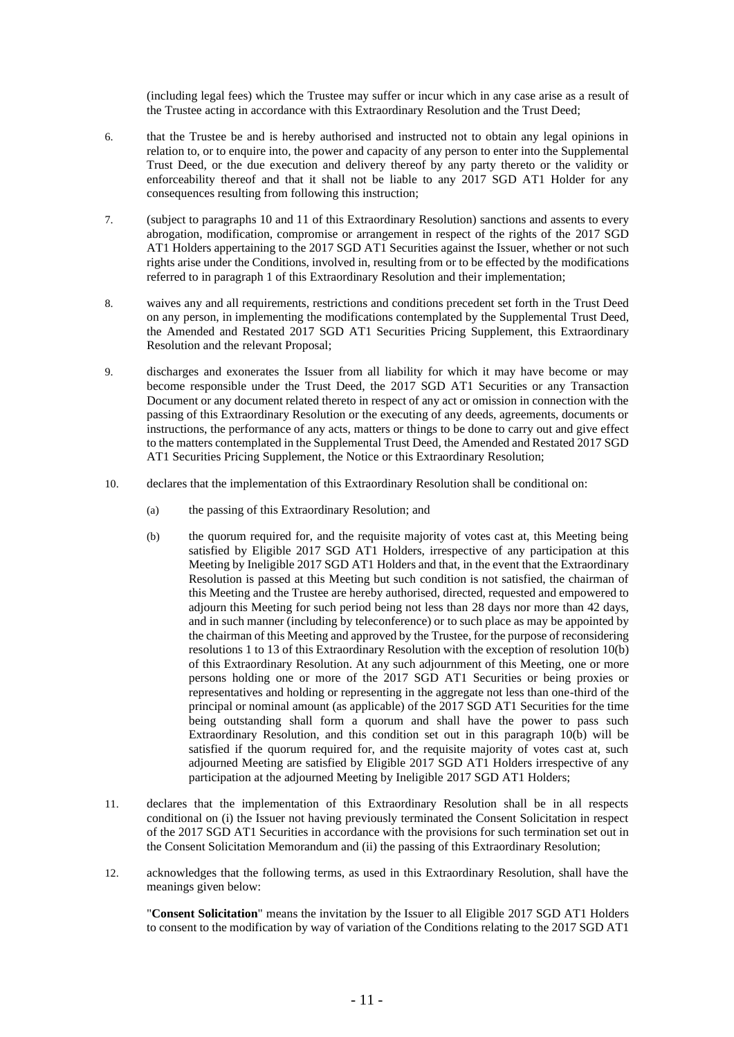(including legal fees) which the Trustee may suffer or incur which in any case arise as a result of the Trustee acting in accordance with this Extraordinary Resolution and the Trust Deed;

- 6. that the Trustee be and is hereby authorised and instructed not to obtain any legal opinions in relation to, or to enquire into, the power and capacity of any person to enter into the Supplemental Trust Deed, or the due execution and delivery thereof by any party thereto or the validity or enforceability thereof and that it shall not be liable to any 2017 SGD AT1 Holder for any consequences resulting from following this instruction;
- 7. (subject to paragraphs 10 and 11 of this Extraordinary Resolution) sanctions and assents to every abrogation, modification, compromise or arrangement in respect of the rights of the 2017 SGD AT1 Holders appertaining to the 2017 SGD AT1 Securities against the Issuer, whether or not such rights arise under the Conditions, involved in, resulting from or to be effected by the modifications referred to in paragraph 1 of this Extraordinary Resolution and their implementation;
- 8. waives any and all requirements, restrictions and conditions precedent set forth in the Trust Deed on any person, in implementing the modifications contemplated by the Supplemental Trust Deed, the Amended and Restated 2017 SGD AT1 Securities Pricing Supplement, this Extraordinary Resolution and the relevant Proposal;
- 9. discharges and exonerates the Issuer from all liability for which it may have become or may become responsible under the Trust Deed, the 2017 SGD AT1 Securities or any Transaction Document or any document related thereto in respect of any act or omission in connection with the passing of this Extraordinary Resolution or the executing of any deeds, agreements, documents or instructions, the performance of any acts, matters or things to be done to carry out and give effect to the matters contemplated in the Supplemental Trust Deed, the Amended and Restated 2017 SGD AT1 Securities Pricing Supplement, the Notice or this Extraordinary Resolution;
- 10. declares that the implementation of this Extraordinary Resolution shall be conditional on:
	- (a) the passing of this Extraordinary Resolution; and
	- (b) the quorum required for, and the requisite majority of votes cast at, this Meeting being satisfied by Eligible 2017 SGD AT1 Holders, irrespective of any participation at this Meeting by Ineligible 2017 SGD AT1 Holders and that, in the event that the Extraordinary Resolution is passed at this Meeting but such condition is not satisfied, the chairman of this Meeting and the Trustee are hereby authorised, directed, requested and empowered to adjourn this Meeting for such period being not less than 28 days nor more than 42 days, and in such manner (including by teleconference) or to such place as may be appointed by the chairman of this Meeting and approved by the Trustee, for the purpose of reconsidering resolutions 1 to 13 of this Extraordinary Resolution with the exception of resolution 10(b) of this Extraordinary Resolution. At any such adjournment of this Meeting, one or more persons holding one or more of the 2017 SGD AT1 Securities or being proxies or representatives and holding or representing in the aggregate not less than one-third of the principal or nominal amount (as applicable) of the 2017 SGD AT1 Securities for the time being outstanding shall form a quorum and shall have the power to pass such Extraordinary Resolution, and this condition set out in this paragraph 10(b) will be satisfied if the quorum required for, and the requisite majority of votes cast at, such adjourned Meeting are satisfied by Eligible 2017 SGD AT1 Holders irrespective of any participation at the adjourned Meeting by Ineligible 2017 SGD AT1 Holders;
- 11. declares that the implementation of this Extraordinary Resolution shall be in all respects conditional on (i) the Issuer not having previously terminated the Consent Solicitation in respect of the 2017 SGD AT1 Securities in accordance with the provisions for such termination set out in the Consent Solicitation Memorandum and (ii) the passing of this Extraordinary Resolution;
- 12. acknowledges that the following terms, as used in this Extraordinary Resolution, shall have the meanings given below:

"**Consent Solicitation**" means the invitation by the Issuer to all Eligible 2017 SGD AT1 Holders to consent to the modification by way of variation of the Conditions relating to the 2017 SGD AT1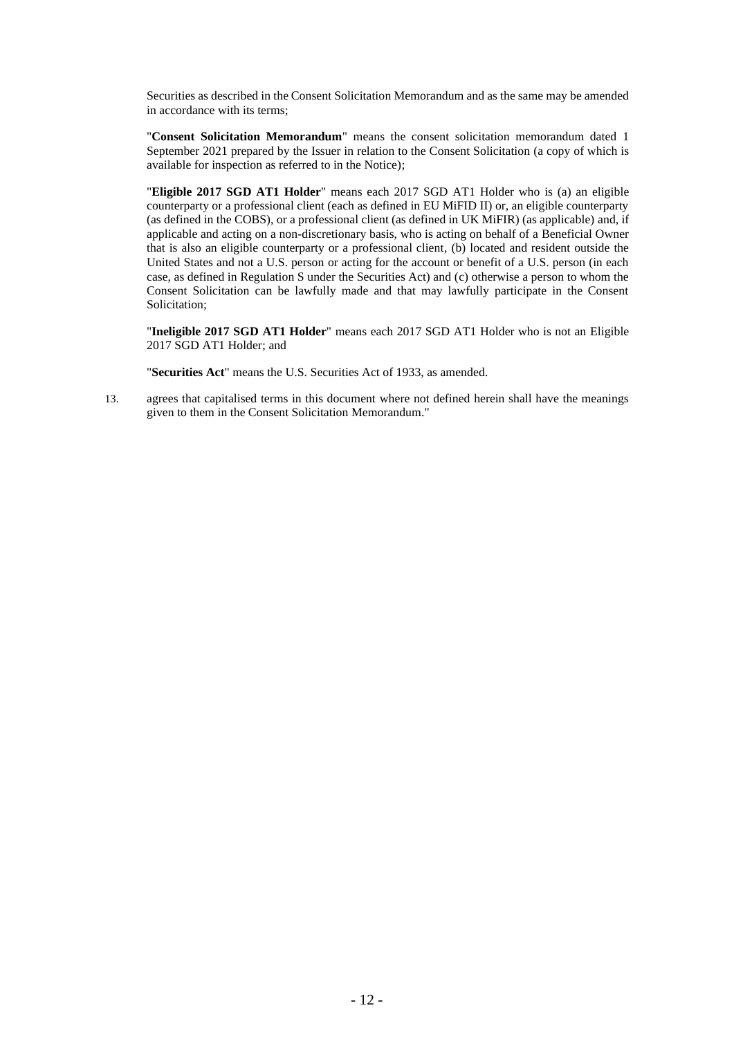Securities as described in the Consent Solicitation Memorandum and as the same may be amended in accordance with its terms;

"**Consent Solicitation Memorandum**" means the consent solicitation memorandum dated 1 September 2021 prepared by the Issuer in relation to the Consent Solicitation (a copy of which is available for inspection as referred to in the Notice);

"**Eligible 2017 SGD AT1 Holder**" means each 2017 SGD AT1 Holder who is (a) an eligible counterparty or a professional client (each as defined in EU MiFID II) or, an eligible counterparty (as defined in the COBS), or a professional client (as defined in UK MiFIR) (as applicable) and, if applicable and acting on a non-discretionary basis, who is acting on behalf of a Beneficial Owner that is also an eligible counterparty or a professional client, (b) located and resident outside the United States and not a U.S. person or acting for the account or benefit of a U.S. person (in each case, as defined in Regulation S under the Securities Act) and (c) otherwise a person to whom the Consent Solicitation can be lawfully made and that may lawfully participate in the Consent Solicitation;

"**Ineligible 2017 SGD AT1 Holder**" means each 2017 SGD AT1 Holder who is not an Eligible 2017 SGD AT1 Holder; and

"**Securities Act**" means the U.S. Securities Act of 1933, as amended.

13. agrees that capitalised terms in this document where not defined herein shall have the meanings given to them in the Consent Solicitation Memorandum."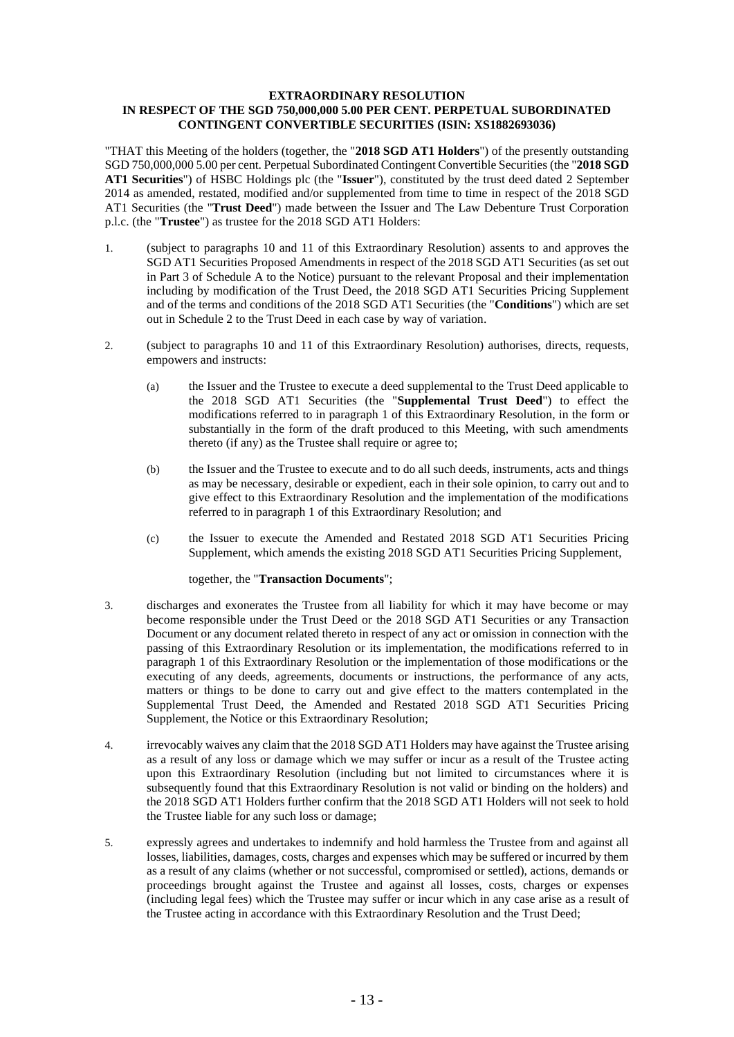### **EXTRAORDINARY RESOLUTION IN RESPECT OF THE SGD 750,000,000 5.00 PER CENT. PERPETUAL SUBORDINATED CONTINGENT CONVERTIBLE SECURITIES (ISIN: XS1882693036)**

"THAT this Meeting of the holders (together, the "**2018 SGD AT1 Holders**") of the presently outstanding SGD 750,000,000 5.00 per cent. Perpetual Subordinated Contingent Convertible Securities (the "**2018 SGD AT1 Securities**") of HSBC Holdings plc (the "**Issuer**"), constituted by the trust deed dated 2 September 2014 as amended, restated, modified and/or supplemented from time to time in respect of the 2018 SGD AT1 Securities (the "**Trust Deed**") made between the Issuer and The Law Debenture Trust Corporation p.l.c. (the "**Trustee**") as trustee for the 2018 SGD AT1 Holders:

- 1. (subject to paragraphs 10 and 11 of this Extraordinary Resolution) assents to and approves the SGD AT1 Securities Proposed Amendments in respect of the 2018 SGD AT1 Securities (as set out in Part 3 of Schedule A to the Notice) pursuant to the relevant Proposal and their implementation including by modification of the Trust Deed, the 2018 SGD AT1 Securities Pricing Supplement and of the terms and conditions of the 2018 SGD AT1 Securities (the "**Conditions**") which are set out in Schedule 2 to the Trust Deed in each case by way of variation.
- 2. (subject to paragraphs 10 and 11 of this Extraordinary Resolution) authorises, directs, requests, empowers and instructs:
	- (a) the Issuer and the Trustee to execute a deed supplemental to the Trust Deed applicable to the 2018 SGD AT1 Securities (the "**Supplemental Trust Deed**") to effect the modifications referred to in paragraph 1 of this Extraordinary Resolution, in the form or substantially in the form of the draft produced to this Meeting, with such amendments thereto (if any) as the Trustee shall require or agree to;
	- (b) the Issuer and the Trustee to execute and to do all such deeds, instruments, acts and things as may be necessary, desirable or expedient, each in their sole opinion, to carry out and to give effect to this Extraordinary Resolution and the implementation of the modifications referred to in paragraph 1 of this Extraordinary Resolution; and
	- (c) the Issuer to execute the Amended and Restated 2018 SGD AT1 Securities Pricing Supplement, which amends the existing 2018 SGD AT1 Securities Pricing Supplement,

together, the "**Transaction Documents**";

- 3. discharges and exonerates the Trustee from all liability for which it may have become or may become responsible under the Trust Deed or the 2018 SGD AT1 Securities or any Transaction Document or any document related thereto in respect of any act or omission in connection with the passing of this Extraordinary Resolution or its implementation, the modifications referred to in paragraph 1 of this Extraordinary Resolution or the implementation of those modifications or the executing of any deeds, agreements, documents or instructions, the performance of any acts, matters or things to be done to carry out and give effect to the matters contemplated in the Supplemental Trust Deed, the Amended and Restated 2018 SGD AT1 Securities Pricing Supplement, the Notice or this Extraordinary Resolution;
- 4. irrevocably waives any claim that the 2018 SGD AT1 Holders may have against the Trustee arising as a result of any loss or damage which we may suffer or incur as a result of the Trustee acting upon this Extraordinary Resolution (including but not limited to circumstances where it is subsequently found that this Extraordinary Resolution is not valid or binding on the holders) and the 2018 SGD AT1 Holders further confirm that the 2018 SGD AT1 Holders will not seek to hold the Trustee liable for any such loss or damage;
- 5. expressly agrees and undertakes to indemnify and hold harmless the Trustee from and against all losses, liabilities, damages, costs, charges and expenses which may be suffered or incurred by them as a result of any claims (whether or not successful, compromised or settled), actions, demands or proceedings brought against the Trustee and against all losses, costs, charges or expenses (including legal fees) which the Trustee may suffer or incur which in any case arise as a result of the Trustee acting in accordance with this Extraordinary Resolution and the Trust Deed;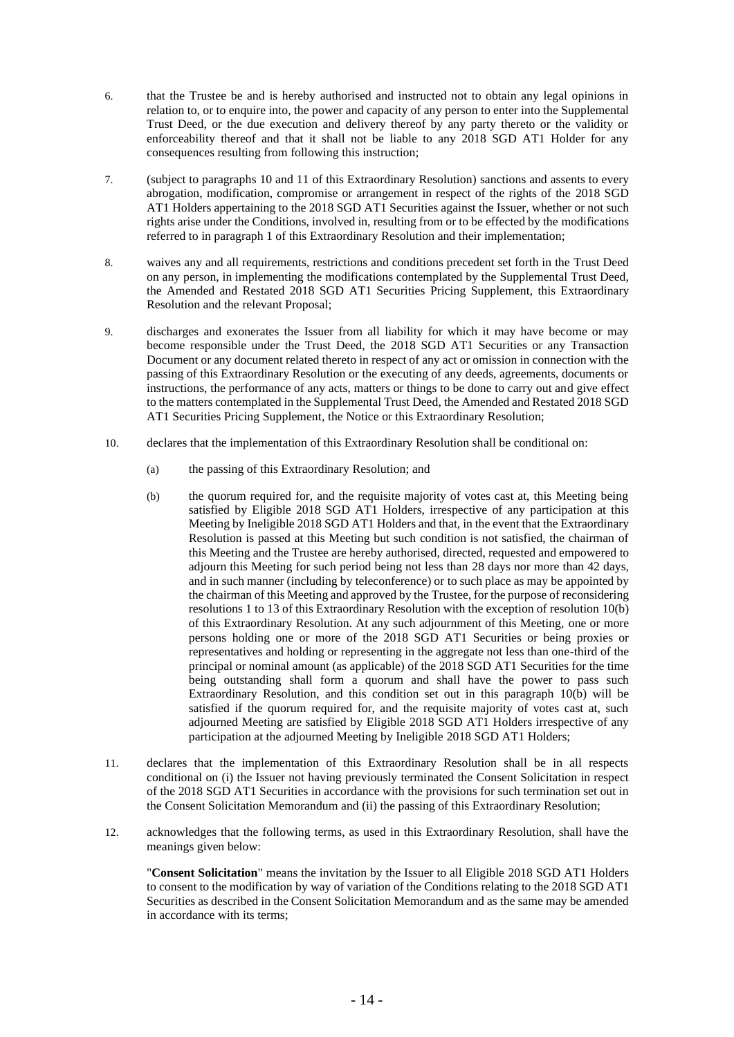- 6. that the Trustee be and is hereby authorised and instructed not to obtain any legal opinions in relation to, or to enquire into, the power and capacity of any person to enter into the Supplemental Trust Deed, or the due execution and delivery thereof by any party thereto or the validity or enforceability thereof and that it shall not be liable to any 2018 SGD AT1 Holder for any consequences resulting from following this instruction;
- 7. (subject to paragraphs 10 and 11 of this Extraordinary Resolution) sanctions and assents to every abrogation, modification, compromise or arrangement in respect of the rights of the 2018 SGD AT1 Holders appertaining to the 2018 SGD AT1 Securities against the Issuer, whether or not such rights arise under the Conditions, involved in, resulting from or to be effected by the modifications referred to in paragraph 1 of this Extraordinary Resolution and their implementation;
- 8. waives any and all requirements, restrictions and conditions precedent set forth in the Trust Deed on any person, in implementing the modifications contemplated by the Supplemental Trust Deed, the Amended and Restated 2018 SGD AT1 Securities Pricing Supplement, this Extraordinary Resolution and the relevant Proposal;
- 9. discharges and exonerates the Issuer from all liability for which it may have become or may become responsible under the Trust Deed, the 2018 SGD AT1 Securities or any Transaction Document or any document related thereto in respect of any act or omission in connection with the passing of this Extraordinary Resolution or the executing of any deeds, agreements, documents or instructions, the performance of any acts, matters or things to be done to carry out and give effect to the matters contemplated in the Supplemental Trust Deed, the Amended and Restated 2018 SGD AT1 Securities Pricing Supplement, the Notice or this Extraordinary Resolution;
- 10. declares that the implementation of this Extraordinary Resolution shall be conditional on:
	- (a) the passing of this Extraordinary Resolution; and
	- (b) the quorum required for, and the requisite majority of votes cast at, this Meeting being satisfied by Eligible 2018 SGD AT1 Holders, irrespective of any participation at this Meeting by Ineligible 2018 SGD AT1 Holders and that, in the event that the Extraordinary Resolution is passed at this Meeting but such condition is not satisfied, the chairman of this Meeting and the Trustee are hereby authorised, directed, requested and empowered to adjourn this Meeting for such period being not less than 28 days nor more than 42 days, and in such manner (including by teleconference) or to such place as may be appointed by the chairman of this Meeting and approved by the Trustee, for the purpose of reconsidering resolutions 1 to 13 of this Extraordinary Resolution with the exception of resolution 10(b) of this Extraordinary Resolution. At any such adjournment of this Meeting, one or more persons holding one or more of the 2018 SGD AT1 Securities or being proxies or representatives and holding or representing in the aggregate not less than one-third of the principal or nominal amount (as applicable) of the 2018 SGD AT1 Securities for the time being outstanding shall form a quorum and shall have the power to pass such Extraordinary Resolution, and this condition set out in this paragraph 10(b) will be satisfied if the quorum required for, and the requisite majority of votes cast at, such adjourned Meeting are satisfied by Eligible 2018 SGD AT1 Holders irrespective of any participation at the adjourned Meeting by Ineligible 2018 SGD AT1 Holders;
- 11. declares that the implementation of this Extraordinary Resolution shall be in all respects conditional on (i) the Issuer not having previously terminated the Consent Solicitation in respect of the 2018 SGD AT1 Securities in accordance with the provisions for such termination set out in the Consent Solicitation Memorandum and (ii) the passing of this Extraordinary Resolution;
- 12. acknowledges that the following terms, as used in this Extraordinary Resolution, shall have the meanings given below:

"**Consent Solicitation**" means the invitation by the Issuer to all Eligible 2018 SGD AT1 Holders to consent to the modification by way of variation of the Conditions relating to the 2018 SGD AT1 Securities as described in the Consent Solicitation Memorandum and as the same may be amended in accordance with its terms;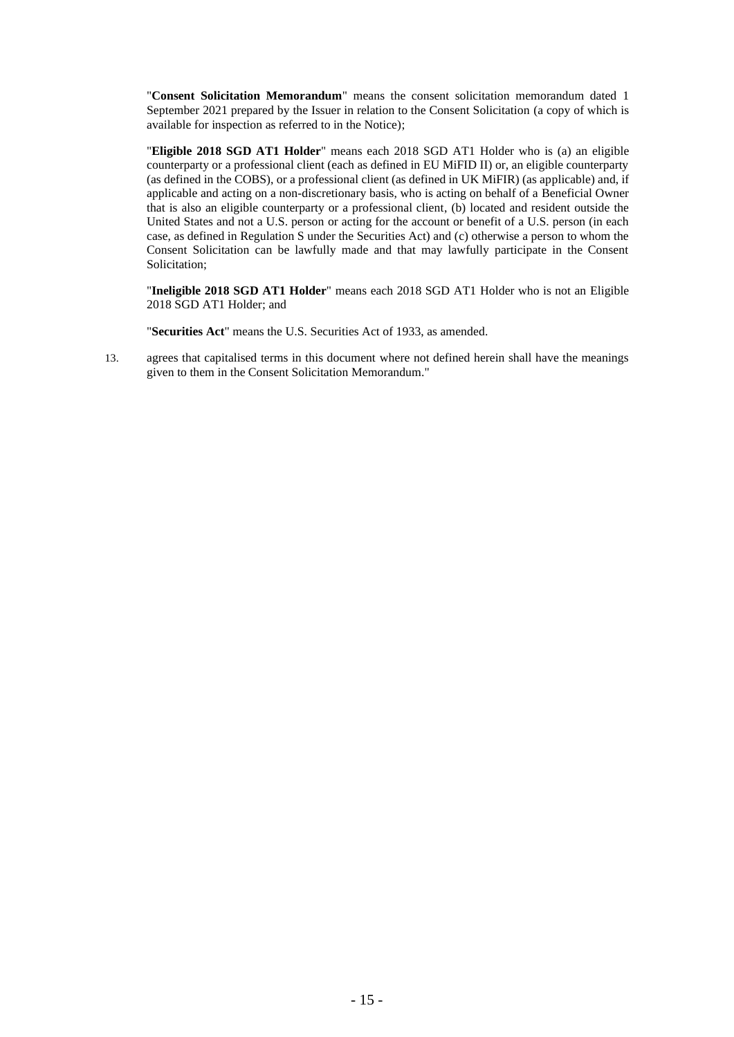"**Consent Solicitation Memorandum**" means the consent solicitation memorandum dated 1 September 2021 prepared by the Issuer in relation to the Consent Solicitation (a copy of which is available for inspection as referred to in the Notice);

"**Eligible 2018 SGD AT1 Holder**" means each 2018 SGD AT1 Holder who is (a) an eligible counterparty or a professional client (each as defined in EU MiFID II) or, an eligible counterparty (as defined in the COBS), or a professional client (as defined in UK MiFIR) (as applicable) and, if applicable and acting on a non-discretionary basis, who is acting on behalf of a Beneficial Owner that is also an eligible counterparty or a professional client, (b) located and resident outside the United States and not a U.S. person or acting for the account or benefit of a U.S. person (in each case, as defined in Regulation S under the Securities Act) and (c) otherwise a person to whom the Consent Solicitation can be lawfully made and that may lawfully participate in the Consent Solicitation;

"**Ineligible 2018 SGD AT1 Holder**" means each 2018 SGD AT1 Holder who is not an Eligible 2018 SGD AT1 Holder; and

"**Securities Act**" means the U.S. Securities Act of 1933, as amended.

13. agrees that capitalised terms in this document where not defined herein shall have the meanings given to them in the Consent Solicitation Memorandum."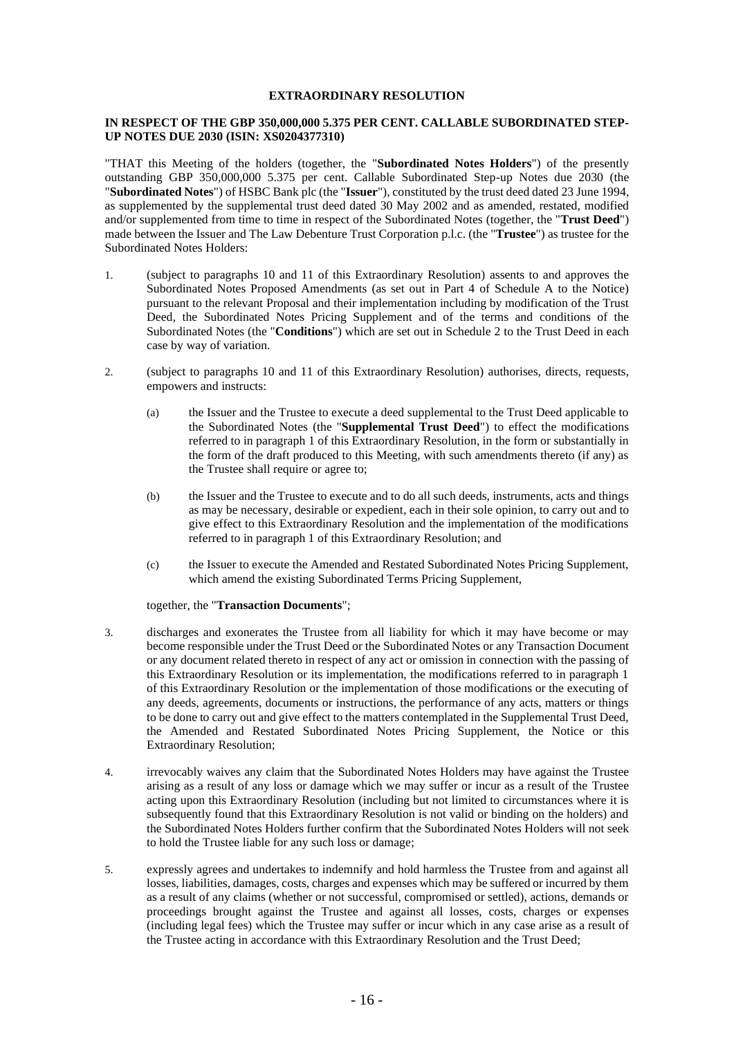#### **EXTRAORDINARY RESOLUTION**

### **IN RESPECT OF THE GBP 350,000,000 5.375 PER CENT. CALLABLE SUBORDINATED STEP-UP NOTES DUE 2030 (ISIN: XS0204377310)**

"THAT this Meeting of the holders (together, the "**Subordinated Notes Holders**") of the presently outstanding GBP 350,000,000 5.375 per cent. Callable Subordinated Step-up Notes due 2030 (the "**Subordinated Notes**") of HSBC Bank plc (the "**Issuer**"), constituted by the trust deed dated 23 June 1994, as supplemented by the supplemental trust deed dated 30 May 2002 and as amended, restated, modified and/or supplemented from time to time in respect of the Subordinated Notes (together, the "**Trust Deed**") made between the Issuer and The Law Debenture Trust Corporation p.l.c. (the "**Trustee**") as trustee for the Subordinated Notes Holders:

- 1. (subject to paragraphs 10 and 11 of this Extraordinary Resolution) assents to and approves the Subordinated Notes Proposed Amendments (as set out in Part 4 of Schedule A to the Notice) pursuant to the relevant Proposal and their implementation including by modification of the Trust Deed, the Subordinated Notes Pricing Supplement and of the terms and conditions of the Subordinated Notes (the "**Conditions**") which are set out in Schedule 2 to the Trust Deed in each case by way of variation.
- 2. (subject to paragraphs 10 and 11 of this Extraordinary Resolution) authorises, directs, requests, empowers and instructs:
	- (a) the Issuer and the Trustee to execute a deed supplemental to the Trust Deed applicable to the Subordinated Notes (the "**Supplemental Trust Deed**") to effect the modifications referred to in paragraph 1 of this Extraordinary Resolution, in the form or substantially in the form of the draft produced to this Meeting, with such amendments thereto (if any) as the Trustee shall require or agree to;
	- (b) the Issuer and the Trustee to execute and to do all such deeds, instruments, acts and things as may be necessary, desirable or expedient, each in their sole opinion, to carry out and to give effect to this Extraordinary Resolution and the implementation of the modifications referred to in paragraph 1 of this Extraordinary Resolution; and
	- (c) the Issuer to execute the Amended and Restated Subordinated Notes Pricing Supplement, which amend the existing Subordinated Terms Pricing Supplement,

together, the "**Transaction Documents**";

- 3. discharges and exonerates the Trustee from all liability for which it may have become or may become responsible under the Trust Deed or the Subordinated Notes or any Transaction Document or any document related thereto in respect of any act or omission in connection with the passing of this Extraordinary Resolution or its implementation, the modifications referred to in paragraph 1 of this Extraordinary Resolution or the implementation of those modifications or the executing of any deeds, agreements, documents or instructions, the performance of any acts, matters or things to be done to carry out and give effect to the matters contemplated in the Supplemental Trust Deed, the Amended and Restated Subordinated Notes Pricing Supplement, the Notice or this Extraordinary Resolution;
- 4. irrevocably waives any claim that the Subordinated Notes Holders may have against the Trustee arising as a result of any loss or damage which we may suffer or incur as a result of the Trustee acting upon this Extraordinary Resolution (including but not limited to circumstances where it is subsequently found that this Extraordinary Resolution is not valid or binding on the holders) and the Subordinated Notes Holders further confirm that the Subordinated Notes Holders will not seek to hold the Trustee liable for any such loss or damage;
- 5. expressly agrees and undertakes to indemnify and hold harmless the Trustee from and against all losses, liabilities, damages, costs, charges and expenses which may be suffered or incurred by them as a result of any claims (whether or not successful, compromised or settled), actions, demands or proceedings brought against the Trustee and against all losses, costs, charges or expenses (including legal fees) which the Trustee may suffer or incur which in any case arise as a result of the Trustee acting in accordance with this Extraordinary Resolution and the Trust Deed;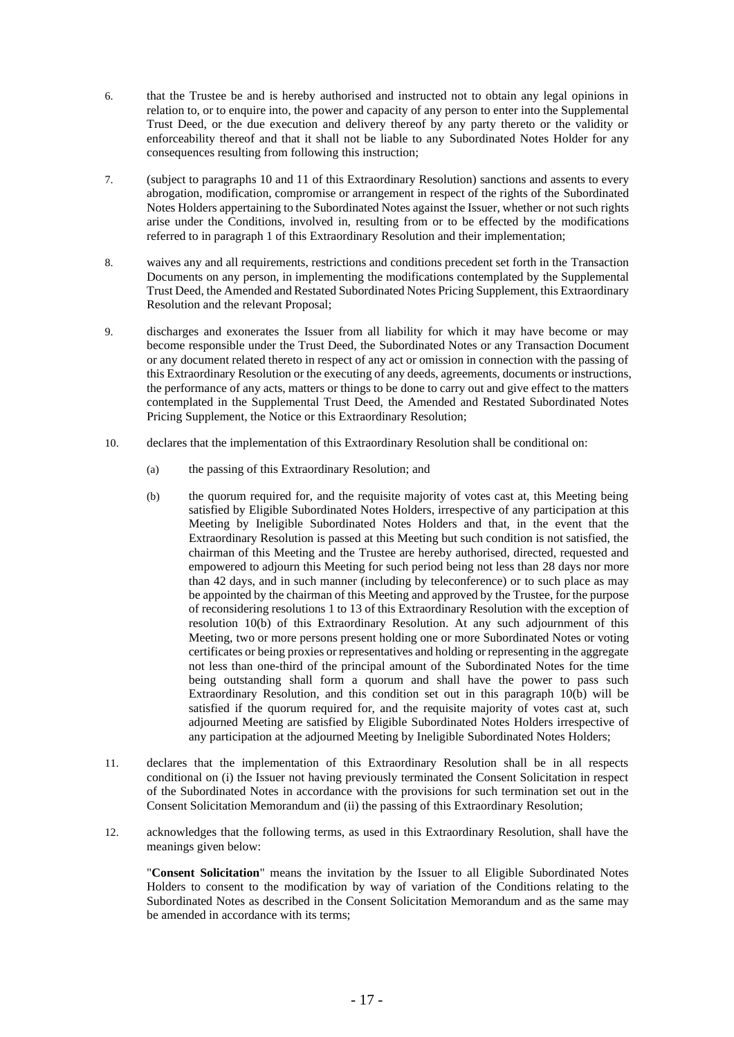- 6. that the Trustee be and is hereby authorised and instructed not to obtain any legal opinions in relation to, or to enquire into, the power and capacity of any person to enter into the Supplemental Trust Deed, or the due execution and delivery thereof by any party thereto or the validity or enforceability thereof and that it shall not be liable to any Subordinated Notes Holder for any consequences resulting from following this instruction;
- 7. (subject to paragraphs 10 and 11 of this Extraordinary Resolution) sanctions and assents to every abrogation, modification, compromise or arrangement in respect of the rights of the Subordinated Notes Holders appertaining to the Subordinated Notes against the Issuer, whether or not such rights arise under the Conditions, involved in, resulting from or to be effected by the modifications referred to in paragraph 1 of this Extraordinary Resolution and their implementation;
- 8. waives any and all requirements, restrictions and conditions precedent set forth in the Transaction Documents on any person, in implementing the modifications contemplated by the Supplemental Trust Deed, the Amended and Restated Subordinated Notes Pricing Supplement, this Extraordinary Resolution and the relevant Proposal;
- 9. discharges and exonerates the Issuer from all liability for which it may have become or may become responsible under the Trust Deed, the Subordinated Notes or any Transaction Document or any document related thereto in respect of any act or omission in connection with the passing of this Extraordinary Resolution or the executing of any deeds, agreements, documents or instructions, the performance of any acts, matters or things to be done to carry out and give effect to the matters contemplated in the Supplemental Trust Deed, the Amended and Restated Subordinated Notes Pricing Supplement, the Notice or this Extraordinary Resolution;
- 10. declares that the implementation of this Extraordinary Resolution shall be conditional on:
	- (a) the passing of this Extraordinary Resolution; and
	- (b) the quorum required for, and the requisite majority of votes cast at, this Meeting being satisfied by Eligible Subordinated Notes Holders, irrespective of any participation at this Meeting by Ineligible Subordinated Notes Holders and that, in the event that the Extraordinary Resolution is passed at this Meeting but such condition is not satisfied, the chairman of this Meeting and the Trustee are hereby authorised, directed, requested and empowered to adjourn this Meeting for such period being not less than 28 days nor more than 42 days, and in such manner (including by teleconference) or to such place as may be appointed by the chairman of this Meeting and approved by the Trustee, for the purpose of reconsidering resolutions 1 to 13 of this Extraordinary Resolution with the exception of resolution 10(b) of this Extraordinary Resolution. At any such adjournment of this Meeting, two or more persons present holding one or more Subordinated Notes or voting certificates or being proxies or representatives and holding or representing in the aggregate not less than one-third of the principal amount of the Subordinated Notes for the time being outstanding shall form a quorum and shall have the power to pass such Extraordinary Resolution, and this condition set out in this paragraph 10(b) will be satisfied if the quorum required for, and the requisite majority of votes cast at, such adjourned Meeting are satisfied by Eligible Subordinated Notes Holders irrespective of any participation at the adjourned Meeting by Ineligible Subordinated Notes Holders;
- 11. declares that the implementation of this Extraordinary Resolution shall be in all respects conditional on (i) the Issuer not having previously terminated the Consent Solicitation in respect of the Subordinated Notes in accordance with the provisions for such termination set out in the Consent Solicitation Memorandum and (ii) the passing of this Extraordinary Resolution;
- 12. acknowledges that the following terms, as used in this Extraordinary Resolution, shall have the meanings given below:

"**Consent Solicitation**" means the invitation by the Issuer to all Eligible Subordinated Notes Holders to consent to the modification by way of variation of the Conditions relating to the Subordinated Notes as described in the Consent Solicitation Memorandum and as the same may be amended in accordance with its terms;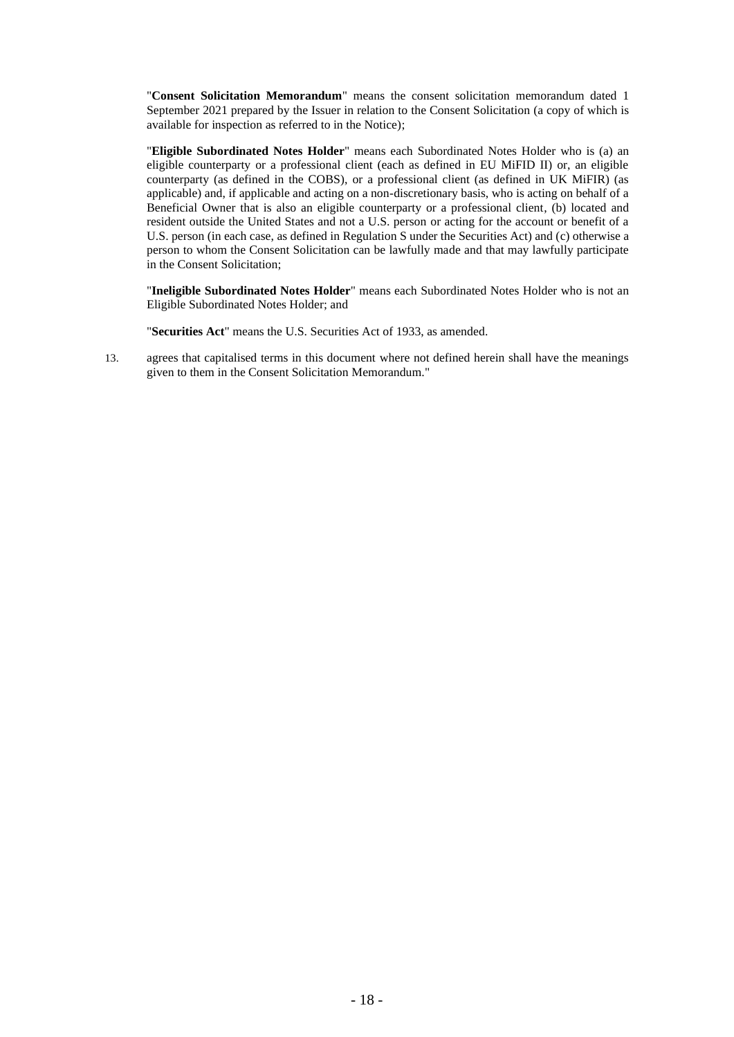"**Consent Solicitation Memorandum**" means the consent solicitation memorandum dated 1 September 2021 prepared by the Issuer in relation to the Consent Solicitation (a copy of which is available for inspection as referred to in the Notice);

"**Eligible Subordinated Notes Holder**" means each Subordinated Notes Holder who is (a) an eligible counterparty or a professional client (each as defined in EU MiFID II) or, an eligible counterparty (as defined in the COBS), or a professional client (as defined in UK MiFIR) (as applicable) and, if applicable and acting on a non-discretionary basis, who is acting on behalf of a Beneficial Owner that is also an eligible counterparty or a professional client, (b) located and resident outside the United States and not a U.S. person or acting for the account or benefit of a U.S. person (in each case, as defined in Regulation S under the Securities Act) and (c) otherwise a person to whom the Consent Solicitation can be lawfully made and that may lawfully participate in the Consent Solicitation;

"**Ineligible Subordinated Notes Holder**" means each Subordinated Notes Holder who is not an Eligible Subordinated Notes Holder; and

"**Securities Act**" means the U.S. Securities Act of 1933, as amended.

13. agrees that capitalised terms in this document where not defined herein shall have the meanings given to them in the Consent Solicitation Memorandum."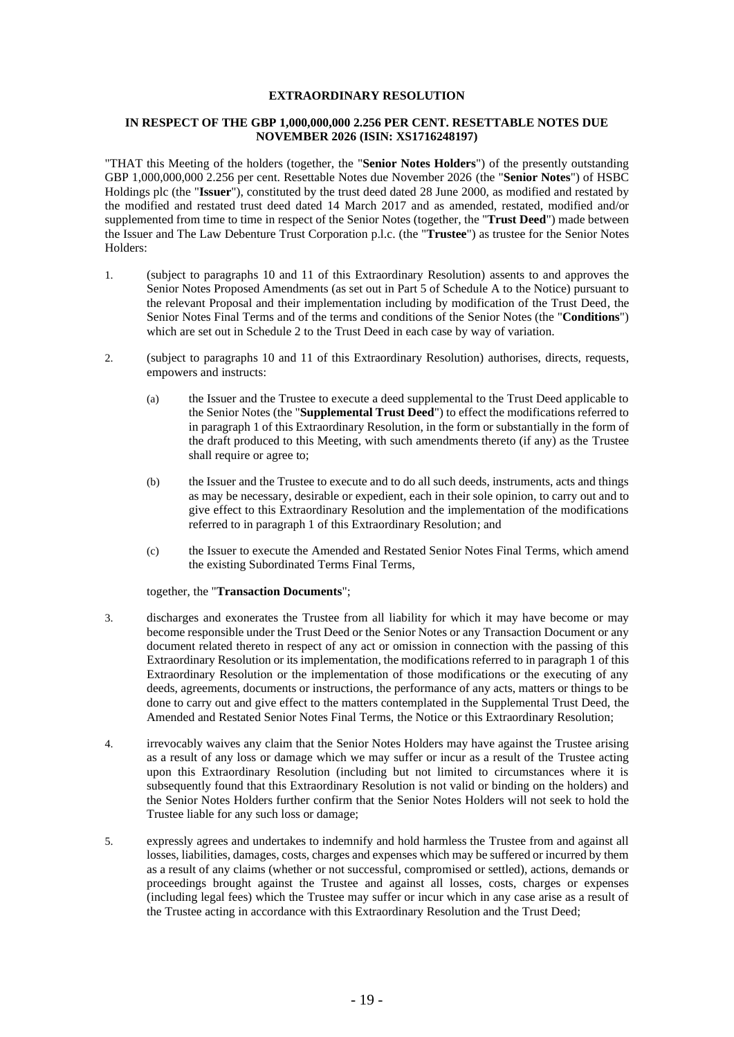### **EXTRAORDINARY RESOLUTION**

### **IN RESPECT OF THE GBP 1,000,000,000 2.256 PER CENT. RESETTABLE NOTES DUE NOVEMBER 2026 (ISIN: XS1716248197)**

"THAT this Meeting of the holders (together, the "**Senior Notes Holders**") of the presently outstanding GBP 1,000,000,000 2.256 per cent. Resettable Notes due November 2026 (the "**Senior Notes**") of HSBC Holdings plc (the "**Issuer**"), constituted by the trust deed dated 28 June 2000, as modified and restated by the modified and restated trust deed dated 14 March 2017 and as amended, restated, modified and/or supplemented from time to time in respect of the Senior Notes (together, the "**Trust Deed**") made between the Issuer and The Law Debenture Trust Corporation p.l.c. (the "**Trustee**") as trustee for the Senior Notes Holders:

- 1. (subject to paragraphs 10 and 11 of this Extraordinary Resolution) assents to and approves the Senior Notes Proposed Amendments (as set out in Part 5 of Schedule A to the Notice) pursuant to the relevant Proposal and their implementation including by modification of the Trust Deed, the Senior Notes Final Terms and of the terms and conditions of the Senior Notes (the "**Conditions**") which are set out in Schedule 2 to the Trust Deed in each case by way of variation.
- 2. (subject to paragraphs 10 and 11 of this Extraordinary Resolution) authorises, directs, requests, empowers and instructs:
	- (a) the Issuer and the Trustee to execute a deed supplemental to the Trust Deed applicable to the Senior Notes (the "**Supplemental Trust Deed**") to effect the modifications referred to in paragraph 1 of this Extraordinary Resolution, in the form or substantially in the form of the draft produced to this Meeting, with such amendments thereto (if any) as the Trustee shall require or agree to:
	- (b) the Issuer and the Trustee to execute and to do all such deeds, instruments, acts and things as may be necessary, desirable or expedient, each in their sole opinion, to carry out and to give effect to this Extraordinary Resolution and the implementation of the modifications referred to in paragraph 1 of this Extraordinary Resolution; and
	- (c) the Issuer to execute the Amended and Restated Senior Notes Final Terms, which amend the existing Subordinated Terms Final Terms,

together, the "**Transaction Documents**";

- 3. discharges and exonerates the Trustee from all liability for which it may have become or may become responsible under the Trust Deed or the Senior Notes or any Transaction Document or any document related thereto in respect of any act or omission in connection with the passing of this Extraordinary Resolution or its implementation, the modifications referred to in paragraph 1 of this Extraordinary Resolution or the implementation of those modifications or the executing of any deeds, agreements, documents or instructions, the performance of any acts, matters or things to be done to carry out and give effect to the matters contemplated in the Supplemental Trust Deed, the Amended and Restated Senior Notes Final Terms, the Notice or this Extraordinary Resolution;
- 4. irrevocably waives any claim that the Senior Notes Holders may have against the Trustee arising as a result of any loss or damage which we may suffer or incur as a result of the Trustee acting upon this Extraordinary Resolution (including but not limited to circumstances where it is subsequently found that this Extraordinary Resolution is not valid or binding on the holders) and the Senior Notes Holders further confirm that the Senior Notes Holders will not seek to hold the Trustee liable for any such loss or damage;
- 5. expressly agrees and undertakes to indemnify and hold harmless the Trustee from and against all losses, liabilities, damages, costs, charges and expenses which may be suffered or incurred by them as a result of any claims (whether or not successful, compromised or settled), actions, demands or proceedings brought against the Trustee and against all losses, costs, charges or expenses (including legal fees) which the Trustee may suffer or incur which in any case arise as a result of the Trustee acting in accordance with this Extraordinary Resolution and the Trust Deed;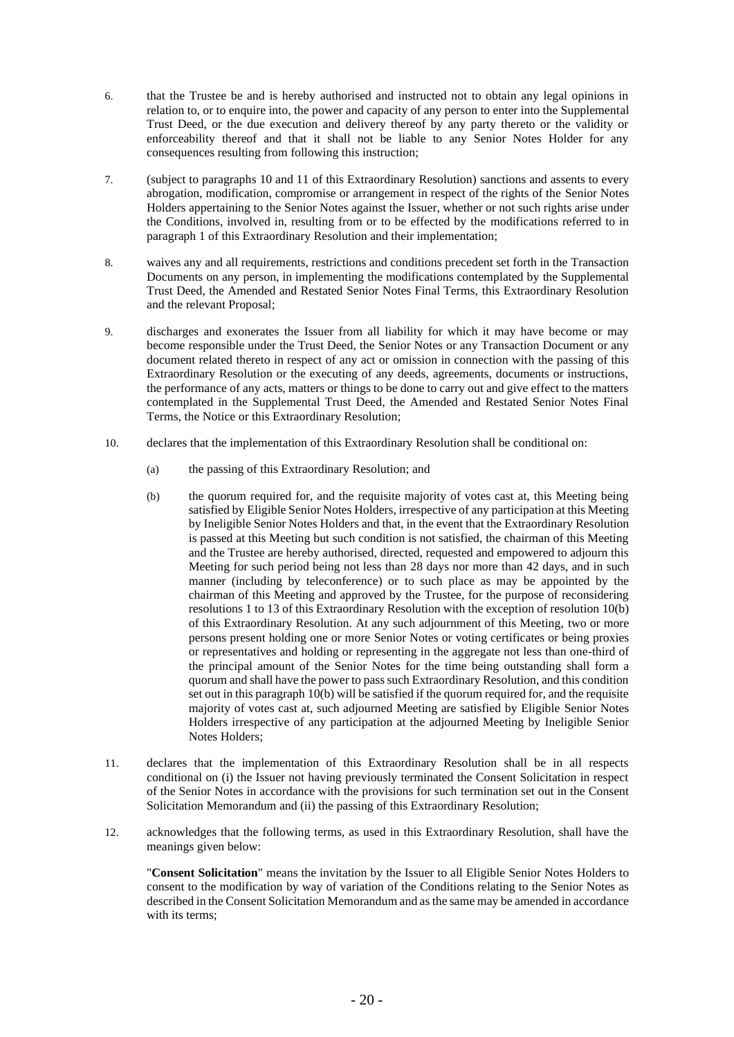- 6. that the Trustee be and is hereby authorised and instructed not to obtain any legal opinions in relation to, or to enquire into, the power and capacity of any person to enter into the Supplemental Trust Deed, or the due execution and delivery thereof by any party thereto or the validity or enforceability thereof and that it shall not be liable to any Senior Notes Holder for any consequences resulting from following this instruction;
- 7. (subject to paragraphs 10 and 11 of this Extraordinary Resolution) sanctions and assents to every abrogation, modification, compromise or arrangement in respect of the rights of the Senior Notes Holders appertaining to the Senior Notes against the Issuer, whether or not such rights arise under the Conditions, involved in, resulting from or to be effected by the modifications referred to in paragraph 1 of this Extraordinary Resolution and their implementation;
- 8. waives any and all requirements, restrictions and conditions precedent set forth in the Transaction Documents on any person, in implementing the modifications contemplated by the Supplemental Trust Deed, the Amended and Restated Senior Notes Final Terms, this Extraordinary Resolution and the relevant Proposal;
- 9. discharges and exonerates the Issuer from all liability for which it may have become or may become responsible under the Trust Deed, the Senior Notes or any Transaction Document or any document related thereto in respect of any act or omission in connection with the passing of this Extraordinary Resolution or the executing of any deeds, agreements, documents or instructions, the performance of any acts, matters or things to be done to carry out and give effect to the matters contemplated in the Supplemental Trust Deed, the Amended and Restated Senior Notes Final Terms, the Notice or this Extraordinary Resolution;
- 10. declares that the implementation of this Extraordinary Resolution shall be conditional on:
	- (a) the passing of this Extraordinary Resolution; and
	- (b) the quorum required for, and the requisite majority of votes cast at, this Meeting being satisfied by Eligible Senior Notes Holders, irrespective of any participation at this Meeting by Ineligible Senior Notes Holders and that, in the event that the Extraordinary Resolution is passed at this Meeting but such condition is not satisfied, the chairman of this Meeting and the Trustee are hereby authorised, directed, requested and empowered to adjourn this Meeting for such period being not less than 28 days nor more than 42 days, and in such manner (including by teleconference) or to such place as may be appointed by the chairman of this Meeting and approved by the Trustee, for the purpose of reconsidering resolutions 1 to 13 of this Extraordinary Resolution with the exception of resolution 10(b) of this Extraordinary Resolution. At any such adjournment of this Meeting, two or more persons present holding one or more Senior Notes or voting certificates or being proxies or representatives and holding or representing in the aggregate not less than one-third of the principal amount of the Senior Notes for the time being outstanding shall form a quorum and shall have the power to pass such Extraordinary Resolution, and this condition set out in this paragraph  $10(b)$  will be satisfied if the quorum required for, and the requisite majority of votes cast at, such adjourned Meeting are satisfied by Eligible Senior Notes Holders irrespective of any participation at the adjourned Meeting by Ineligible Senior Notes Holders;
- 11. declares that the implementation of this Extraordinary Resolution shall be in all respects conditional on (i) the Issuer not having previously terminated the Consent Solicitation in respect of the Senior Notes in accordance with the provisions for such termination set out in the Consent Solicitation Memorandum and (ii) the passing of this Extraordinary Resolution;
- 12. acknowledges that the following terms, as used in this Extraordinary Resolution, shall have the meanings given below:

"**Consent Solicitation**" means the invitation by the Issuer to all Eligible Senior Notes Holders to consent to the modification by way of variation of the Conditions relating to the Senior Notes as described in the Consent Solicitation Memorandum and as the same may be amended in accordance with its terms;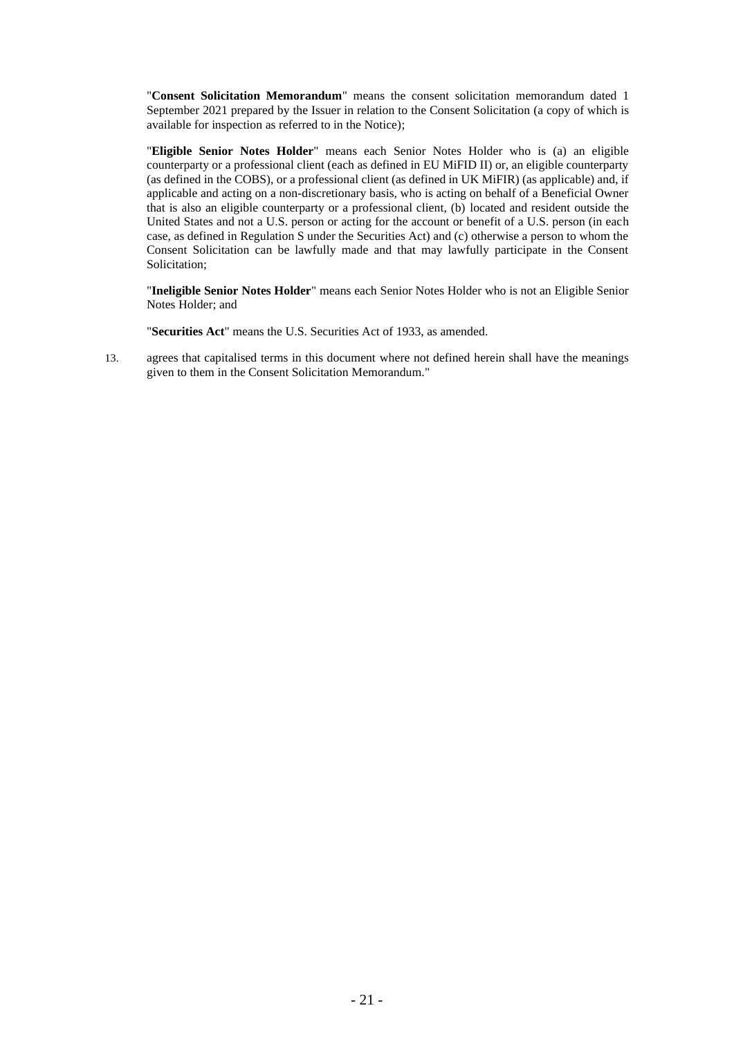"**Consent Solicitation Memorandum**" means the consent solicitation memorandum dated 1 September 2021 prepared by the Issuer in relation to the Consent Solicitation (a copy of which is available for inspection as referred to in the Notice);

"**Eligible Senior Notes Holder**" means each Senior Notes Holder who is (a) an eligible counterparty or a professional client (each as defined in EU MiFID II) or, an eligible counterparty (as defined in the COBS), or a professional client (as defined in UK MiFIR) (as applicable) and, if applicable and acting on a non-discretionary basis, who is acting on behalf of a Beneficial Owner that is also an eligible counterparty or a professional client, (b) located and resident outside the United States and not a U.S. person or acting for the account or benefit of a U.S. person (in each case, as defined in Regulation S under the Securities Act) and (c) otherwise a person to whom the Consent Solicitation can be lawfully made and that may lawfully participate in the Consent Solicitation;

"**Ineligible Senior Notes Holder**" means each Senior Notes Holder who is not an Eligible Senior Notes Holder; and

"**Securities Act**" means the U.S. Securities Act of 1933, as amended.

13. agrees that capitalised terms in this document where not defined herein shall have the meanings given to them in the Consent Solicitation Memorandum."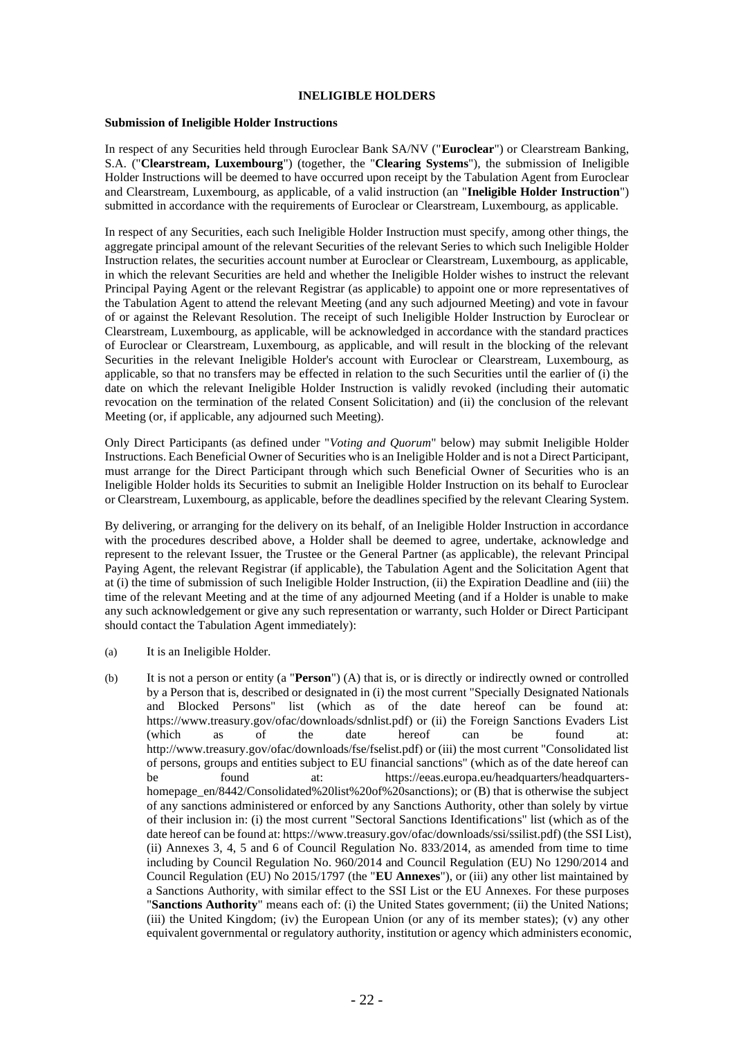#### **INELIGIBLE HOLDERS**

#### **Submission of Ineligible Holder Instructions**

In respect of any Securities held through Euroclear Bank SA/NV ("**Euroclear**") or Clearstream Banking, S.A. ("**Clearstream, Luxembourg**") (together, the "**Clearing Systems**"), the submission of Ineligible Holder Instructions will be deemed to have occurred upon receipt by the Tabulation Agent from Euroclear and Clearstream, Luxembourg, as applicable, of a valid instruction (an "**Ineligible Holder Instruction**") submitted in accordance with the requirements of Euroclear or Clearstream, Luxembourg, as applicable.

In respect of any Securities, each such Ineligible Holder Instruction must specify, among other things, the aggregate principal amount of the relevant Securities of the relevant Series to which such Ineligible Holder Instruction relates, the securities account number at Euroclear or Clearstream, Luxembourg, as applicable, in which the relevant Securities are held and whether the Ineligible Holder wishes to instruct the relevant Principal Paying Agent or the relevant Registrar (as applicable) to appoint one or more representatives of the Tabulation Agent to attend the relevant Meeting (and any such adjourned Meeting) and vote in favour of or against the Relevant Resolution. The receipt of such Ineligible Holder Instruction by Euroclear or Clearstream, Luxembourg, as applicable, will be acknowledged in accordance with the standard practices of Euroclear or Clearstream, Luxembourg, as applicable, and will result in the blocking of the relevant Securities in the relevant Ineligible Holder's account with Euroclear or Clearstream, Luxembourg, as applicable, so that no transfers may be effected in relation to the such Securities until the earlier of (i) the date on which the relevant Ineligible Holder Instruction is validly revoked (including their automatic revocation on the termination of the related Consent Solicitation) and (ii) the conclusion of the relevant Meeting (or, if applicable, any adjourned such Meeting).

Only Direct Participants (as defined under "*Voting and Quorum*" below) may submit Ineligible Holder Instructions. Each Beneficial Owner of Securities who is an Ineligible Holder and is not a Direct Participant, must arrange for the Direct Participant through which such Beneficial Owner of Securities who is an Ineligible Holder holds its Securities to submit an Ineligible Holder Instruction on its behalf to Euroclear or Clearstream, Luxembourg, as applicable, before the deadlines specified by the relevant Clearing System.

By delivering, or arranging for the delivery on its behalf, of an Ineligible Holder Instruction in accordance with the procedures described above, a Holder shall be deemed to agree, undertake, acknowledge and represent to the relevant Issuer, the Trustee or the General Partner (as applicable), the relevant Principal Paying Agent, the relevant Registrar (if applicable), the Tabulation Agent and the Solicitation Agent that at (i) the time of submission of such Ineligible Holder Instruction, (ii) the Expiration Deadline and (iii) the time of the relevant Meeting and at the time of any adjourned Meeting (and if a Holder is unable to make any such acknowledgement or give any such representation or warranty, such Holder or Direct Participant should contact the Tabulation Agent immediately):

- (a) It is an Ineligible Holder.
- (b) It is not a person or entity (a "**Person**") (A) that is, or is directly or indirectly owned or controlled by a Person that is, described or designated in (i) the most current "Specially Designated Nationals and Blocked Persons" list (which as of the date hereof can be found at: https://www.treasury.gov/ofac/downloads/sdnlist.pdf) or (ii) the Foreign Sanctions Evaders List (which as of the date hereof can be found at: http://www.treasury.gov/ofac/downloads/fse/fselist.pdf) or (iii) the most current "Consolidated list of persons, groups and entities subject to EU financial sanctions" (which as of the date hereof can be found at: https://eeas.europa.eu/headquarters/headquartershomepage en/8442/Consolidated%20list%20of%20sanctions); or (B) that is otherwise the subject of any sanctions administered or enforced by any Sanctions Authority, other than solely by virtue of their inclusion in: (i) the most current "Sectoral Sanctions Identifications" list (which as of the date hereof can be found at: https://www.treasury.gov/ofac/downloads/ssi/ssilist.pdf) (the SSI List), (ii) Annexes 3, 4, 5 and 6 of Council Regulation No. 833/2014, as amended from time to time including by Council Regulation No. 960/2014 and Council Regulation (EU) No 1290/2014 and Council Regulation (EU) No 2015/1797 (the "**EU Annexes**"), or (iii) any other list maintained by a Sanctions Authority, with similar effect to the SSI List or the EU Annexes. For these purposes "**Sanctions Authority**" means each of: (i) the United States government; (ii) the United Nations; (iii) the United Kingdom; (iv) the European Union (or any of its member states); (v) any other equivalent governmental or regulatory authority, institution or agency which administers economic,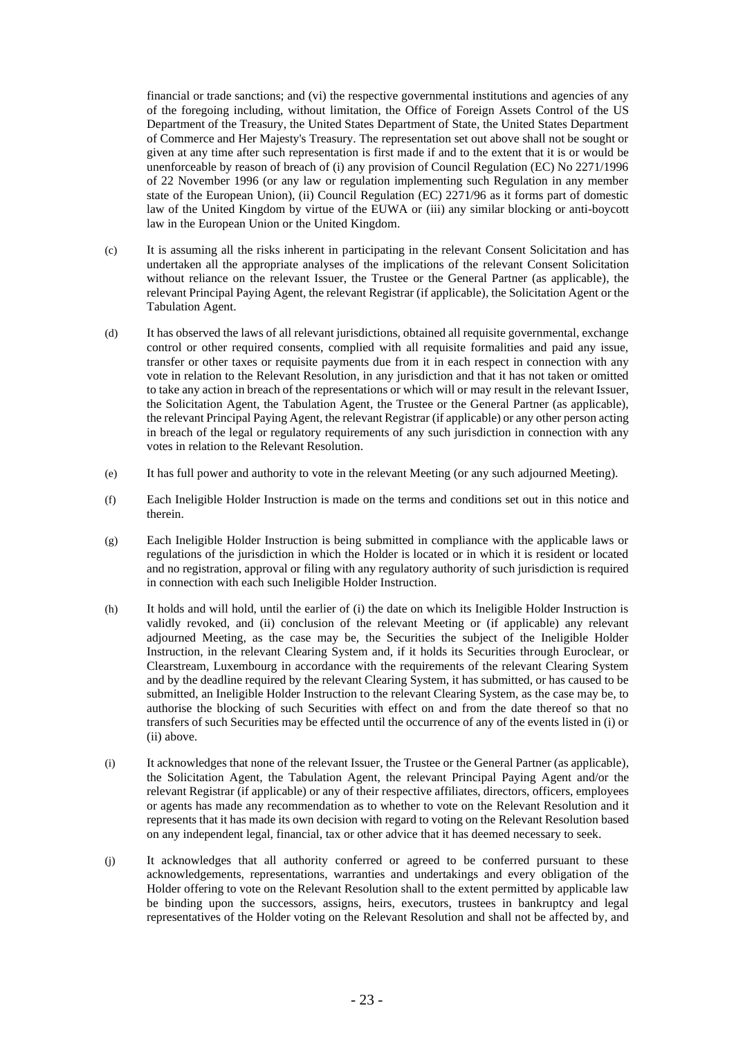financial or trade sanctions; and (vi) the respective governmental institutions and agencies of any of the foregoing including, without limitation, the Office of Foreign Assets Control of the US Department of the Treasury, the United States Department of State, the United States Department of Commerce and Her Majesty's Treasury. The representation set out above shall not be sought or given at any time after such representation is first made if and to the extent that it is or would be unenforceable by reason of breach of (i) any provision of Council Regulation (EC) No 2271/1996 of 22 November 1996 (or any law or regulation implementing such Regulation in any member state of the European Union), (ii) Council Regulation (EC) 2271/96 as it forms part of domestic law of the United Kingdom by virtue of the EUWA or (iii) any similar blocking or anti-boycott law in the European Union or the United Kingdom.

- (c) It is assuming all the risks inherent in participating in the relevant Consent Solicitation and has undertaken all the appropriate analyses of the implications of the relevant Consent Solicitation without reliance on the relevant Issuer, the Trustee or the General Partner (as applicable), the relevant Principal Paying Agent, the relevant Registrar (if applicable), the Solicitation Agent or the Tabulation Agent.
- (d) It has observed the laws of all relevant jurisdictions, obtained all requisite governmental, exchange control or other required consents, complied with all requisite formalities and paid any issue, transfer or other taxes or requisite payments due from it in each respect in connection with any vote in relation to the Relevant Resolution, in any jurisdiction and that it has not taken or omitted to take any action in breach of the representations or which will or may result in the relevant Issuer, the Solicitation Agent, the Tabulation Agent, the Trustee or the General Partner (as applicable), the relevant Principal Paying Agent, the relevant Registrar (if applicable) or any other person acting in breach of the legal or regulatory requirements of any such jurisdiction in connection with any votes in relation to the Relevant Resolution.
- (e) It has full power and authority to vote in the relevant Meeting (or any such adjourned Meeting).
- (f) Each Ineligible Holder Instruction is made on the terms and conditions set out in this notice and therein.
- (g) Each Ineligible Holder Instruction is being submitted in compliance with the applicable laws or regulations of the jurisdiction in which the Holder is located or in which it is resident or located and no registration, approval or filing with any regulatory authority of such jurisdiction is required in connection with each such Ineligible Holder Instruction.
- (h) It holds and will hold, until the earlier of (i) the date on which its Ineligible Holder Instruction is validly revoked, and (ii) conclusion of the relevant Meeting or (if applicable) any relevant adjourned Meeting, as the case may be, the Securities the subject of the Ineligible Holder Instruction, in the relevant Clearing System and, if it holds its Securities through Euroclear, or Clearstream, Luxembourg in accordance with the requirements of the relevant Clearing System and by the deadline required by the relevant Clearing System, it has submitted, or has caused to be submitted, an Ineligible Holder Instruction to the relevant Clearing System, as the case may be, to authorise the blocking of such Securities with effect on and from the date thereof so that no transfers of such Securities may be effected until the occurrence of any of the events listed in (i) or (ii) above.
- (i) It acknowledges that none of the relevant Issuer, the Trustee or the General Partner (as applicable), the Solicitation Agent, the Tabulation Agent, the relevant Principal Paying Agent and/or the relevant Registrar (if applicable) or any of their respective affiliates, directors, officers, employees or agents has made any recommendation as to whether to vote on the Relevant Resolution and it represents that it has made its own decision with regard to voting on the Relevant Resolution based on any independent legal, financial, tax or other advice that it has deemed necessary to seek.
- (j) It acknowledges that all authority conferred or agreed to be conferred pursuant to these acknowledgements, representations, warranties and undertakings and every obligation of the Holder offering to vote on the Relevant Resolution shall to the extent permitted by applicable law be binding upon the successors, assigns, heirs, executors, trustees in bankruptcy and legal representatives of the Holder voting on the Relevant Resolution and shall not be affected by, and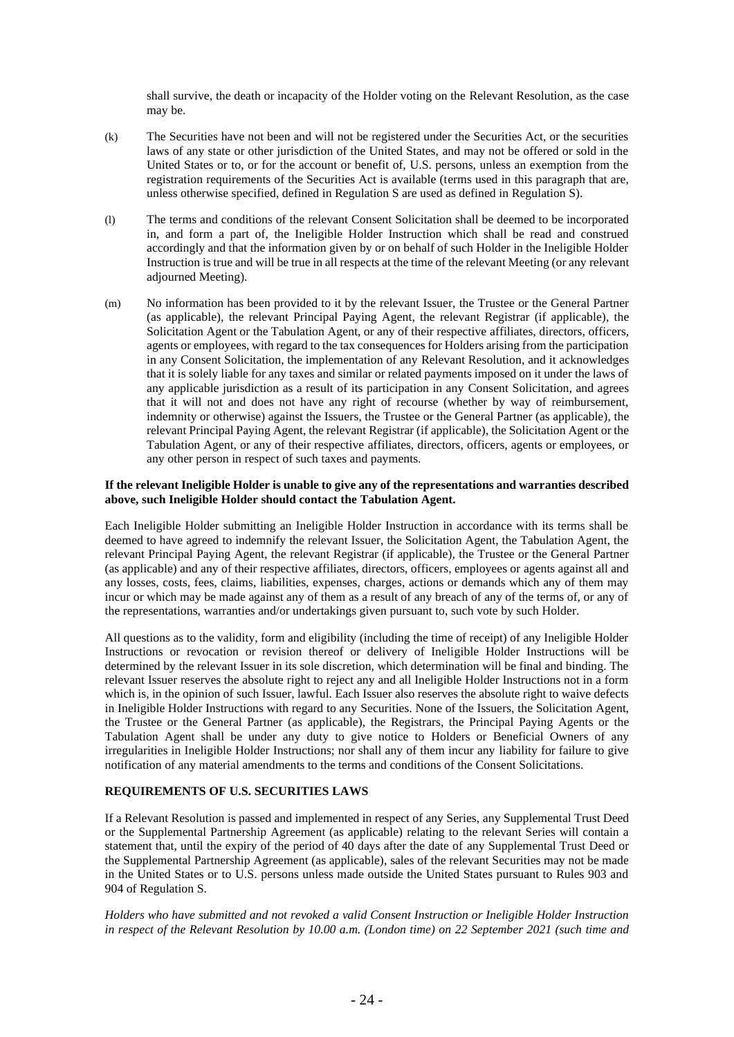shall survive, the death or incapacity of the Holder voting on the Relevant Resolution, as the case may be.

- (k) The Securities have not been and will not be registered under the Securities Act, or the securities laws of any state or other jurisdiction of the United States, and may not be offered or sold in the United States or to, or for the account or benefit of, U.S. persons, unless an exemption from the registration requirements of the Securities Act is available (terms used in this paragraph that are, unless otherwise specified, defined in Regulation S are used as defined in Regulation S).
- (l) The terms and conditions of the relevant Consent Solicitation shall be deemed to be incorporated in, and form a part of, the Ineligible Holder Instruction which shall be read and construed accordingly and that the information given by or on behalf of such Holder in the Ineligible Holder Instruction is true and will be true in all respects at the time of the relevant Meeting (or any relevant adjourned Meeting).
- (m) No information has been provided to it by the relevant Issuer, the Trustee or the General Partner (as applicable), the relevant Principal Paying Agent, the relevant Registrar (if applicable), the Solicitation Agent or the Tabulation Agent, or any of their respective affiliates, directors, officers, agents or employees, with regard to the tax consequences for Holders arising from the participation in any Consent Solicitation, the implementation of any Relevant Resolution, and it acknowledges that it is solely liable for any taxes and similar or related payments imposed on it under the laws of any applicable jurisdiction as a result of its participation in any Consent Solicitation, and agrees that it will not and does not have any right of recourse (whether by way of reimbursement, indemnity or otherwise) against the Issuers, the Trustee or the General Partner (as applicable), the relevant Principal Paying Agent, the relevant Registrar (if applicable), the Solicitation Agent or the Tabulation Agent, or any of their respective affiliates, directors, officers, agents or employees, or any other person in respect of such taxes and payments.

### **If the relevant Ineligible Holder is unable to give any of the representations and warranties described above, such Ineligible Holder should contact the Tabulation Agent.**

Each Ineligible Holder submitting an Ineligible Holder Instruction in accordance with its terms shall be deemed to have agreed to indemnify the relevant Issuer, the Solicitation Agent, the Tabulation Agent, the relevant Principal Paying Agent, the relevant Registrar (if applicable), the Trustee or the General Partner (as applicable) and any of their respective affiliates, directors, officers, employees or agents against all and any losses, costs, fees, claims, liabilities, expenses, charges, actions or demands which any of them may incur or which may be made against any of them as a result of any breach of any of the terms of, or any of the representations, warranties and/or undertakings given pursuant to, such vote by such Holder.

All questions as to the validity, form and eligibility (including the time of receipt) of any Ineligible Holder Instructions or revocation or revision thereof or delivery of Ineligible Holder Instructions will be determined by the relevant Issuer in its sole discretion, which determination will be final and binding. The relevant Issuer reserves the absolute right to reject any and all Ineligible Holder Instructions not in a form which is, in the opinion of such Issuer, lawful. Each Issuer also reserves the absolute right to waive defects in Ineligible Holder Instructions with regard to any Securities. None of the Issuers, the Solicitation Agent, the Trustee or the General Partner (as applicable), the Registrars, the Principal Paying Agents or the Tabulation Agent shall be under any duty to give notice to Holders or Beneficial Owners of any irregularities in Ineligible Holder Instructions; nor shall any of them incur any liability for failure to give notification of any material amendments to the terms and conditions of the Consent Solicitations.

### **REQUIREMENTS OF U.S. SECURITIES LAWS**

If a Relevant Resolution is passed and implemented in respect of any Series, any Supplemental Trust Deed or the Supplemental Partnership Agreement (as applicable) relating to the relevant Series will contain a statement that, until the expiry of the period of 40 days after the date of any Supplemental Trust Deed or the Supplemental Partnership Agreement (as applicable), sales of the relevant Securities may not be made in the United States or to U.S. persons unless made outside the United States pursuant to Rules 903 and 904 of Regulation S.

*Holders who have submitted and not revoked a valid Consent Instruction or Ineligible Holder Instruction in respect of the Relevant Resolution by 10.00 a.m. (London time) on 22 September 2021 (such time and*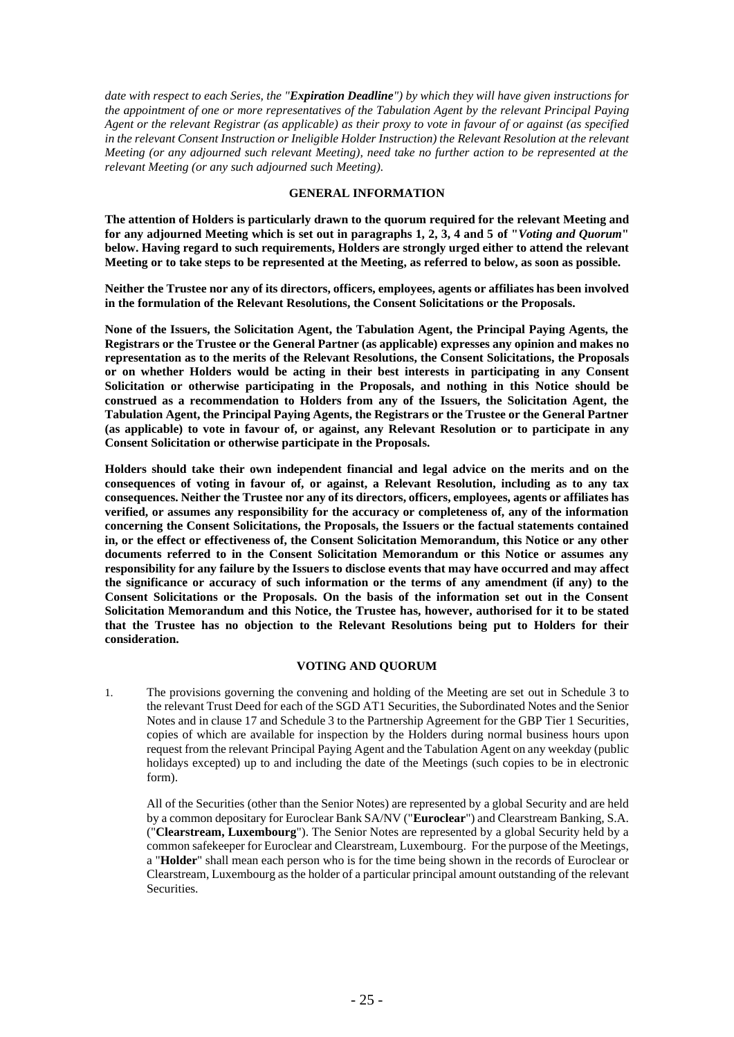*date with respect to each Series, the "Expiration Deadline") by which they will have given instructions for the appointment of one or more representatives of the Tabulation Agent by the relevant Principal Paying Agent or the relevant Registrar (as applicable) as their proxy to vote in favour of or against (as specified in the relevant Consent Instruction or Ineligible Holder Instruction) the Relevant Resolution at the relevant Meeting (or any adjourned such relevant Meeting), need take no further action to be represented at the relevant Meeting (or any such adjourned such Meeting).*

### **GENERAL INFORMATION**

**The attention of Holders is particularly drawn to the quorum required for the relevant Meeting and for any adjourned Meeting which is set out in paragraphs 1, 2, 3, 4 and 5 of "***Voting and Quorum***" below. Having regard to such requirements, Holders are strongly urged either to attend the relevant Meeting or to take steps to be represented at the Meeting, as referred to below, as soon as possible.**

**Neither the Trustee nor any of its directors, officers, employees, agents or affiliates has been involved in the formulation of the Relevant Resolutions, the Consent Solicitations or the Proposals.**

**None of the Issuers, the Solicitation Agent, the Tabulation Agent, the Principal Paying Agents, the Registrars or the Trustee or the General Partner (as applicable) expresses any opinion and makes no representation as to the merits of the Relevant Resolutions, the Consent Solicitations, the Proposals or on whether Holders would be acting in their best interests in participating in any Consent Solicitation or otherwise participating in the Proposals, and nothing in this Notice should be construed as a recommendation to Holders from any of the Issuers, the Solicitation Agent, the Tabulation Agent, the Principal Paying Agents, the Registrars or the Trustee or the General Partner (as applicable) to vote in favour of, or against, any Relevant Resolution or to participate in any Consent Solicitation or otherwise participate in the Proposals.** 

**Holders should take their own independent financial and legal advice on the merits and on the consequences of voting in favour of, or against, a Relevant Resolution, including as to any tax consequences. Neither the Trustee nor any of its directors, officers, employees, agents or affiliates has verified, or assumes any responsibility for the accuracy or completeness of, any of the information concerning the Consent Solicitations, the Proposals, the Issuers or the factual statements contained in, or the effect or effectiveness of, the Consent Solicitation Memorandum, this Notice or any other documents referred to in the Consent Solicitation Memorandum or this Notice or assumes any responsibility for any failure by the Issuers to disclose events that may have occurred and may affect the significance or accuracy of such information or the terms of any amendment (if any) to the Consent Solicitations or the Proposals. On the basis of the information set out in the Consent Solicitation Memorandum and this Notice, the Trustee has, however, authorised for it to be stated that the Trustee has no objection to the Relevant Resolutions being put to Holders for their consideration.**

### **VOTING AND QUORUM**

1. The provisions governing the convening and holding of the Meeting are set out in Schedule 3 to the relevant Trust Deed for each of the SGD AT1 Securities, the Subordinated Notes and the Senior Notes and in clause 17 and Schedule 3 to the Partnership Agreement for the GBP Tier 1 Securities, copies of which are available for inspection by the Holders during normal business hours upon request from the relevant Principal Paying Agent and the Tabulation Agent on any weekday (public holidays excepted) up to and including the date of the Meetings (such copies to be in electronic form).

All of the Securities (other than the Senior Notes) are represented by a global Security and are held by a common depositary for Euroclear Bank SA/NV ("**Euroclear**") and Clearstream Banking, S.A. ("**Clearstream, Luxembourg**"). The Senior Notes are represented by a global Security held by a common safekeeper for Euroclear and Clearstream, Luxembourg. For the purpose of the Meetings, a "**Holder**" shall mean each person who is for the time being shown in the records of Euroclear or Clearstream, Luxembourg as the holder of a particular principal amount outstanding of the relevant Securities.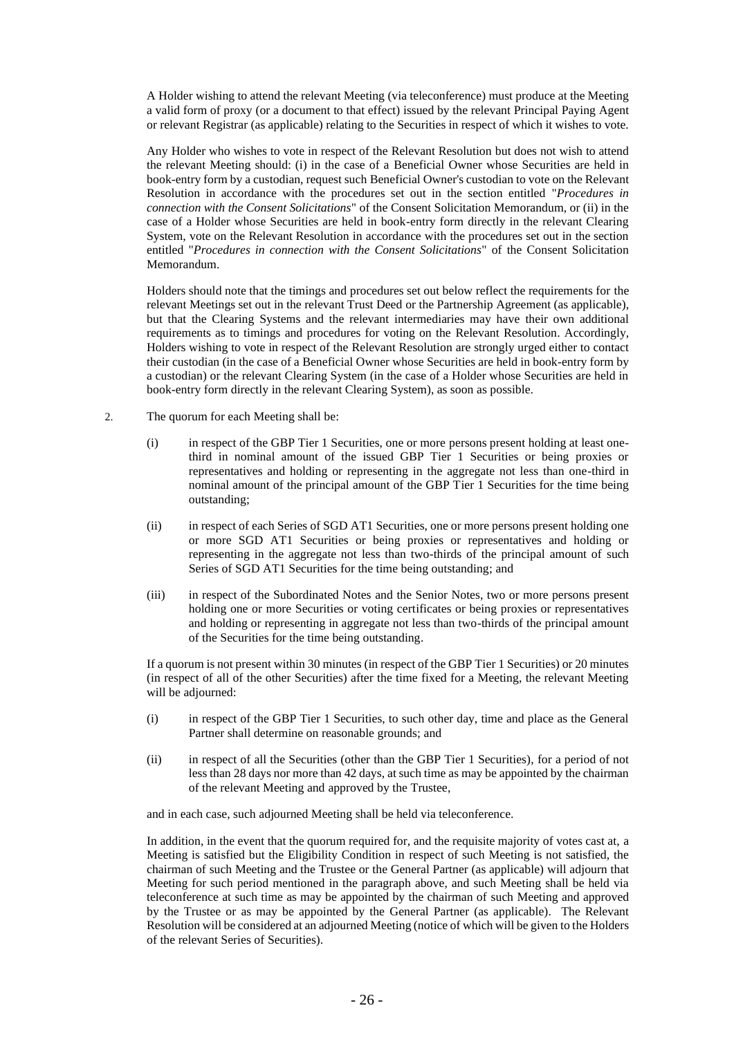A Holder wishing to attend the relevant Meeting (via teleconference) must produce at the Meeting a valid form of proxy (or a document to that effect) issued by the relevant Principal Paying Agent or relevant Registrar (as applicable) relating to the Securities in respect of which it wishes to vote.

Any Holder who wishes to vote in respect of the Relevant Resolution but does not wish to attend the relevant Meeting should: (i) in the case of a Beneficial Owner whose Securities are held in book-entry form by a custodian, request such Beneficial Owner's custodian to vote on the Relevant Resolution in accordance with the procedures set out in the section entitled "*Procedures in connection with the Consent Solicitations*" of the Consent Solicitation Memorandum, or (ii) in the case of a Holder whose Securities are held in book-entry form directly in the relevant Clearing System, vote on the Relevant Resolution in accordance with the procedures set out in the section entitled "*Procedures in connection with the Consent Solicitations*" of the Consent Solicitation Memorandum.

Holders should note that the timings and procedures set out below reflect the requirements for the relevant Meetings set out in the relevant Trust Deed or the Partnership Agreement (as applicable), but that the Clearing Systems and the relevant intermediaries may have their own additional requirements as to timings and procedures for voting on the Relevant Resolution. Accordingly, Holders wishing to vote in respect of the Relevant Resolution are strongly urged either to contact their custodian (in the case of a Beneficial Owner whose Securities are held in book-entry form by a custodian) or the relevant Clearing System (in the case of a Holder whose Securities are held in book-entry form directly in the relevant Clearing System), as soon as possible.

- 2. The quorum for each Meeting shall be:
	- (i) in respect of the GBP Tier 1 Securities, one or more persons present holding at least onethird in nominal amount of the issued GBP Tier 1 Securities or being proxies or representatives and holding or representing in the aggregate not less than one-third in nominal amount of the principal amount of the GBP Tier 1 Securities for the time being outstanding;
	- (ii) in respect of each Series of SGD AT1 Securities, one or more persons present holding one or more SGD AT1 Securities or being proxies or representatives and holding or representing in the aggregate not less than two-thirds of the principal amount of such Series of SGD AT1 Securities for the time being outstanding; and
	- (iii) in respect of the Subordinated Notes and the Senior Notes, two or more persons present holding one or more Securities or voting certificates or being proxies or representatives and holding or representing in aggregate not less than two-thirds of the principal amount of the Securities for the time being outstanding.

If a quorum is not present within 30 minutes (in respect of the GBP Tier 1 Securities) or 20 minutes (in respect of all of the other Securities) after the time fixed for a Meeting, the relevant Meeting will be adjourned:

- (i) in respect of the GBP Tier 1 Securities, to such other day, time and place as the General Partner shall determine on reasonable grounds; and
- (ii) in respect of all the Securities (other than the GBP Tier 1 Securities), for a period of not less than 28 days nor more than 42 days, at such time as may be appointed by the chairman of the relevant Meeting and approved by the Trustee,

and in each case, such adjourned Meeting shall be held via teleconference.

In addition, in the event that the quorum required for, and the requisite majority of votes cast at, a Meeting is satisfied but the Eligibility Condition in respect of such Meeting is not satisfied, the chairman of such Meeting and the Trustee or the General Partner (as applicable) will adjourn that Meeting for such period mentioned in the paragraph above, and such Meeting shall be held via teleconference at such time as may be appointed by the chairman of such Meeting and approved by the Trustee or as may be appointed by the General Partner (as applicable). The Relevant Resolution will be considered at an adjourned Meeting (notice of which will be given to the Holders of the relevant Series of Securities).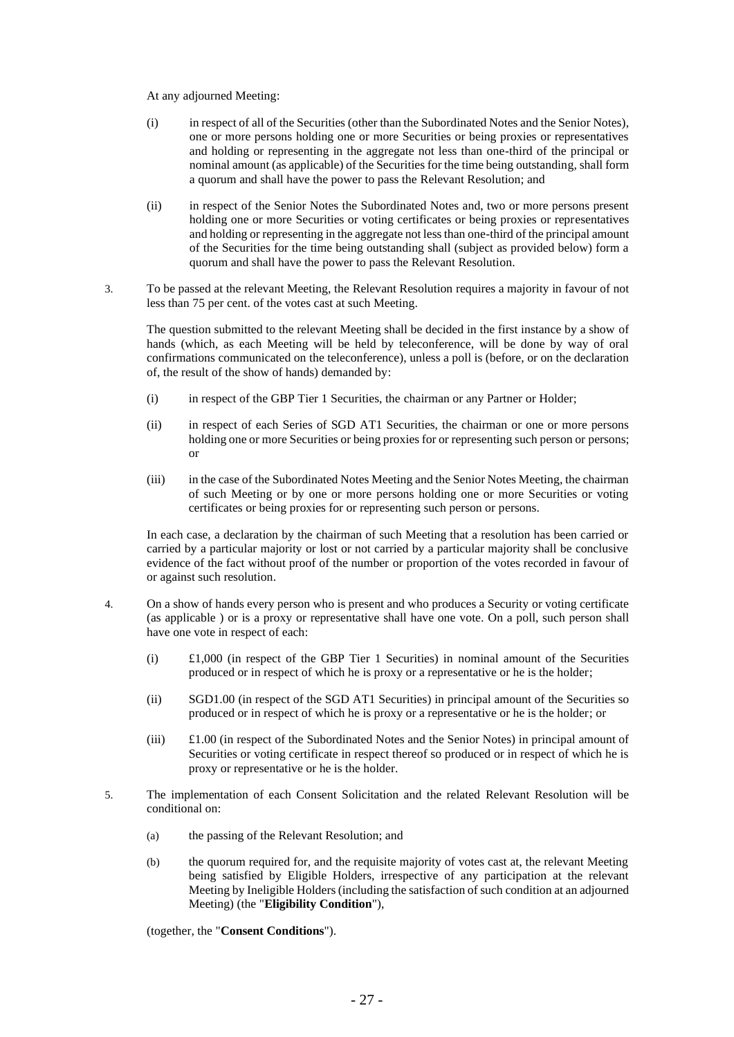At any adjourned Meeting:

- (i) in respect of all of the Securities (other than the Subordinated Notes and the Senior Notes), one or more persons holding one or more Securities or being proxies or representatives and holding or representing in the aggregate not less than one-third of the principal or nominal amount (as applicable) of the Securities for the time being outstanding, shall form a quorum and shall have the power to pass the Relevant Resolution; and
- (ii) in respect of the Senior Notes the Subordinated Notes and, two or more persons present holding one or more Securities or voting certificates or being proxies or representatives and holding or representing in the aggregate not less than one-third of the principal amount of the Securities for the time being outstanding shall (subject as provided below) form a quorum and shall have the power to pass the Relevant Resolution.
- 3. To be passed at the relevant Meeting, the Relevant Resolution requires a majority in favour of not less than 75 per cent. of the votes cast at such Meeting.

The question submitted to the relevant Meeting shall be decided in the first instance by a show of hands (which, as each Meeting will be held by teleconference, will be done by way of oral confirmations communicated on the teleconference), unless a poll is (before, or on the declaration of, the result of the show of hands) demanded by:

- (i) in respect of the GBP Tier 1 Securities, the chairman or any Partner or Holder;
- (ii) in respect of each Series of SGD AT1 Securities, the chairman or one or more persons holding one or more Securities or being proxies for or representing such person or persons; or
- (iii) in the case of the Subordinated Notes Meeting and the Senior Notes Meeting, the chairman of such Meeting or by one or more persons holding one or more Securities or voting certificates or being proxies for or representing such person or persons.

In each case, a declaration by the chairman of such Meeting that a resolution has been carried or carried by a particular majority or lost or not carried by a particular majority shall be conclusive evidence of the fact without proof of the number or proportion of the votes recorded in favour of or against such resolution.

- 4. On a show of hands every person who is present and who produces a Security or voting certificate (as applicable ) or is a proxy or representative shall have one vote. On a poll, such person shall have one vote in respect of each:
	- $(1)$   $\pounds$ 1,000 (in respect of the GBP Tier 1 Securities) in nominal amount of the Securities produced or in respect of which he is proxy or a representative or he is the holder;
	- (ii) SGD1.00 (in respect of the SGD AT1 Securities) in principal amount of the Securities so produced or in respect of which he is proxy or a representative or he is the holder; or
	- (iii) £1.00 (in respect of the Subordinated Notes and the Senior Notes) in principal amount of Securities or voting certificate in respect thereof so produced or in respect of which he is proxy or representative or he is the holder.
- 5. The implementation of each Consent Solicitation and the related Relevant Resolution will be conditional on:
	- (a) the passing of the Relevant Resolution; and
	- (b) the quorum required for, and the requisite majority of votes cast at, the relevant Meeting being satisfied by Eligible Holders, irrespective of any participation at the relevant Meeting by Ineligible Holders (including the satisfaction of such condition at an adjourned Meeting) (the "**Eligibility Condition**"),

(together, the "**Consent Conditions**").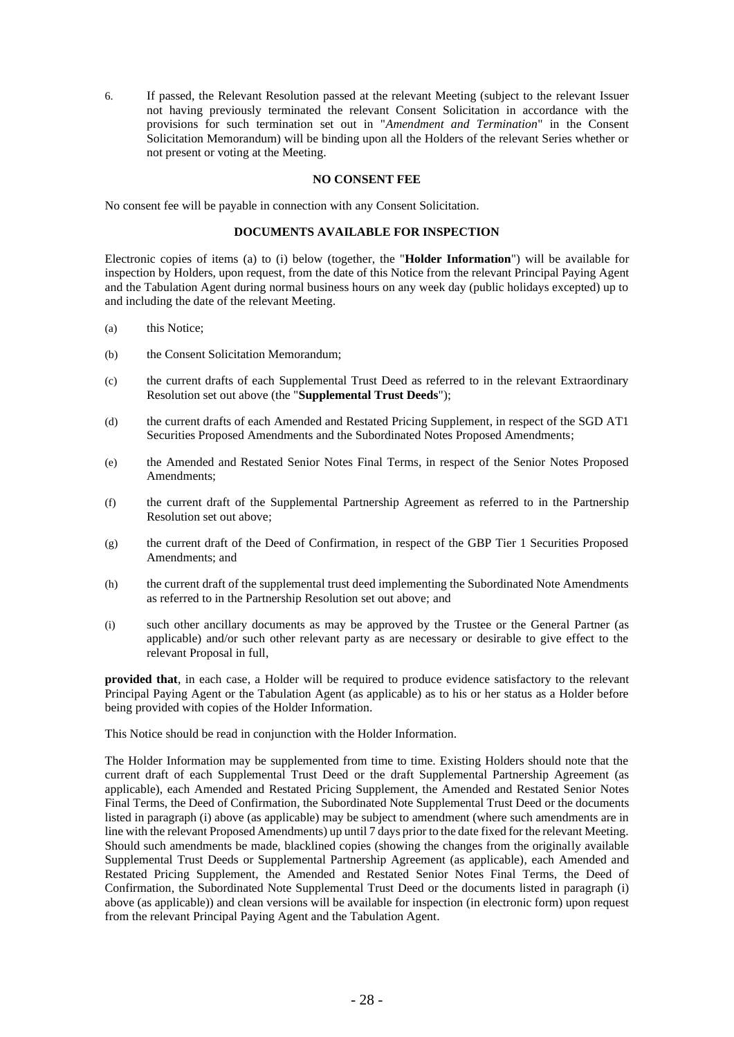6. If passed, the Relevant Resolution passed at the relevant Meeting (subject to the relevant Issuer not having previously terminated the relevant Consent Solicitation in accordance with the provisions for such termination set out in "*Amendment and Termination*" in the Consent Solicitation Memorandum) will be binding upon all the Holders of the relevant Series whether or not present or voting at the Meeting.

### **NO CONSENT FEE**

No consent fee will be payable in connection with any Consent Solicitation.

### **DOCUMENTS AVAILABLE FOR INSPECTION**

Electronic copies of items (a) to (i) below (together, the "**Holder Information**") will be available for inspection by Holders, upon request, from the date of this Notice from the relevant Principal Paying Agent and the Tabulation Agent during normal business hours on any week day (public holidays excepted) up to and including the date of the relevant Meeting.

- (a) this Notice;
- (b) the Consent Solicitation Memorandum;
- (c) the current drafts of each Supplemental Trust Deed as referred to in the relevant Extraordinary Resolution set out above (the "**Supplemental Trust Deeds**");
- (d) the current drafts of each Amended and Restated Pricing Supplement, in respect of the SGD AT1 Securities Proposed Amendments and the Subordinated Notes Proposed Amendments;
- (e) the Amended and Restated Senior Notes Final Terms, in respect of the Senior Notes Proposed Amendments;
- (f) the current draft of the Supplemental Partnership Agreement as referred to in the Partnership Resolution set out above;
- (g) the current draft of the Deed of Confirmation, in respect of the GBP Tier 1 Securities Proposed Amendments; and
- (h) the current draft of the supplemental trust deed implementing the Subordinated Note Amendments as referred to in the Partnership Resolution set out above; and
- (i) such other ancillary documents as may be approved by the Trustee or the General Partner (as applicable) and/or such other relevant party as are necessary or desirable to give effect to the relevant Proposal in full,

**provided that**, in each case, a Holder will be required to produce evidence satisfactory to the relevant Principal Paying Agent or the Tabulation Agent (as applicable) as to his or her status as a Holder before being provided with copies of the Holder Information.

This Notice should be read in conjunction with the Holder Information.

The Holder Information may be supplemented from time to time. Existing Holders should note that the current draft of each Supplemental Trust Deed or the draft Supplemental Partnership Agreement (as applicable), each Amended and Restated Pricing Supplement, the Amended and Restated Senior Notes Final Terms, the Deed of Confirmation, the Subordinated Note Supplemental Trust Deed or the documents listed in paragraph (i) above (as applicable) may be subject to amendment (where such amendments are in line with the relevant Proposed Amendments) up until 7 days prior to the date fixed for the relevant Meeting. Should such amendments be made, blacklined copies (showing the changes from the originally available Supplemental Trust Deeds or Supplemental Partnership Agreement (as applicable), each Amended and Restated Pricing Supplement, the Amended and Restated Senior Notes Final Terms, the Deed of Confirmation, the Subordinated Note Supplemental Trust Deed or the documents listed in paragraph (i) above (as applicable)) and clean versions will be available for inspection (in electronic form) upon request from the relevant Principal Paying Agent and the Tabulation Agent.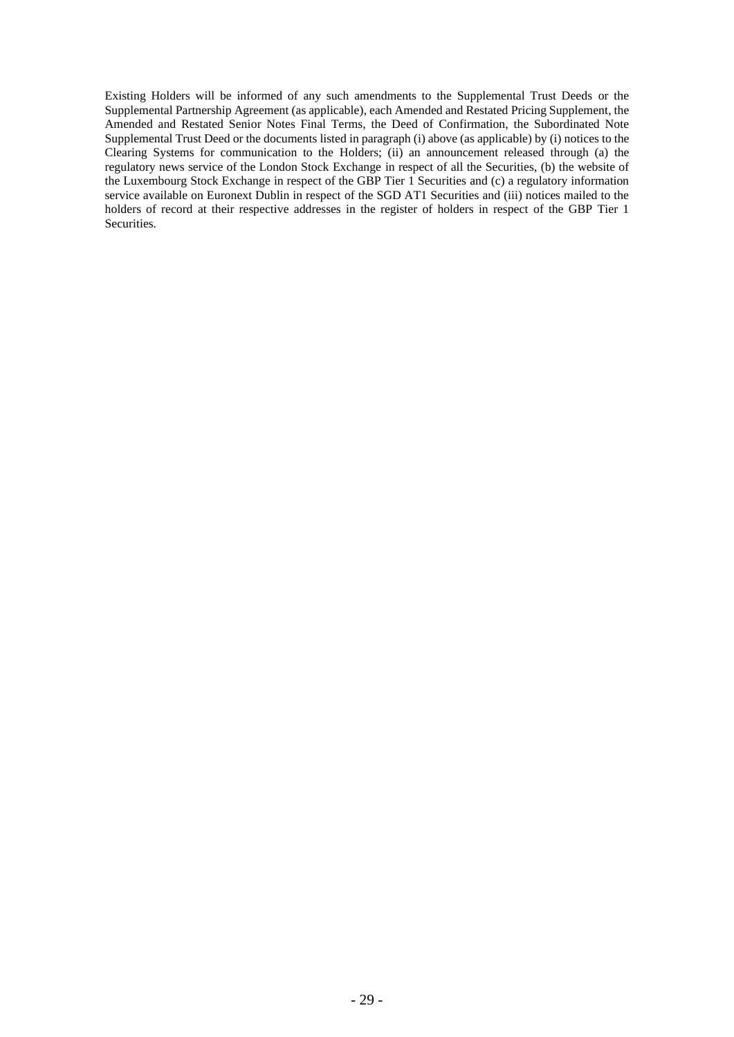Existing Holders will be informed of any such amendments to the Supplemental Trust Deeds or the Supplemental Partnership Agreement (as applicable), each Amended and Restated Pricing Supplement, the Amended and Restated Senior Notes Final Terms, the Deed of Confirmation, the Subordinated Note Supplemental Trust Deed or the documents listed in paragraph (i) above (as applicable) by (i) notices to the Clearing Systems for communication to the Holders; (ii) an announcement released through (a) the regulatory news service of the London Stock Exchange in respect of all the Securities, (b) the website of the Luxembourg Stock Exchange in respect of the GBP Tier 1 Securities and (c) a regulatory information service available on Euronext Dublin in respect of the SGD AT1 Securities and (iii) notices mailed to the holders of record at their respective addresses in the register of holders in respect of the GBP Tier 1 Securities.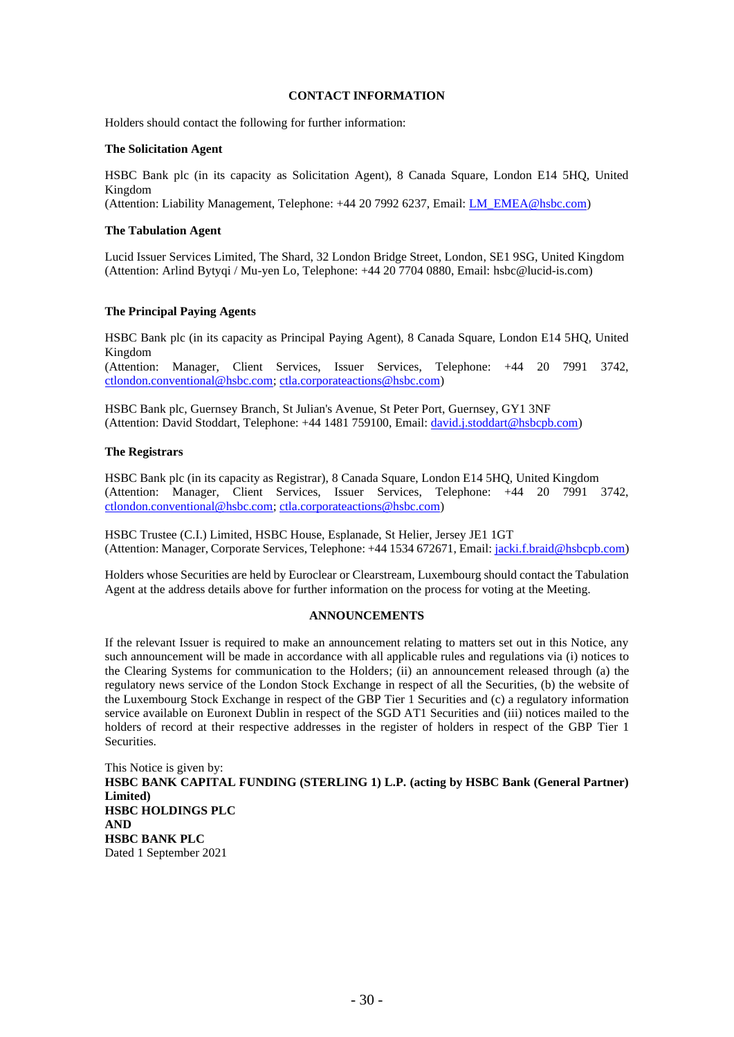### **CONTACT INFORMATION**

Holders should contact the following for further information:

#### **The Solicitation Agent**

HSBC Bank plc (in its capacity as Solicitation Agent), 8 Canada Square, London E14 5HQ, United Kingdom

(Attention: Liability Management, Telephone: +44 20 7992 6237, Email: [LM\\_EMEA@hsbc.com\)](mailto:LM_EMEA@hsbc.com)

### **The Tabulation Agent**

Lucid Issuer Services Limited, The Shard, 32 London Bridge Street, London, SE1 9SG, United Kingdom (Attention: Arlind Bytyqi / Mu-yen Lo, Telephone: +44 20 7704 0880, Email: hsbc@lucid-is.com)

### **The Principal Paying Agents**

HSBC Bank plc (in its capacity as Principal Paying Agent), 8 Canada Square, London E14 5HQ, United Kingdom (Attention: Manager, Client Services, Issuer Services, Telephone: +44 20 7991 3742, [ctlondon.conventional@hsbc.com;](mailto:ctlondon.conventional@hsbc.com) [ctla.corporateactions@hsbc.com\)](mailto:ctla.corporateactions@hsbc.com)

HSBC Bank plc, Guernsey Branch, St Julian's Avenue, St Peter Port, Guernsey, GY1 3NF (Attention: David Stoddart, Telephone: +44 1481 759100, Email[: david.j.stoddart@hsbcpb.com\)](mailto:david.j.stoddart@hsbcpb.com)

### **The Registrars**

HSBC Bank plc (in its capacity as Registrar), 8 Canada Square, London E14 5HQ, United Kingdom (Attention: Manager, Client Services, Issuer Services, Telephone: +44 20 7991 3742, [ctlondon.conventional@hsbc.com;](mailto:ctlondon.conventional@hsbc.com) [ctla.corporateactions@hsbc.com\)](mailto:ctla.corporateactions@hsbc.com)

HSBC Trustee (C.I.) Limited, HSBC House, Esplanade, St Helier, Jersey JE1 1GT (Attention: Manager, Corporate Services, Telephone: +44 1534 672671, Email[: jacki.f.braid@hsbcpb.com\)](mailto:jacki.f.braid@hsbcpb.com)

Holders whose Securities are held by Euroclear or Clearstream, Luxembourg should contact the Tabulation Agent at the address details above for further information on the process for voting at the Meeting.

#### **ANNOUNCEMENTS**

If the relevant Issuer is required to make an announcement relating to matters set out in this Notice, any such announcement will be made in accordance with all applicable rules and regulations via (i) notices to the Clearing Systems for communication to the Holders; (ii) an announcement released through (a) the regulatory news service of the London Stock Exchange in respect of all the Securities, (b) the website of the Luxembourg Stock Exchange in respect of the GBP Tier 1 Securities and (c) a regulatory information service available on Euronext Dublin in respect of the SGD AT1 Securities and (iii) notices mailed to the holders of record at their respective addresses in the register of holders in respect of the GBP Tier 1 Securities.

This Notice is given by: **HSBC BANK CAPITAL FUNDING (STERLING 1) L.P. (acting by HSBC Bank (General Partner) Limited) HSBC HOLDINGS PLC AND HSBC BANK PLC** Dated 1 September 2021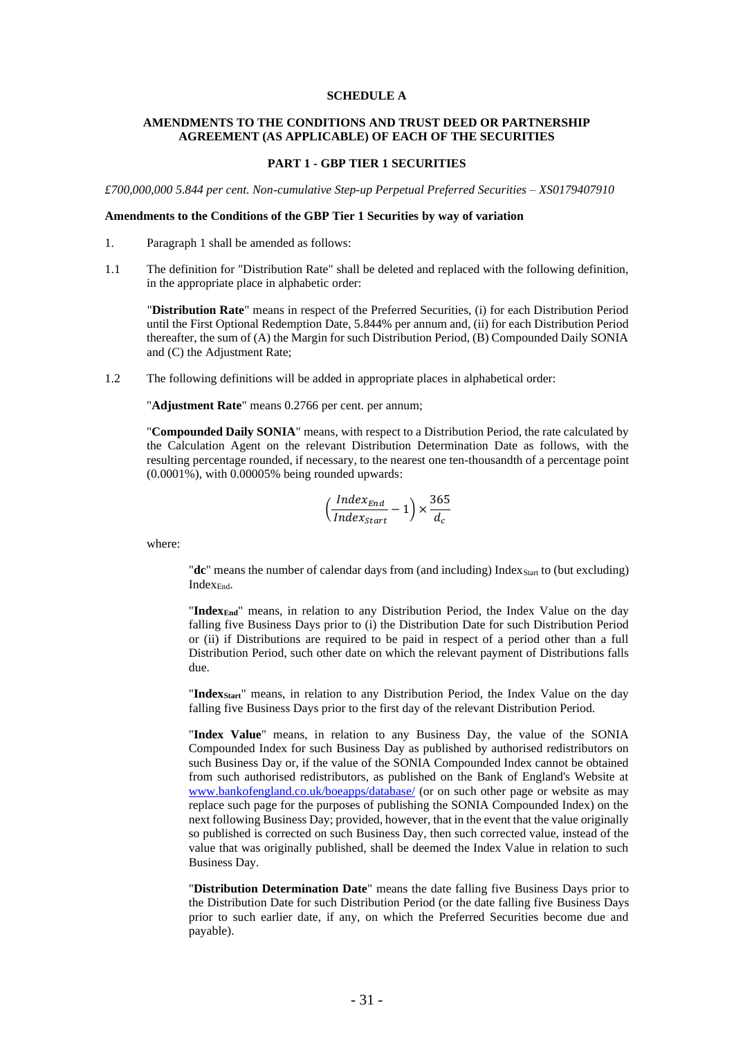#### **SCHEDULE A**

### **AMENDMENTS TO THE CONDITIONS AND TRUST DEED OR PARTNERSHIP AGREEMENT (AS APPLICABLE) OF EACH OF THE SECURITIES**

### **PART 1 - GBP TIER 1 SECURITIES**

*£700,000,000 5.844 per cent. Non-cumulative Step-up Perpetual Preferred Securities – XS0179407910*

### **Amendments to the Conditions of the GBP Tier 1 Securities by way of variation**

- 1. Paragraph 1 shall be amended as follows:
- 1.1 The definition for "Distribution Rate" shall be deleted and replaced with the following definition, in the appropriate place in alphabetic order:

"**Distribution Rate**" means in respect of the Preferred Securities, (i) for each Distribution Period until the First Optional Redemption Date, 5.844% per annum and, (ii) for each Distribution Period thereafter, the sum of (A) the Margin for such Distribution Period, (B) Compounded Daily SONIA and (C) the Adjustment Rate;

1.2 The following definitions will be added in appropriate places in alphabetical order:

"**Adjustment Rate**" means 0.2766 per cent. per annum;

"**Compounded Daily SONIA**" means, with respect to a Distribution Period, the rate calculated by the Calculation Agent on the relevant Distribution Determination Date as follows, with the resulting percentage rounded, if necessary, to the nearest one ten-thousandth of a percentage point (0.0001%), with 0.00005% being rounded upwards:

$$
\left(\frac{Index_{End}}{Index_{Start}}-1\right) \times \frac{365}{d_c}
$$

where:

"dc" means the number of calendar days from (and including) Index<sub>Start</sub> to (but excluding) IndexEnd.

"**IndexEnd**" means, in relation to any Distribution Period, the Index Value on the day falling five Business Days prior to (i) the Distribution Date for such Distribution Period or (ii) if Distributions are required to be paid in respect of a period other than a full Distribution Period, such other date on which the relevant payment of Distributions falls due.

"**IndexStart**" means, in relation to any Distribution Period, the Index Value on the day falling five Business Days prior to the first day of the relevant Distribution Period.

"**Index Value**" means, in relation to any Business Day, the value of the SONIA Compounded Index for such Business Day as published by authorised redistributors on such Business Day or, if the value of the SONIA Compounded Index cannot be obtained from such authorised redistributors, as published on the Bank of England's Website at [www.bankofengland.co.uk/boeapps/database/](http://www.bankofengland.co.uk/boeapps/database/) (or on such other page or website as may replace such page for the purposes of publishing the SONIA Compounded Index) on the next following Business Day; provided, however, that in the event that the value originally so published is corrected on such Business Day, then such corrected value, instead of the value that was originally published, shall be deemed the Index Value in relation to such Business Day.

"**Distribution Determination Date**" means the date falling five Business Days prior to the Distribution Date for such Distribution Period (or the date falling five Business Days prior to such earlier date, if any, on which the Preferred Securities become due and payable).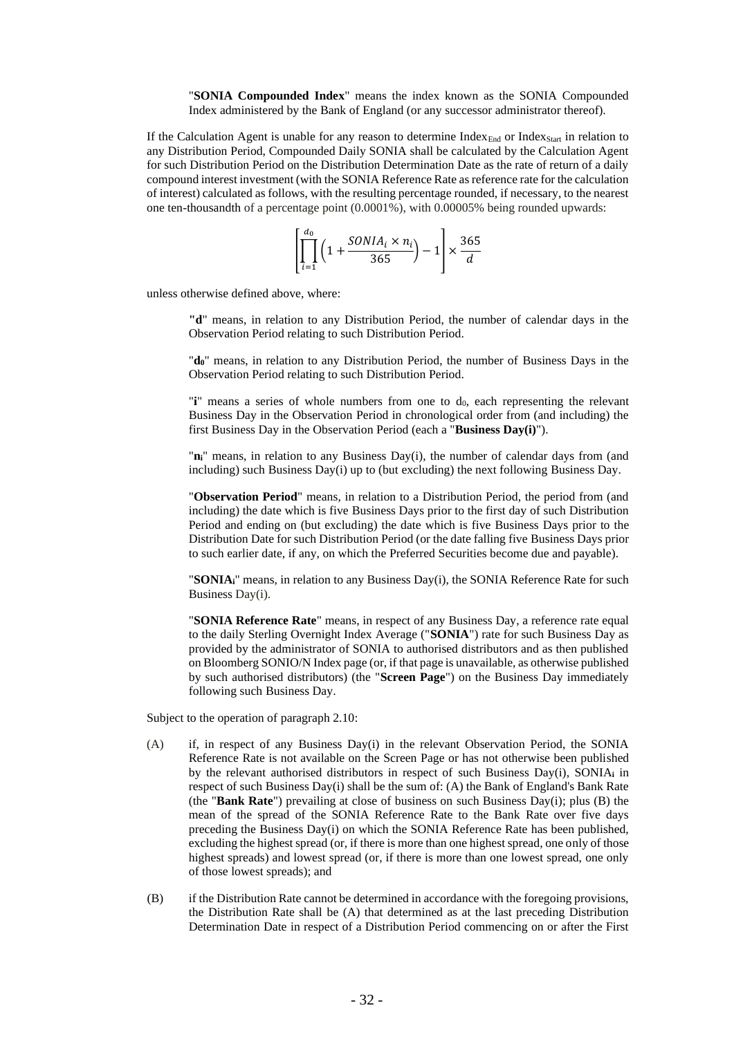"**SONIA Compounded Index**" means the index known as the SONIA Compounded Index administered by the Bank of England (or any successor administrator thereof).

If the Calculation Agent is unable for any reason to determine  $Index_{End}$  or Index<sub>Start</sub> in relation to any Distribution Period, Compounded Daily SONIA shall be calculated by the Calculation Agent for such Distribution Period on the Distribution Determination Date as the rate of return of a daily compound interest investment (with the SONIA Reference Rate as reference rate for the calculation of interest) calculated as follows, with the resulting percentage rounded, if necessary, to the nearest one ten-thousandth of a percentage point (0.0001%), with 0.00005% being rounded upwards:

$$
\left[\prod_{i=1}^{d_0} \left(1 + \frac{SONIA_i \times n_i}{365}\right) - 1\right] \times \frac{365}{d}
$$

unless otherwise defined above, where:

**"d**" means, in relation to any Distribution Period, the number of calendar days in the Observation Period relating to such Distribution Period.

"**d0**" means, in relation to any Distribution Period, the number of Business Days in the Observation Period relating to such Distribution Period.

"**i**" means a series of whole numbers from one to d<sub>0</sub>, each representing the relevant Business Day in the Observation Period in chronological order from (and including) the first Business Day in the Observation Period (each a "**Business Day(i)**").

"**ni**" means, in relation to any Business Day(i), the number of calendar days from (and including) such Business Day(i) up to (but excluding) the next following Business Day.

"**Observation Period**" means, in relation to a Distribution Period, the period from (and including) the date which is five Business Days prior to the first day of such Distribution Period and ending on (but excluding) the date which is five Business Days prior to the Distribution Date for such Distribution Period (or the date falling five Business Days prior to such earlier date, if any, on which the Preferred Securities become due and payable).

"**SONIAi**" means, in relation to any Business Day(i), the SONIA Reference Rate for such Business Day(i).

"**SONIA Reference Rate**" means, in respect of any Business Day, a reference rate equal to the daily Sterling Overnight Index Average ("**SONIA**") rate for such Business Day as provided by the administrator of SONIA to authorised distributors and as then published on Bloomberg SONIO/N Index page (or, if that page is unavailable, as otherwise published by such authorised distributors) (the "**Screen Page**") on the Business Day immediately following such Business Day.

Subject to the operation of paragraph 2.10:

- (A) if, in respect of any Business Day(i) in the relevant Observation Period, the SONIA Reference Rate is not available on the Screen Page or has not otherwise been published by the relevant authorised distributors in respect of such Business Day(i), SONIA**<sup>i</sup>** in respect of such Business Day(i) shall be the sum of: (A) the Bank of England's Bank Rate (the "**Bank Rate**") prevailing at close of business on such Business Day(i); plus (B) the mean of the spread of the SONIA Reference Rate to the Bank Rate over five days preceding the Business Day(i) on which the SONIA Reference Rate has been published, excluding the highest spread (or, if there is more than one highest spread, one only of those highest spreads) and lowest spread (or, if there is more than one lowest spread, one only of those lowest spreads); and
- (B) if the Distribution Rate cannot be determined in accordance with the foregoing provisions, the Distribution Rate shall be (A) that determined as at the last preceding Distribution Determination Date in respect of a Distribution Period commencing on or after the First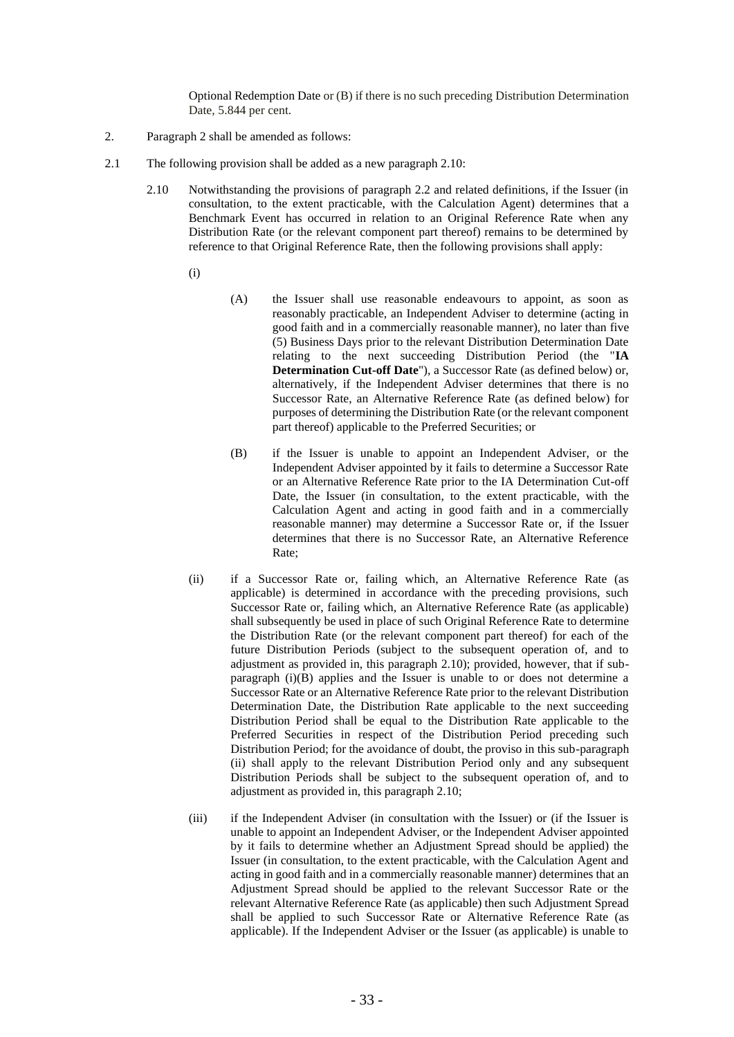Optional Redemption Date or (B) if there is no such preceding Distribution Determination Date, 5.844 per cent.

- 2. Paragraph 2 shall be amended as follows:
- 2.1 The following provision shall be added as a new paragraph 2.10:
	- 2.10 Notwithstanding the provisions of paragraph 2.2 and related definitions, if the Issuer (in consultation, to the extent practicable, with the Calculation Agent) determines that a Benchmark Event has occurred in relation to an Original Reference Rate when any Distribution Rate (or the relevant component part thereof) remains to be determined by reference to that Original Reference Rate, then the following provisions shall apply:
		- (i)
- (A) the Issuer shall use reasonable endeavours to appoint, as soon as reasonably practicable, an Independent Adviser to determine (acting in good faith and in a commercially reasonable manner), no later than five (5) Business Days prior to the relevant Distribution Determination Date relating to the next succeeding Distribution Period (the "**IA Determination Cut-off Date**"), a Successor Rate (as defined below) or, alternatively, if the Independent Adviser determines that there is no Successor Rate, an Alternative Reference Rate (as defined below) for purposes of determining the Distribution Rate (or the relevant component part thereof) applicable to the Preferred Securities; or
- (B) if the Issuer is unable to appoint an Independent Adviser, or the Independent Adviser appointed by it fails to determine a Successor Rate or an Alternative Reference Rate prior to the IA Determination Cut-off Date, the Issuer (in consultation, to the extent practicable, with the Calculation Agent and acting in good faith and in a commercially reasonable manner) may determine a Successor Rate or, if the Issuer determines that there is no Successor Rate, an Alternative Reference Rate;
- (ii) if a Successor Rate or, failing which, an Alternative Reference Rate (as applicable) is determined in accordance with the preceding provisions, such Successor Rate or, failing which, an Alternative Reference Rate (as applicable) shall subsequently be used in place of such Original Reference Rate to determine the Distribution Rate (or the relevant component part thereof) for each of the future Distribution Periods (subject to the subsequent operation of, and to adjustment as provided in, this paragraph 2.10); provided, however, that if subparagraph (i)(B) applies and the Issuer is unable to or does not determine a Successor Rate or an Alternative Reference Rate prior to the relevant Distribution Determination Date, the Distribution Rate applicable to the next succeeding Distribution Period shall be equal to the Distribution Rate applicable to the Preferred Securities in respect of the Distribution Period preceding such Distribution Period; for the avoidance of doubt, the proviso in this sub-paragraph (ii) shall apply to the relevant Distribution Period only and any subsequent Distribution Periods shall be subject to the subsequent operation of, and to adjustment as provided in, this paragraph 2.10;
- (iii) if the Independent Adviser (in consultation with the Issuer) or (if the Issuer is unable to appoint an Independent Adviser, or the Independent Adviser appointed by it fails to determine whether an Adjustment Spread should be applied) the Issuer (in consultation, to the extent practicable, with the Calculation Agent and acting in good faith and in a commercially reasonable manner) determines that an Adjustment Spread should be applied to the relevant Successor Rate or the relevant Alternative Reference Rate (as applicable) then such Adjustment Spread shall be applied to such Successor Rate or Alternative Reference Rate (as applicable). If the Independent Adviser or the Issuer (as applicable) is unable to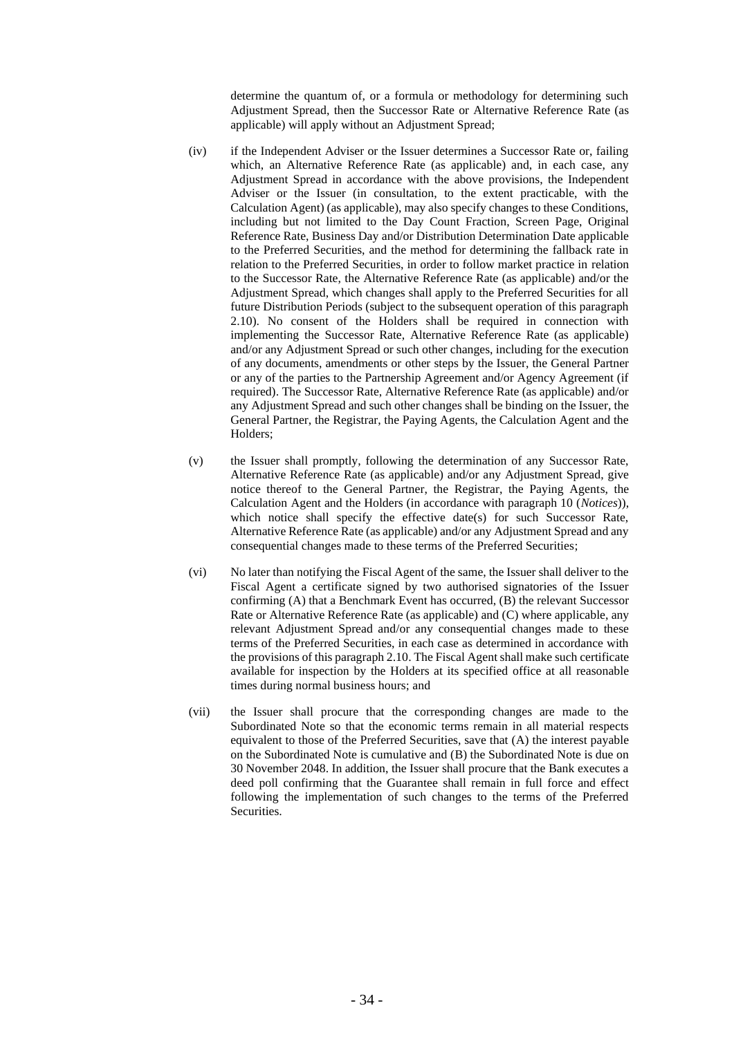determine the quantum of, or a formula or methodology for determining such Adjustment Spread, then the Successor Rate or Alternative Reference Rate (as applicable) will apply without an Adjustment Spread;

- (iv) if the Independent Adviser or the Issuer determines a Successor Rate or, failing which, an Alternative Reference Rate (as applicable) and, in each case, any Adjustment Spread in accordance with the above provisions, the Independent Adviser or the Issuer (in consultation, to the extent practicable, with the Calculation Agent) (as applicable), may also specify changes to these Conditions, including but not limited to the Day Count Fraction, Screen Page, Original Reference Rate, Business Day and/or Distribution Determination Date applicable to the Preferred Securities, and the method for determining the fallback rate in relation to the Preferred Securities, in order to follow market practice in relation to the Successor Rate, the Alternative Reference Rate (as applicable) and/or the Adjustment Spread, which changes shall apply to the Preferred Securities for all future Distribution Periods (subject to the subsequent operation of this paragraph 2.10). No consent of the Holders shall be required in connection with implementing the Successor Rate, Alternative Reference Rate (as applicable) and/or any Adjustment Spread or such other changes, including for the execution of any documents, amendments or other steps by the Issuer, the General Partner or any of the parties to the Partnership Agreement and/or Agency Agreement (if required). The Successor Rate, Alternative Reference Rate (as applicable) and/or any Adjustment Spread and such other changes shall be binding on the Issuer, the General Partner, the Registrar, the Paying Agents, the Calculation Agent and the Holders;
- (v) the Issuer shall promptly, following the determination of any Successor Rate, Alternative Reference Rate (as applicable) and/or any Adjustment Spread, give notice thereof to the General Partner, the Registrar, the Paying Agents, the Calculation Agent and the Holders (in accordance with paragraph 10 (*Notices*)), which notice shall specify the effective date(s) for such Successor Rate, Alternative Reference Rate (as applicable) and/or any Adjustment Spread and any consequential changes made to these terms of the Preferred Securities;
- (vi) No later than notifying the Fiscal Agent of the same, the Issuer shall deliver to the Fiscal Agent a certificate signed by two authorised signatories of the Issuer confirming (A) that a Benchmark Event has occurred, (B) the relevant Successor Rate or Alternative Reference Rate (as applicable) and (C) where applicable, any relevant Adjustment Spread and/or any consequential changes made to these terms of the Preferred Securities, in each case as determined in accordance with the provisions of this paragraph 2.10. The Fiscal Agent shall make such certificate available for inspection by the Holders at its specified office at all reasonable times during normal business hours; and
- (vii) the Issuer shall procure that the corresponding changes are made to the Subordinated Note so that the economic terms remain in all material respects equivalent to those of the Preferred Securities, save that (A) the interest payable on the Subordinated Note is cumulative and (B) the Subordinated Note is due on 30 November 2048. In addition, the Issuer shall procure that the Bank executes a deed poll confirming that the Guarantee shall remain in full force and effect following the implementation of such changes to the terms of the Preferred Securities.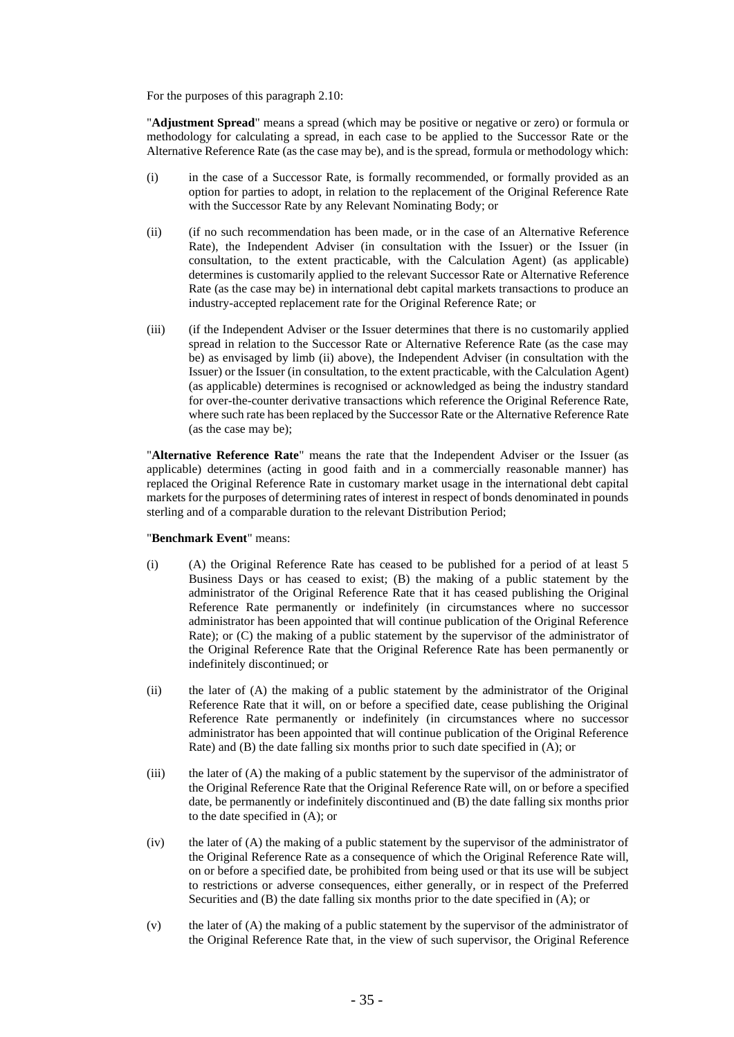For the purposes of this paragraph 2.10:

"**Adjustment Spread**" means a spread (which may be positive or negative or zero) or formula or methodology for calculating a spread, in each case to be applied to the Successor Rate or the Alternative Reference Rate (as the case may be), and is the spread, formula or methodology which:

- (i) in the case of a Successor Rate, is formally recommended, or formally provided as an option for parties to adopt, in relation to the replacement of the Original Reference Rate with the Successor Rate by any Relevant Nominating Body; or
- (ii) (if no such recommendation has been made, or in the case of an Alternative Reference Rate), the Independent Adviser (in consultation with the Issuer) or the Issuer (in consultation, to the extent practicable, with the Calculation Agent) (as applicable) determines is customarily applied to the relevant Successor Rate or Alternative Reference Rate (as the case may be) in international debt capital markets transactions to produce an industry-accepted replacement rate for the Original Reference Rate; or
- (iii) (if the Independent Adviser or the Issuer determines that there is no customarily applied spread in relation to the Successor Rate or Alternative Reference Rate (as the case may be) as envisaged by limb (ii) above), the Independent Adviser (in consultation with the Issuer) or the Issuer (in consultation, to the extent practicable, with the Calculation Agent) (as applicable) determines is recognised or acknowledged as being the industry standard for over-the-counter derivative transactions which reference the Original Reference Rate, where such rate has been replaced by the Successor Rate or the Alternative Reference Rate (as the case may be);

"**Alternative Reference Rate**" means the rate that the Independent Adviser or the Issuer (as applicable) determines (acting in good faith and in a commercially reasonable manner) has replaced the Original Reference Rate in customary market usage in the international debt capital markets for the purposes of determining rates of interest in respect of bonds denominated in pounds sterling and of a comparable duration to the relevant Distribution Period;

#### "**Benchmark Event**" means:

- (i) (A) the Original Reference Rate has ceased to be published for a period of at least 5 Business Days or has ceased to exist; (B) the making of a public statement by the administrator of the Original Reference Rate that it has ceased publishing the Original Reference Rate permanently or indefinitely (in circumstances where no successor administrator has been appointed that will continue publication of the Original Reference Rate); or (C) the making of a public statement by the supervisor of the administrator of the Original Reference Rate that the Original Reference Rate has been permanently or indefinitely discontinued; or
- (ii) the later of (A) the making of a public statement by the administrator of the Original Reference Rate that it will, on or before a specified date, cease publishing the Original Reference Rate permanently or indefinitely (in circumstances where no successor administrator has been appointed that will continue publication of the Original Reference Rate) and (B) the date falling six months prior to such date specified in (A); or
- (iii) the later of (A) the making of a public statement by the supervisor of the administrator of the Original Reference Rate that the Original Reference Rate will, on or before a specified date, be permanently or indefinitely discontinued and (B) the date falling six months prior to the date specified in (A); or
- (iv) the later of (A) the making of a public statement by the supervisor of the administrator of the Original Reference Rate as a consequence of which the Original Reference Rate will, on or before a specified date, be prohibited from being used or that its use will be subject to restrictions or adverse consequences, either generally, or in respect of the Preferred Securities and (B) the date falling six months prior to the date specified in (A); or
- (v) the later of (A) the making of a public statement by the supervisor of the administrator of the Original Reference Rate that, in the view of such supervisor, the Original Reference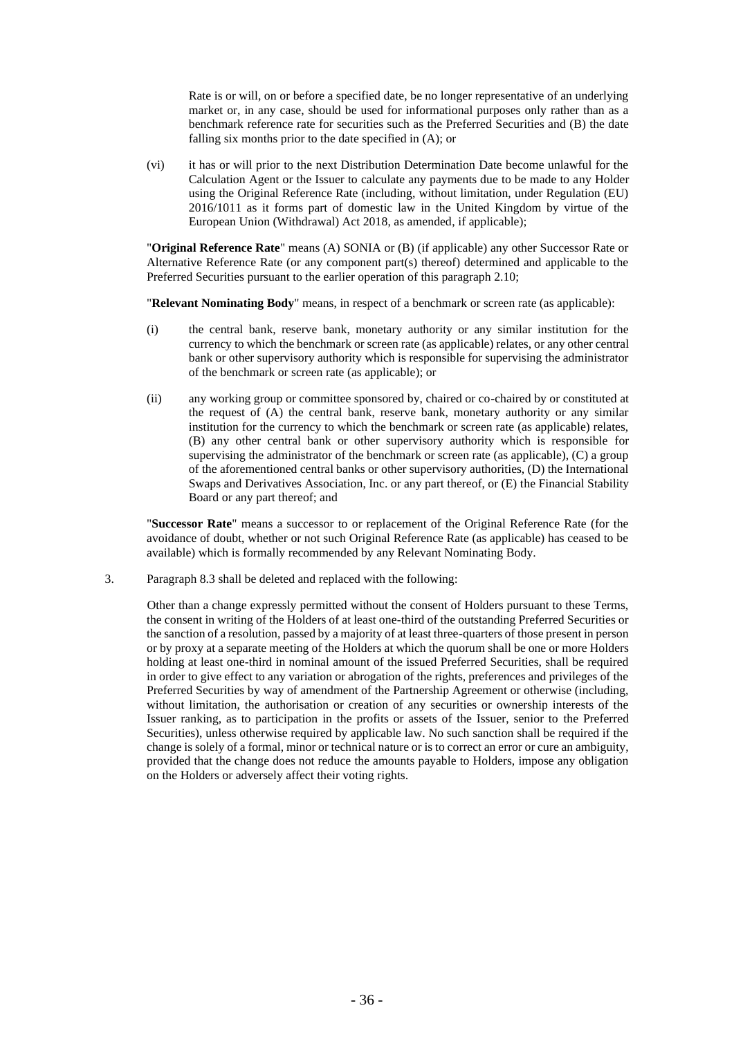Rate is or will, on or before a specified date, be no longer representative of an underlying market or, in any case, should be used for informational purposes only rather than as a benchmark reference rate for securities such as the Preferred Securities and (B) the date falling six months prior to the date specified in (A); or

(vi) it has or will prior to the next Distribution Determination Date become unlawful for the Calculation Agent or the Issuer to calculate any payments due to be made to any Holder using the Original Reference Rate (including, without limitation, under Regulation (EU) 2016/1011 as it forms part of domestic law in the United Kingdom by virtue of the European Union (Withdrawal) Act 2018, as amended, if applicable);

"**Original Reference Rate**" means (A) SONIA or (B) (if applicable) any other Successor Rate or Alternative Reference Rate (or any component part(s) thereof) determined and applicable to the Preferred Securities pursuant to the earlier operation of this paragraph 2.10;

"**Relevant Nominating Body**" means, in respect of a benchmark or screen rate (as applicable):

- (i) the central bank, reserve bank, monetary authority or any similar institution for the currency to which the benchmark or screen rate (as applicable) relates, or any other central bank or other supervisory authority which is responsible for supervising the administrator of the benchmark or screen rate (as applicable); or
- (ii) any working group or committee sponsored by, chaired or co-chaired by or constituted at the request of (A) the central bank, reserve bank, monetary authority or any similar institution for the currency to which the benchmark or screen rate (as applicable) relates, (B) any other central bank or other supervisory authority which is responsible for supervising the administrator of the benchmark or screen rate (as applicable), (C) a group of the aforementioned central banks or other supervisory authorities, (D) the International Swaps and Derivatives Association, Inc. or any part thereof, or (E) the Financial Stability Board or any part thereof; and

"**Successor Rate**" means a successor to or replacement of the Original Reference Rate (for the avoidance of doubt, whether or not such Original Reference Rate (as applicable) has ceased to be available) which is formally recommended by any Relevant Nominating Body.

3. Paragraph 8.3 shall be deleted and replaced with the following:

Other than a change expressly permitted without the consent of Holders pursuant to these Terms, the consent in writing of the Holders of at least one-third of the outstanding Preferred Securities or the sanction of a resolution, passed by a majority of at least three-quarters of those present in person or by proxy at a separate meeting of the Holders at which the quorum shall be one or more Holders holding at least one-third in nominal amount of the issued Preferred Securities, shall be required in order to give effect to any variation or abrogation of the rights, preferences and privileges of the Preferred Securities by way of amendment of the Partnership Agreement or otherwise (including, without limitation, the authorisation or creation of any securities or ownership interests of the Issuer ranking, as to participation in the profits or assets of the Issuer, senior to the Preferred Securities), unless otherwise required by applicable law. No such sanction shall be required if the change is solely of a formal, minor or technical nature or is to correct an error or cure an ambiguity, provided that the change does not reduce the amounts payable to Holders, impose any obligation on the Holders or adversely affect their voting rights.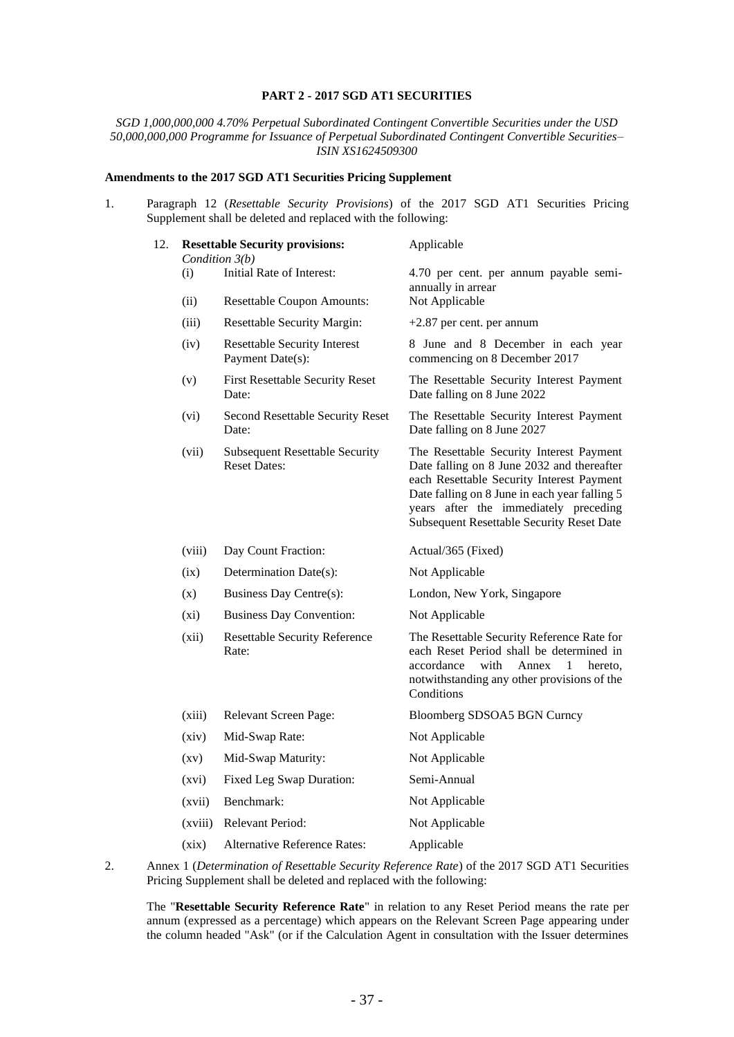### **PART 2 - 2017 SGD AT1 SECURITIES**

*SGD 1,000,000,000 4.70% Perpetual Subordinated Contingent Convertible Securities under the USD 50,000,000,000 Programme for Issuance of Perpetual Subordinated Contingent Convertible Securities– ISIN XS1624509300*

### **Amendments to the 2017 SGD AT1 Securities Pricing Supplement**

1. Paragraph 12 (*Resettable Security Provisions*) of the 2017 SGD AT1 Securities Pricing Supplement shall be deleted and replaced with the following:

| 12. |                    | <b>Resettable Security provisions:</b><br>Condition 3(b)     | Applicable                                                                                                                                                                                                                                                                        |  |  |
|-----|--------------------|--------------------------------------------------------------|-----------------------------------------------------------------------------------------------------------------------------------------------------------------------------------------------------------------------------------------------------------------------------------|--|--|
|     | (i)                | Initial Rate of Interest:                                    | 4.70 per cent. per annum payable semi-<br>annually in arrear                                                                                                                                                                                                                      |  |  |
|     | (ii)               | <b>Resettable Coupon Amounts:</b>                            | Not Applicable                                                                                                                                                                                                                                                                    |  |  |
|     | (iii)              | <b>Resettable Security Margin:</b>                           | +2.87 per cent. per annum                                                                                                                                                                                                                                                         |  |  |
|     | (iv)               | <b>Resettable Security Interest</b><br>Payment Date(s):      | 8 June and 8 December in each year<br>commencing on 8 December 2017                                                                                                                                                                                                               |  |  |
|     | (v)                | <b>First Resettable Security Reset</b><br>Date:              | The Resettable Security Interest Payment<br>Date falling on 8 June 2022                                                                                                                                                                                                           |  |  |
|     | (vi)               | Second Resettable Security Reset<br>Date:                    | The Resettable Security Interest Payment<br>Date falling on 8 June 2027                                                                                                                                                                                                           |  |  |
|     | (vii)              | <b>Subsequent Resettable Security</b><br><b>Reset Dates:</b> | The Resettable Security Interest Payment<br>Date falling on 8 June 2032 and thereafter<br>each Resettable Security Interest Payment<br>Date falling on 8 June in each year falling 5<br>years after the immediately preceding<br><b>Subsequent Resettable Security Reset Date</b> |  |  |
|     | (viii)             | Day Count Fraction:                                          | Actual/365 (Fixed)                                                                                                                                                                                                                                                                |  |  |
|     | (ix)               | Determination Date(s):                                       | Not Applicable                                                                                                                                                                                                                                                                    |  |  |
|     | (x)                | Business Day Centre(s):                                      | London, New York, Singapore                                                                                                                                                                                                                                                       |  |  |
|     | $(x_i)$            | <b>Business Day Convention:</b>                              | Not Applicable                                                                                                                                                                                                                                                                    |  |  |
|     | (xii)              | <b>Resettable Security Reference</b><br>Rate:                | The Resettable Security Reference Rate for<br>each Reset Period shall be determined in<br>accordance<br>with<br>Annex<br>1<br>hereto.<br>notwithstanding any other provisions of the<br>Conditions                                                                                |  |  |
|     | (xiii)             | Relevant Screen Page:                                        | Bloomberg SDSOA5 BGN Curncy                                                                                                                                                                                                                                                       |  |  |
|     | (xiv)              | Mid-Swap Rate:                                               | Not Applicable                                                                                                                                                                                                                                                                    |  |  |
|     | $\left( xy\right)$ | Mid-Swap Maturity:                                           | Not Applicable                                                                                                                                                                                                                                                                    |  |  |
|     | (xvi)              | Fixed Leg Swap Duration:                                     | Semi-Annual                                                                                                                                                                                                                                                                       |  |  |
|     | (xvii)             | Benchmark:                                                   | Not Applicable                                                                                                                                                                                                                                                                    |  |  |
|     | (xviii)            | <b>Relevant Period:</b>                                      | Not Applicable                                                                                                                                                                                                                                                                    |  |  |
|     | (xix)              | <b>Alternative Reference Rates:</b>                          | Applicable                                                                                                                                                                                                                                                                        |  |  |
|     |                    |                                                              |                                                                                                                                                                                                                                                                                   |  |  |

2. Annex 1 (*Determination of Resettable Security Reference Rate*) of the 2017 SGD AT1 Securities Pricing Supplement shall be deleted and replaced with the following:

The "**Resettable Security Reference Rate**" in relation to any Reset Period means the rate per annum (expressed as a percentage) which appears on the Relevant Screen Page appearing under the column headed "Ask" (or if the Calculation Agent in consultation with the Issuer determines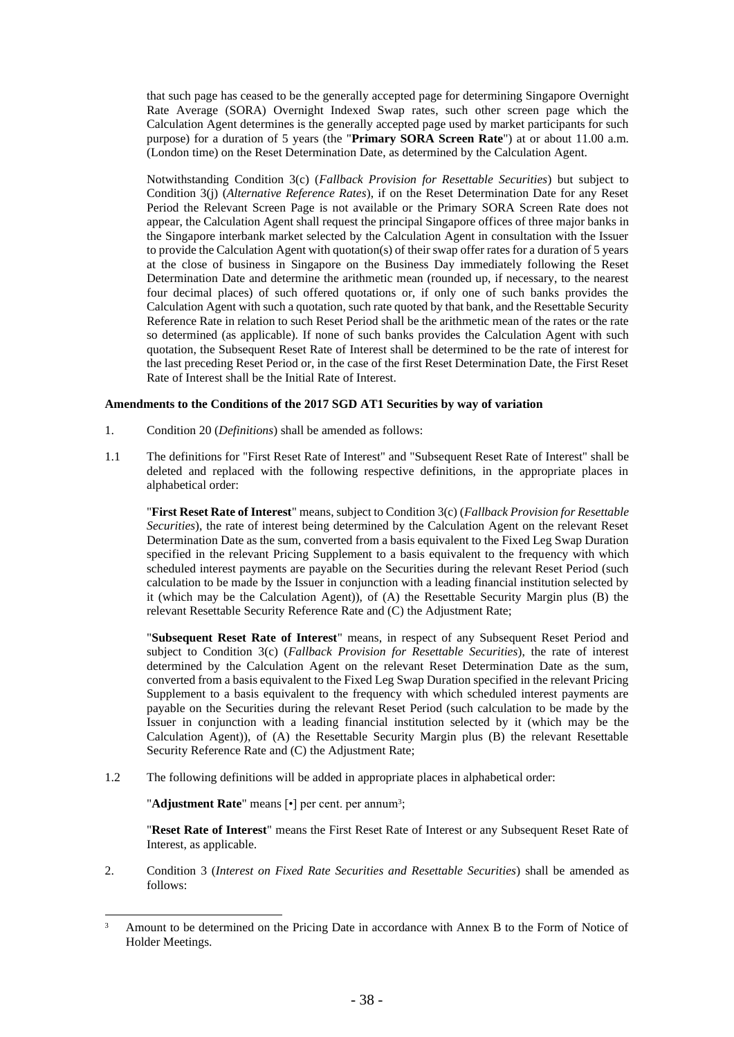that such page has ceased to be the generally accepted page for determining Singapore Overnight Rate Average (SORA) Overnight Indexed Swap rates, such other screen page which the Calculation Agent determines is the generally accepted page used by market participants for such purpose) for a duration of 5 years (the "**Primary SORA Screen Rate**") at or about 11.00 a.m. (London time) on the Reset Determination Date, as determined by the Calculation Agent.

Notwithstanding Condition 3(c) (*Fallback Provision for Resettable Securities*) but subject to Condition 3(j) (*Alternative Reference Rates*), if on the Reset Determination Date for any Reset Period the Relevant Screen Page is not available or the Primary SORA Screen Rate does not appear, the Calculation Agent shall request the principal Singapore offices of three major banks in the Singapore interbank market selected by the Calculation Agent in consultation with the Issuer to provide the Calculation Agent with quotation(s) of their swap offer rates for a duration of 5 years at the close of business in Singapore on the Business Day immediately following the Reset Determination Date and determine the arithmetic mean (rounded up, if necessary, to the nearest four decimal places) of such offered quotations or, if only one of such banks provides the Calculation Agent with such a quotation, such rate quoted by that bank, and the Resettable Security Reference Rate in relation to such Reset Period shall be the arithmetic mean of the rates or the rate so determined (as applicable). If none of such banks provides the Calculation Agent with such quotation, the Subsequent Reset Rate of Interest shall be determined to be the rate of interest for the last preceding Reset Period or, in the case of the first Reset Determination Date, the First Reset Rate of Interest shall be the Initial Rate of Interest.

### **Amendments to the Conditions of the 2017 SGD AT1 Securities by way of variation**

- 1. Condition 20 (*Definitions*) shall be amended as follows:
- 1.1 The definitions for "First Reset Rate of Interest" and "Subsequent Reset Rate of Interest" shall be deleted and replaced with the following respective definitions, in the appropriate places in alphabetical order:

"**First Reset Rate of Interest**" means, subject to Condition 3(c) (*Fallback Provision for Resettable Securities*), the rate of interest being determined by the Calculation Agent on the relevant Reset Determination Date as the sum, converted from a basis equivalent to the Fixed Leg Swap Duration specified in the relevant Pricing Supplement to a basis equivalent to the frequency with which scheduled interest payments are payable on the Securities during the relevant Reset Period (such calculation to be made by the Issuer in conjunction with a leading financial institution selected by it (which may be the Calculation Agent)), of (A) the Resettable Security Margin plus (B) the relevant Resettable Security Reference Rate and (C) the Adjustment Rate;

"**Subsequent Reset Rate of Interest**" means, in respect of any Subsequent Reset Period and subject to Condition 3(c) (*Fallback Provision for Resettable Securities*), the rate of interest determined by the Calculation Agent on the relevant Reset Determination Date as the sum, converted from a basis equivalent to the Fixed Leg Swap Duration specified in the relevant Pricing Supplement to a basis equivalent to the frequency with which scheduled interest payments are payable on the Securities during the relevant Reset Period (such calculation to be made by the Issuer in conjunction with a leading financial institution selected by it (which may be the Calculation Agent)), of (A) the Resettable Security Margin plus (B) the relevant Resettable Security Reference Rate and (C) the Adjustment Rate;

1.2 The following definitions will be added in appropriate places in alphabetical order:

"**Adjustment Rate**" means [ $\cdot$ ] per cent. per annum<sup>3</sup>;

"**Reset Rate of Interest**" means the First Reset Rate of Interest or any Subsequent Reset Rate of Interest, as applicable.

2. Condition 3 (*Interest on Fixed Rate Securities and Resettable Securities*) shall be amended as follows:

<sup>&</sup>lt;sup>3</sup> Amount to be determined on the Pricing Date in accordance with Annex B to the Form of Notice of Holder Meetings.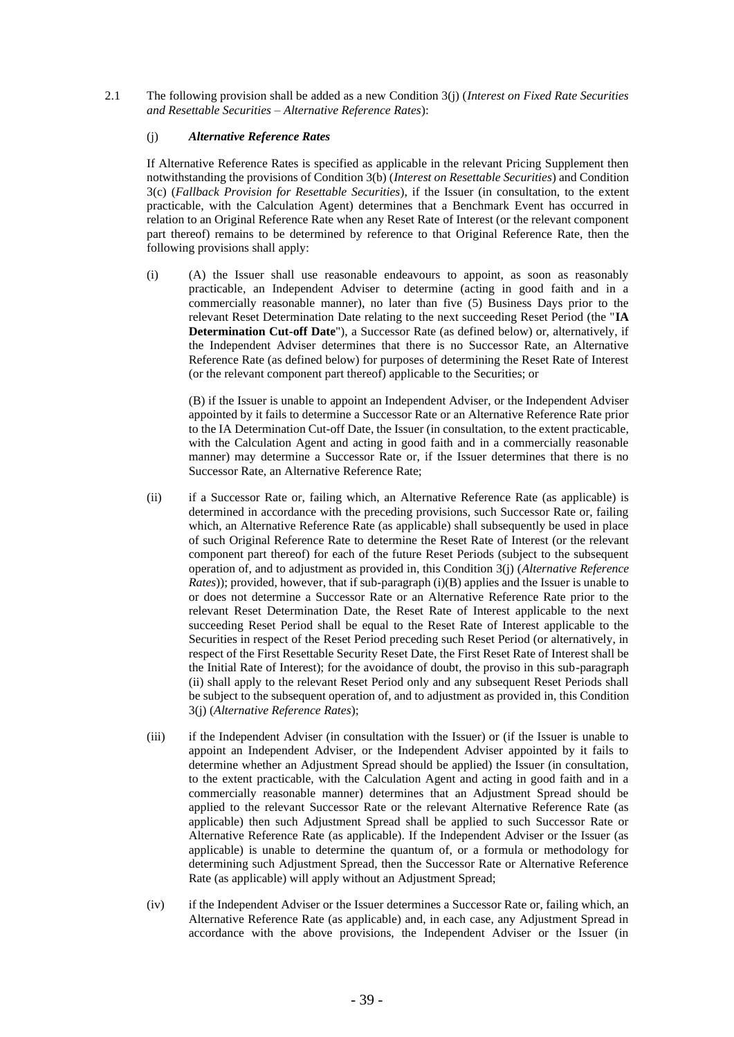2.1 The following provision shall be added as a new Condition 3(j) (*Interest on Fixed Rate Securities and Resettable Securities – Alternative Reference Rates*):

### (j) *Alternative Reference Rates*

If Alternative Reference Rates is specified as applicable in the relevant Pricing Supplement then notwithstanding the provisions of Condition 3(b) (*Interest on Resettable Securities*) and Condition 3(c) (*Fallback Provision for Resettable Securities*), if the Issuer (in consultation, to the extent practicable, with the Calculation Agent) determines that a Benchmark Event has occurred in relation to an Original Reference Rate when any Reset Rate of Interest (or the relevant component part thereof) remains to be determined by reference to that Original Reference Rate, then the following provisions shall apply:

(i) (A) the Issuer shall use reasonable endeavours to appoint, as soon as reasonably practicable, an Independent Adviser to determine (acting in good faith and in a commercially reasonable manner), no later than five (5) Business Days prior to the relevant Reset Determination Date relating to the next succeeding Reset Period (the "**IA Determination Cut-off Date**"), a Successor Rate (as defined below) or, alternatively, if the Independent Adviser determines that there is no Successor Rate, an Alternative Reference Rate (as defined below) for purposes of determining the Reset Rate of Interest (or the relevant component part thereof) applicable to the Securities; or

(B) if the Issuer is unable to appoint an Independent Adviser, or the Independent Adviser appointed by it fails to determine a Successor Rate or an Alternative Reference Rate prior to the IA Determination Cut-off Date, the Issuer (in consultation, to the extent practicable, with the Calculation Agent and acting in good faith and in a commercially reasonable manner) may determine a Successor Rate or, if the Issuer determines that there is no Successor Rate, an Alternative Reference Rate;

- (ii) if a Successor Rate or, failing which, an Alternative Reference Rate (as applicable) is determined in accordance with the preceding provisions, such Successor Rate or, failing which, an Alternative Reference Rate (as applicable) shall subsequently be used in place of such Original Reference Rate to determine the Reset Rate of Interest (or the relevant component part thereof) for each of the future Reset Periods (subject to the subsequent operation of, and to adjustment as provided in, this Condition 3(j) (*Alternative Reference Rates*)); provided, however, that if sub-paragraph (i)(B) applies and the Issuer is unable to or does not determine a Successor Rate or an Alternative Reference Rate prior to the relevant Reset Determination Date, the Reset Rate of Interest applicable to the next succeeding Reset Period shall be equal to the Reset Rate of Interest applicable to the Securities in respect of the Reset Period preceding such Reset Period (or alternatively, in respect of the First Resettable Security Reset Date, the First Reset Rate of Interest shall be the Initial Rate of Interest); for the avoidance of doubt, the proviso in this sub-paragraph (ii) shall apply to the relevant Reset Period only and any subsequent Reset Periods shall be subject to the subsequent operation of, and to adjustment as provided in, this Condition 3(j) (*Alternative Reference Rates*);
- (iii) if the Independent Adviser (in consultation with the Issuer) or (if the Issuer is unable to appoint an Independent Adviser, or the Independent Adviser appointed by it fails to determine whether an Adjustment Spread should be applied) the Issuer (in consultation, to the extent practicable, with the Calculation Agent and acting in good faith and in a commercially reasonable manner) determines that an Adjustment Spread should be applied to the relevant Successor Rate or the relevant Alternative Reference Rate (as applicable) then such Adjustment Spread shall be applied to such Successor Rate or Alternative Reference Rate (as applicable). If the Independent Adviser or the Issuer (as applicable) is unable to determine the quantum of, or a formula or methodology for determining such Adjustment Spread, then the Successor Rate or Alternative Reference Rate (as applicable) will apply without an Adjustment Spread;
- (iv) if the Independent Adviser or the Issuer determines a Successor Rate or, failing which, an Alternative Reference Rate (as applicable) and, in each case, any Adjustment Spread in accordance with the above provisions, the Independent Adviser or the Issuer (in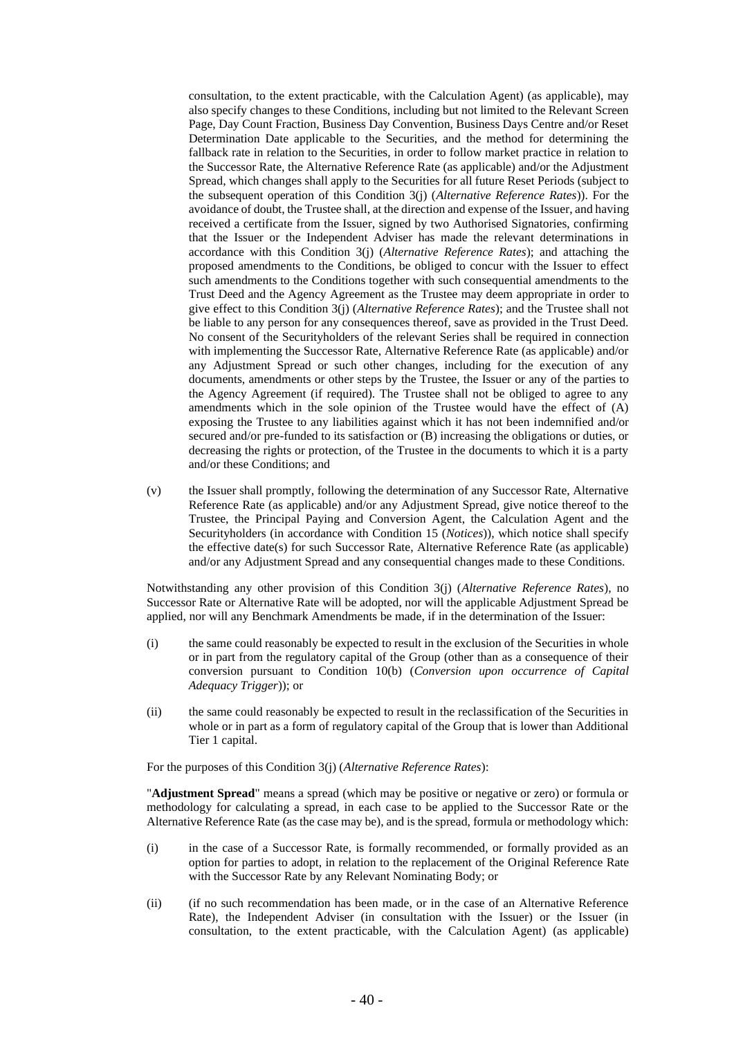consultation, to the extent practicable, with the Calculation Agent) (as applicable), may also specify changes to these Conditions, including but not limited to the Relevant Screen Page, Day Count Fraction, Business Day Convention, Business Days Centre and/or Reset Determination Date applicable to the Securities, and the method for determining the fallback rate in relation to the Securities, in order to follow market practice in relation to the Successor Rate, the Alternative Reference Rate (as applicable) and/or the Adjustment Spread, which changes shall apply to the Securities for all future Reset Periods (subject to the subsequent operation of this Condition 3(j) (*Alternative Reference Rates*)). For the avoidance of doubt, the Trustee shall, at the direction and expense of the Issuer, and having received a certificate from the Issuer, signed by two Authorised Signatories, confirming that the Issuer or the Independent Adviser has made the relevant determinations in accordance with this Condition 3(j) (*Alternative Reference Rates*); and attaching the proposed amendments to the Conditions, be obliged to concur with the Issuer to effect such amendments to the Conditions together with such consequential amendments to the Trust Deed and the Agency Agreement as the Trustee may deem appropriate in order to give effect to this Condition 3(j) (*Alternative Reference Rates*); and the Trustee shall not be liable to any person for any consequences thereof, save as provided in the Trust Deed. No consent of the Securityholders of the relevant Series shall be required in connection with implementing the Successor Rate, Alternative Reference Rate (as applicable) and/or any Adjustment Spread or such other changes, including for the execution of any documents, amendments or other steps by the Trustee, the Issuer or any of the parties to the Agency Agreement (if required). The Trustee shall not be obliged to agree to any amendments which in the sole opinion of the Trustee would have the effect of (A) exposing the Trustee to any liabilities against which it has not been indemnified and/or secured and/or pre-funded to its satisfaction or (B) increasing the obligations or duties, or decreasing the rights or protection, of the Trustee in the documents to which it is a party and/or these Conditions; and

(v) the Issuer shall promptly, following the determination of any Successor Rate, Alternative Reference Rate (as applicable) and/or any Adjustment Spread, give notice thereof to the Trustee, the Principal Paying and Conversion Agent, the Calculation Agent and the Securityholders (in accordance with Condition 15 (*Notices*)), which notice shall specify the effective date(s) for such Successor Rate, Alternative Reference Rate (as applicable) and/or any Adjustment Spread and any consequential changes made to these Conditions.

Notwithstanding any other provision of this Condition 3(j) (*Alternative Reference Rates*), no Successor Rate or Alternative Rate will be adopted, nor will the applicable Adjustment Spread be applied, nor will any Benchmark Amendments be made, if in the determination of the Issuer:

- (i) the same could reasonably be expected to result in the exclusion of the Securities in whole or in part from the regulatory capital of the Group (other than as a consequence of their conversion pursuant to Condition 10(b) (*Conversion upon occurrence of Capital Adequacy Trigger*)); or
- (ii) the same could reasonably be expected to result in the reclassification of the Securities in whole or in part as a form of regulatory capital of the Group that is lower than Additional Tier 1 capital.

For the purposes of this Condition 3(j) (*Alternative Reference Rates*):

"**Adjustment Spread**" means a spread (which may be positive or negative or zero) or formula or methodology for calculating a spread, in each case to be applied to the Successor Rate or the Alternative Reference Rate (as the case may be), and is the spread, formula or methodology which:

- (i) in the case of a Successor Rate, is formally recommended, or formally provided as an option for parties to adopt, in relation to the replacement of the Original Reference Rate with the Successor Rate by any Relevant Nominating Body; or
- (ii) (if no such recommendation has been made, or in the case of an Alternative Reference Rate), the Independent Adviser (in consultation with the Issuer) or the Issuer (in consultation, to the extent practicable, with the Calculation Agent) (as applicable)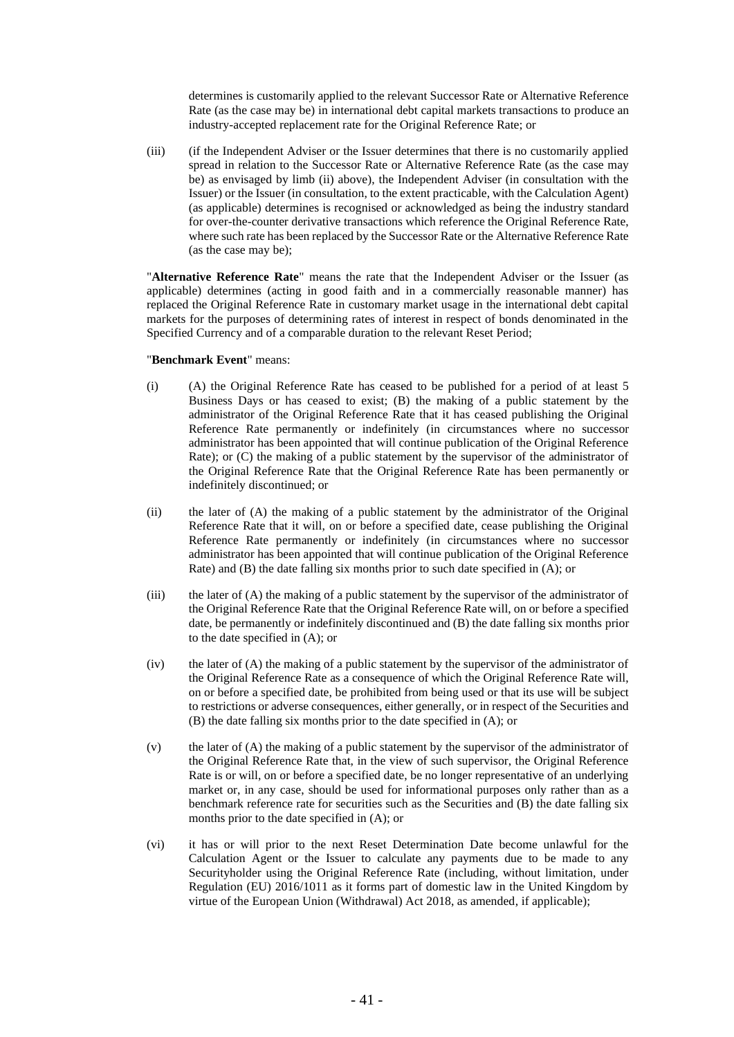determines is customarily applied to the relevant Successor Rate or Alternative Reference Rate (as the case may be) in international debt capital markets transactions to produce an industry-accepted replacement rate for the Original Reference Rate; or

(iii) (if the Independent Adviser or the Issuer determines that there is no customarily applied spread in relation to the Successor Rate or Alternative Reference Rate (as the case may be) as envisaged by limb (ii) above), the Independent Adviser (in consultation with the Issuer) or the Issuer (in consultation, to the extent practicable, with the Calculation Agent) (as applicable) determines is recognised or acknowledged as being the industry standard for over-the-counter derivative transactions which reference the Original Reference Rate, where such rate has been replaced by the Successor Rate or the Alternative Reference Rate (as the case may be);

"**Alternative Reference Rate**" means the rate that the Independent Adviser or the Issuer (as applicable) determines (acting in good faith and in a commercially reasonable manner) has replaced the Original Reference Rate in customary market usage in the international debt capital markets for the purposes of determining rates of interest in respect of bonds denominated in the Specified Currency and of a comparable duration to the relevant Reset Period;

### "**Benchmark Event**" means:

- (i) (A) the Original Reference Rate has ceased to be published for a period of at least 5 Business Days or has ceased to exist; (B) the making of a public statement by the administrator of the Original Reference Rate that it has ceased publishing the Original Reference Rate permanently or indefinitely (in circumstances where no successor administrator has been appointed that will continue publication of the Original Reference Rate); or (C) the making of a public statement by the supervisor of the administrator of the Original Reference Rate that the Original Reference Rate has been permanently or indefinitely discontinued; or
- (ii) the later of (A) the making of a public statement by the administrator of the Original Reference Rate that it will, on or before a specified date, cease publishing the Original Reference Rate permanently or indefinitely (in circumstances where no successor administrator has been appointed that will continue publication of the Original Reference Rate) and (B) the date falling six months prior to such date specified in (A); or
- (iii) the later of (A) the making of a public statement by the supervisor of the administrator of the Original Reference Rate that the Original Reference Rate will, on or before a specified date, be permanently or indefinitely discontinued and (B) the date falling six months prior to the date specified in (A); or
- (iv) the later of (A) the making of a public statement by the supervisor of the administrator of the Original Reference Rate as a consequence of which the Original Reference Rate will, on or before a specified date, be prohibited from being used or that its use will be subject to restrictions or adverse consequences, either generally, or in respect of the Securities and (B) the date falling six months prior to the date specified in (A); or
- (v) the later of (A) the making of a public statement by the supervisor of the administrator of the Original Reference Rate that, in the view of such supervisor, the Original Reference Rate is or will, on or before a specified date, be no longer representative of an underlying market or, in any case, should be used for informational purposes only rather than as a benchmark reference rate for securities such as the Securities and (B) the date falling six months prior to the date specified in (A); or
- (vi) it has or will prior to the next Reset Determination Date become unlawful for the Calculation Agent or the Issuer to calculate any payments due to be made to any Securityholder using the Original Reference Rate (including, without limitation, under Regulation (EU) 2016/1011 as it forms part of domestic law in the United Kingdom by virtue of the European Union (Withdrawal) Act 2018, as amended, if applicable);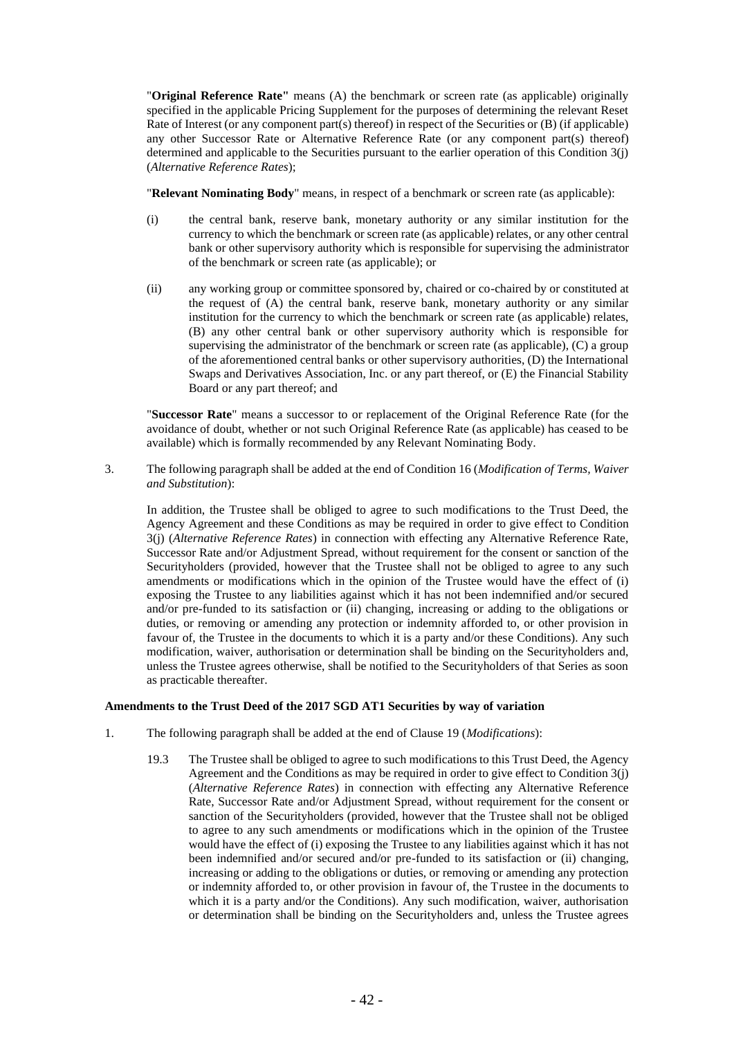"**Original Reference Rate"** means (A) the benchmark or screen rate (as applicable) originally specified in the applicable Pricing Supplement for the purposes of determining the relevant Reset Rate of Interest (or any component part(s) thereof) in respect of the Securities or (B) (if applicable) any other Successor Rate or Alternative Reference Rate (or any component part(s) thereof) determined and applicable to the Securities pursuant to the earlier operation of this Condition 3(j) (*Alternative Reference Rates*);

"**Relevant Nominating Body**" means, in respect of a benchmark or screen rate (as applicable):

- (i) the central bank, reserve bank, monetary authority or any similar institution for the currency to which the benchmark or screen rate (as applicable) relates, or any other central bank or other supervisory authority which is responsible for supervising the administrator of the benchmark or screen rate (as applicable); or
- (ii) any working group or committee sponsored by, chaired or co-chaired by or constituted at the request of (A) the central bank, reserve bank, monetary authority or any similar institution for the currency to which the benchmark or screen rate (as applicable) relates, (B) any other central bank or other supervisory authority which is responsible for supervising the administrator of the benchmark or screen rate (as applicable), (C) a group of the aforementioned central banks or other supervisory authorities, (D) the International Swaps and Derivatives Association, Inc. or any part thereof, or (E) the Financial Stability Board or any part thereof; and

"**Successor Rate**" means a successor to or replacement of the Original Reference Rate (for the avoidance of doubt, whether or not such Original Reference Rate (as applicable) has ceased to be available) which is formally recommended by any Relevant Nominating Body.

3. The following paragraph shall be added at the end of Condition 16 (*Modification of Terms, Waiver and Substitution*):

In addition, the Trustee shall be obliged to agree to such modifications to the Trust Deed, the Agency Agreement and these Conditions as may be required in order to give effect to Condition 3(j) (*Alternative Reference Rates*) in connection with effecting any Alternative Reference Rate, Successor Rate and/or Adjustment Spread, without requirement for the consent or sanction of the Securityholders (provided, however that the Trustee shall not be obliged to agree to any such amendments or modifications which in the opinion of the Trustee would have the effect of (i) exposing the Trustee to any liabilities against which it has not been indemnified and/or secured and/or pre-funded to its satisfaction or (ii) changing, increasing or adding to the obligations or duties, or removing or amending any protection or indemnity afforded to, or other provision in favour of, the Trustee in the documents to which it is a party and/or these Conditions). Any such modification, waiver, authorisation or determination shall be binding on the Securityholders and, unless the Trustee agrees otherwise, shall be notified to the Securityholders of that Series as soon as practicable thereafter.

## **Amendments to the Trust Deed of the 2017 SGD AT1 Securities by way of variation**

- 1. The following paragraph shall be added at the end of Clause 19 (*Modifications*):
	- 19.3 The Trustee shall be obliged to agree to such modifications to this Trust Deed, the Agency Agreement and the Conditions as may be required in order to give effect to Condition 3(j) (*Alternative Reference Rates*) in connection with effecting any Alternative Reference Rate, Successor Rate and/or Adjustment Spread, without requirement for the consent or sanction of the Securityholders (provided, however that the Trustee shall not be obliged to agree to any such amendments or modifications which in the opinion of the Trustee would have the effect of (i) exposing the Trustee to any liabilities against which it has not been indemnified and/or secured and/or pre-funded to its satisfaction or (ii) changing, increasing or adding to the obligations or duties, or removing or amending any protection or indemnity afforded to, or other provision in favour of, the Trustee in the documents to which it is a party and/or the Conditions). Any such modification, waiver, authorisation or determination shall be binding on the Securityholders and, unless the Trustee agrees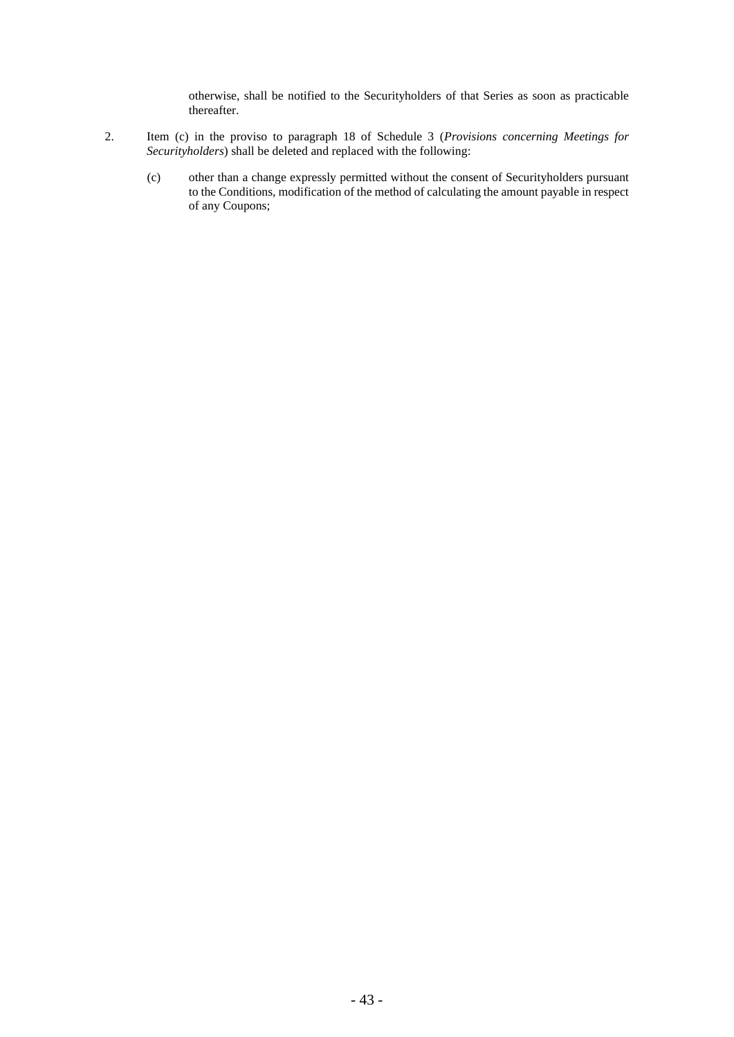otherwise, shall be notified to the Securityholders of that Series as soon as practicable thereafter.

- 2. Item (c) in the proviso to paragraph 18 of Schedule 3 (*Provisions concerning Meetings for Securityholders*) shall be deleted and replaced with the following:
	- (c) other than a change expressly permitted without the consent of Securityholders pursuant to the Conditions, modification of the method of calculating the amount payable in respect of any Coupons;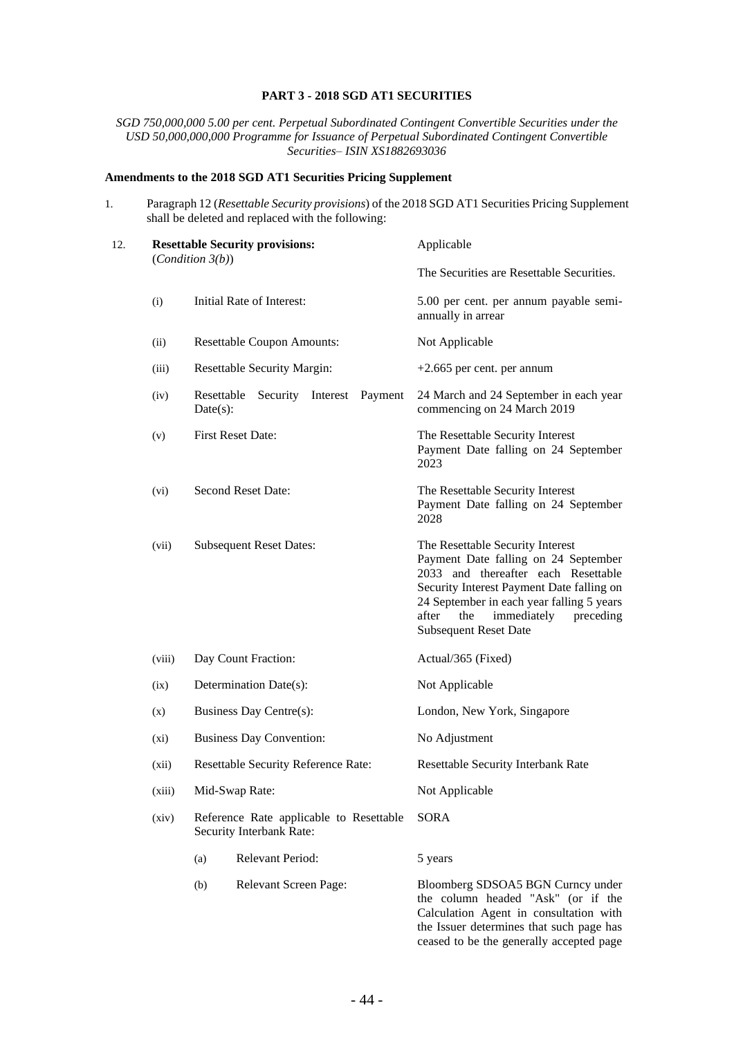### **PART 3 - 2018 SGD AT1 SECURITIES**

*SGD 750,000,000 5.00 per cent. Perpetual Subordinated Contingent Convertible Securities under the USD 50,000,000,000 Programme for Issuance of Perpetual Subordinated Contingent Convertible Securities– ISIN XS1882693036*

# **Amendments to the 2018 SGD AT1 Securities Pricing Supplement**

1. Paragraph 12 (*Resettable Security provisions*) of the 2018 SGD AT1 Securities Pricing Supplement shall be deleted and replaced with the following:

| 12. |        | <b>Resettable Security provisions:</b><br>(Condition 3(b))          | Applicable                                                                                                                                                                                                                                                                            |  |  |
|-----|--------|---------------------------------------------------------------------|---------------------------------------------------------------------------------------------------------------------------------------------------------------------------------------------------------------------------------------------------------------------------------------|--|--|
|     |        |                                                                     | The Securities are Resettable Securities.                                                                                                                                                                                                                                             |  |  |
|     | (i)    | Initial Rate of Interest:                                           | 5.00 per cent. per annum payable semi-<br>annually in arrear                                                                                                                                                                                                                          |  |  |
|     | (ii)   | <b>Resettable Coupon Amounts:</b>                                   | Not Applicable                                                                                                                                                                                                                                                                        |  |  |
|     | (iii)  | <b>Resettable Security Margin:</b>                                  | $+2.665$ per cent. per annum                                                                                                                                                                                                                                                          |  |  |
|     | (iv)   | Resettable<br>Security<br>Interest Payment<br>$Date(s)$ :           | 24 March and 24 September in each year<br>commencing on 24 March 2019                                                                                                                                                                                                                 |  |  |
|     | (v)    | First Reset Date:                                                   | The Resettable Security Interest<br>Payment Date falling on 24 September<br>2023                                                                                                                                                                                                      |  |  |
|     | (vi)   | Second Reset Date:                                                  | The Resettable Security Interest<br>Payment Date falling on 24 September<br>2028                                                                                                                                                                                                      |  |  |
|     | (vii)  | <b>Subsequent Reset Dates:</b>                                      | The Resettable Security Interest<br>Payment Date falling on 24 September<br>2033 and thereafter each Resettable<br>Security Interest Payment Date falling on<br>24 September in each year falling 5 years<br>after<br>the<br>immediately<br>preceding<br><b>Subsequent Reset Date</b> |  |  |
|     | (viii) | Day Count Fraction:                                                 | Actual/365 (Fixed)                                                                                                                                                                                                                                                                    |  |  |
|     | (ix)   | Determination Date(s):                                              | Not Applicable                                                                                                                                                                                                                                                                        |  |  |
|     | (x)    | Business Day Centre(s):                                             | London, New York, Singapore                                                                                                                                                                                                                                                           |  |  |
|     | (xi)   | <b>Business Day Convention:</b>                                     | No Adjustment                                                                                                                                                                                                                                                                         |  |  |
|     | (xii)  | Resettable Security Reference Rate:                                 | Resettable Security Interbank Rate                                                                                                                                                                                                                                                    |  |  |
|     | (xiii) | Mid-Swap Rate:                                                      | Not Applicable                                                                                                                                                                                                                                                                        |  |  |
|     | (xiv)  | Reference Rate applicable to Resettable<br>Security Interbank Rate: | <b>SORA</b>                                                                                                                                                                                                                                                                           |  |  |
|     |        | <b>Relevant Period:</b><br>(a)                                      | 5 years                                                                                                                                                                                                                                                                               |  |  |
|     |        | Relevant Screen Page:<br>(b)                                        | Bloomberg SDSOA5 BGN Curncy under<br>the column headed "Ask" (or if the<br>Calculation Agent in consultation with<br>the Issuer determines that such page has                                                                                                                         |  |  |

ceased to be the generally accepted page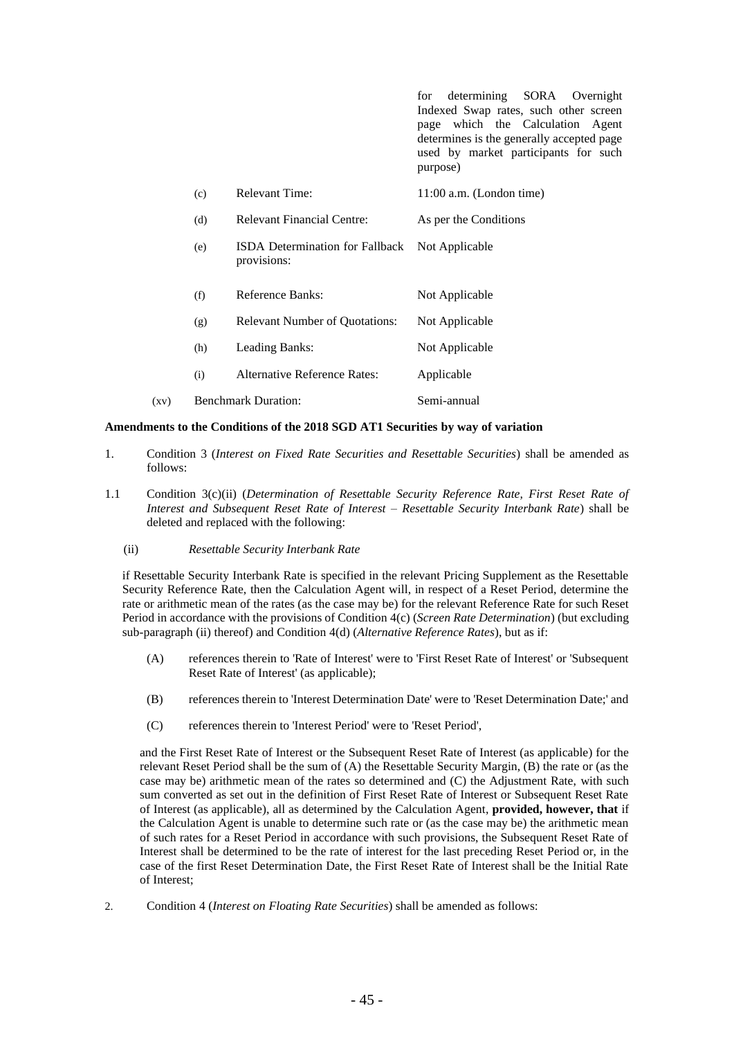for determining SORA Overnight Indexed Swap rates, such other screen page which the Calculation Agent determines is the generally accepted page used by market participants for such purpose)

|      | (c) | Relevant Time:                                        | 11:00 a.m. (London time) |
|------|-----|-------------------------------------------------------|--------------------------|
|      | (d) | <b>Relevant Financial Centre:</b>                     | As per the Conditions    |
|      | (e) | <b>ISDA</b> Determination for Fallback<br>provisions: | Not Applicable           |
|      | (f) | Reference Banks:                                      | Not Applicable           |
|      | (g) | <b>Relevant Number of Quotations:</b>                 | Not Applicable           |
|      | (h) | Leading Banks:                                        | Not Applicable           |
|      | (i) | <b>Alternative Reference Rates:</b>                   | Applicable               |
| (xv) |     | <b>Benchmark Duration:</b>                            | Semi-annual              |

#### **Amendments to the Conditions of the 2018 SGD AT1 Securities by way of variation**

- 1. Condition 3 (*Interest on Fixed Rate Securities and Resettable Securities*) shall be amended as follows:
- 1.1 Condition 3(c)(ii) (*Determination of Resettable Security Reference Rate, First Reset Rate of Interest and Subsequent Reset Rate of Interest – Resettable Security Interbank Rate*) shall be deleted and replaced with the following:
	- (ii) *Resettable Security Interbank Rate*

if Resettable Security Interbank Rate is specified in the relevant Pricing Supplement as the Resettable Security Reference Rate, then the Calculation Agent will, in respect of a Reset Period, determine the rate or arithmetic mean of the rates (as the case may be) for the relevant Reference Rate for such Reset Period in accordance with the provisions of Condition 4(c) (*Screen Rate Determination*) (but excluding sub-paragraph (ii) thereof) and Condition 4(d) (*Alternative Reference Rates*), but as if:

- (A) references therein to 'Rate of Interest' were to 'First Reset Rate of Interest' or 'Subsequent Reset Rate of Interest' (as applicable);
- (B) references therein to 'Interest Determination Date' were to 'Reset Determination Date;' and
- (C) references therein to 'Interest Period' were to 'Reset Period',

and the First Reset Rate of Interest or the Subsequent Reset Rate of Interest (as applicable) for the relevant Reset Period shall be the sum of (A) the Resettable Security Margin, (B) the rate or (as the case may be) arithmetic mean of the rates so determined and (C) the Adjustment Rate, with such sum converted as set out in the definition of First Reset Rate of Interest or Subsequent Reset Rate of Interest (as applicable), all as determined by the Calculation Agent, **provided, however, that** if the Calculation Agent is unable to determine such rate or (as the case may be) the arithmetic mean of such rates for a Reset Period in accordance with such provisions, the Subsequent Reset Rate of Interest shall be determined to be the rate of interest for the last preceding Reset Period or, in the case of the first Reset Determination Date, the First Reset Rate of Interest shall be the Initial Rate of Interest;

2. Condition 4 (*Interest on Floating Rate Securities*) shall be amended as follows: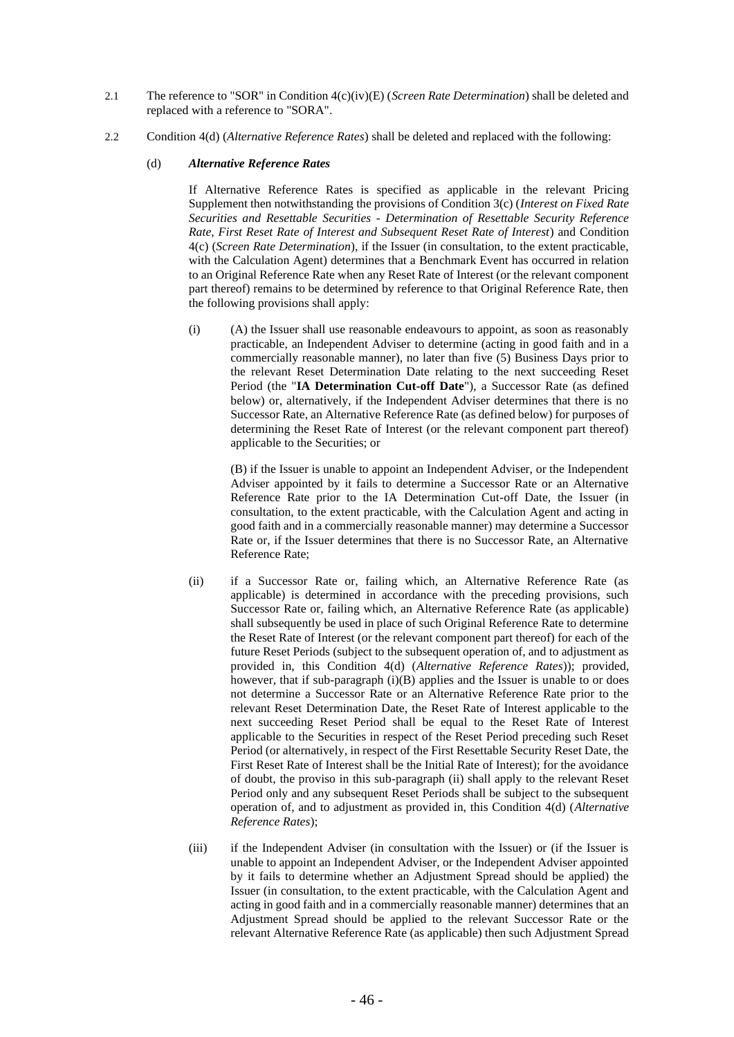- 2.1 The reference to "SOR" in Condition 4(c)(iv)(E) (*Screen Rate Determination*) shall be deleted and replaced with a reference to "SORA".
- 2.2 Condition 4(d) (*Alternative Reference Rates*) shall be deleted and replaced with the following:

### (d) *Alternative Reference Rates*

If Alternative Reference Rates is specified as applicable in the relevant Pricing Supplement then notwithstanding the provisions of Condition 3(c) (*Interest on Fixed Rate Securities and Resettable Securities - Determination of Resettable Security Reference Rate, First Reset Rate of Interest and Subsequent Reset Rate of Interest*) and Condition 4(c) (*Screen Rate Determination*), if the Issuer (in consultation, to the extent practicable, with the Calculation Agent) determines that a Benchmark Event has occurred in relation to an Original Reference Rate when any Reset Rate of Interest (or the relevant component part thereof) remains to be determined by reference to that Original Reference Rate, then the following provisions shall apply:

(i) (A) the Issuer shall use reasonable endeavours to appoint, as soon as reasonably practicable, an Independent Adviser to determine (acting in good faith and in a commercially reasonable manner), no later than five (5) Business Days prior to the relevant Reset Determination Date relating to the next succeeding Reset Period (the "**IA Determination Cut-off Date**"), a Successor Rate (as defined below) or, alternatively, if the Independent Adviser determines that there is no Successor Rate, an Alternative Reference Rate (as defined below) for purposes of determining the Reset Rate of Interest (or the relevant component part thereof) applicable to the Securities; or

(B) if the Issuer is unable to appoint an Independent Adviser, or the Independent Adviser appointed by it fails to determine a Successor Rate or an Alternative Reference Rate prior to the IA Determination Cut-off Date, the Issuer (in consultation, to the extent practicable, with the Calculation Agent and acting in good faith and in a commercially reasonable manner) may determine a Successor Rate or, if the Issuer determines that there is no Successor Rate, an Alternative Reference Rate;

- (ii) if a Successor Rate or, failing which, an Alternative Reference Rate (as applicable) is determined in accordance with the preceding provisions, such Successor Rate or, failing which, an Alternative Reference Rate (as applicable) shall subsequently be used in place of such Original Reference Rate to determine the Reset Rate of Interest (or the relevant component part thereof) for each of the future Reset Periods (subject to the subsequent operation of, and to adjustment as provided in, this Condition 4(d) (*Alternative Reference Rates*)); provided, however, that if sub-paragraph  $(i)(B)$  applies and the Issuer is unable to or does not determine a Successor Rate or an Alternative Reference Rate prior to the relevant Reset Determination Date, the Reset Rate of Interest applicable to the next succeeding Reset Period shall be equal to the Reset Rate of Interest applicable to the Securities in respect of the Reset Period preceding such Reset Period (or alternatively, in respect of the First Resettable Security Reset Date, the First Reset Rate of Interest shall be the Initial Rate of Interest); for the avoidance of doubt, the proviso in this sub-paragraph (ii) shall apply to the relevant Reset Period only and any subsequent Reset Periods shall be subject to the subsequent operation of, and to adjustment as provided in, this Condition 4(d) (*Alternative Reference Rates*);
- (iii) if the Independent Adviser (in consultation with the Issuer) or (if the Issuer is unable to appoint an Independent Adviser, or the Independent Adviser appointed by it fails to determine whether an Adjustment Spread should be applied) the Issuer (in consultation, to the extent practicable, with the Calculation Agent and acting in good faith and in a commercially reasonable manner) determines that an Adjustment Spread should be applied to the relevant Successor Rate or the relevant Alternative Reference Rate (as applicable) then such Adjustment Spread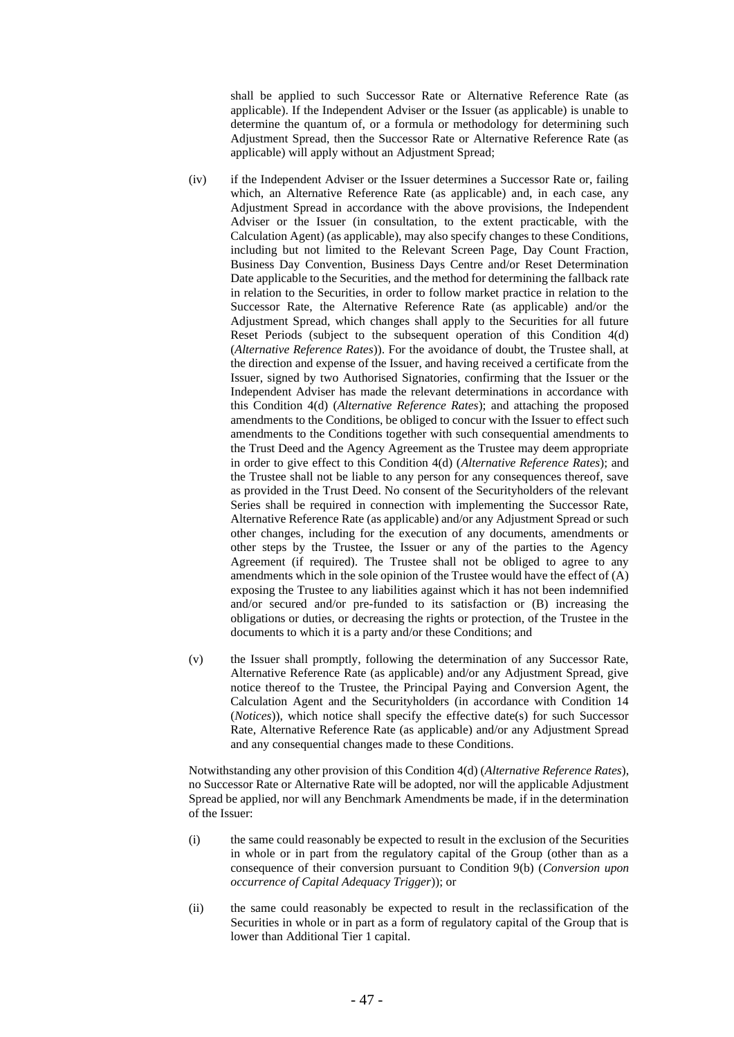shall be applied to such Successor Rate or Alternative Reference Rate (as applicable). If the Independent Adviser or the Issuer (as applicable) is unable to determine the quantum of, or a formula or methodology for determining such Adjustment Spread, then the Successor Rate or Alternative Reference Rate (as applicable) will apply without an Adjustment Spread;

- (iv) if the Independent Adviser or the Issuer determines a Successor Rate or, failing which, an Alternative Reference Rate (as applicable) and, in each case, any Adjustment Spread in accordance with the above provisions, the Independent Adviser or the Issuer (in consultation, to the extent practicable, with the Calculation Agent) (as applicable), may also specify changes to these Conditions, including but not limited to the Relevant Screen Page, Day Count Fraction, Business Day Convention, Business Days Centre and/or Reset Determination Date applicable to the Securities, and the method for determining the fallback rate in relation to the Securities, in order to follow market practice in relation to the Successor Rate, the Alternative Reference Rate (as applicable) and/or the Adjustment Spread, which changes shall apply to the Securities for all future Reset Periods (subject to the subsequent operation of this Condition 4(d) (*Alternative Reference Rates*)). For the avoidance of doubt, the Trustee shall, at the direction and expense of the Issuer, and having received a certificate from the Issuer, signed by two Authorised Signatories, confirming that the Issuer or the Independent Adviser has made the relevant determinations in accordance with this Condition 4(d) (*Alternative Reference Rates*); and attaching the proposed amendments to the Conditions, be obliged to concur with the Issuer to effect such amendments to the Conditions together with such consequential amendments to the Trust Deed and the Agency Agreement as the Trustee may deem appropriate in order to give effect to this Condition 4(d) (*Alternative Reference Rates*); and the Trustee shall not be liable to any person for any consequences thereof, save as provided in the Trust Deed. No consent of the Securityholders of the relevant Series shall be required in connection with implementing the Successor Rate, Alternative Reference Rate (as applicable) and/or any Adjustment Spread or such other changes, including for the execution of any documents, amendments or other steps by the Trustee, the Issuer or any of the parties to the Agency Agreement (if required). The Trustee shall not be obliged to agree to any amendments which in the sole opinion of the Trustee would have the effect of  $(A)$ exposing the Trustee to any liabilities against which it has not been indemnified and/or secured and/or pre-funded to its satisfaction or (B) increasing the obligations or duties, or decreasing the rights or protection, of the Trustee in the documents to which it is a party and/or these Conditions; and
- (v) the Issuer shall promptly, following the determination of any Successor Rate, Alternative Reference Rate (as applicable) and/or any Adjustment Spread, give notice thereof to the Trustee, the Principal Paying and Conversion Agent, the Calculation Agent and the Securityholders (in accordance with Condition 14 (*Notices*)), which notice shall specify the effective date(s) for such Successor Rate, Alternative Reference Rate (as applicable) and/or any Adjustment Spread and any consequential changes made to these Conditions.

Notwithstanding any other provision of this Condition 4(d) (*Alternative Reference Rates*), no Successor Rate or Alternative Rate will be adopted, nor will the applicable Adjustment Spread be applied, nor will any Benchmark Amendments be made, if in the determination of the Issuer:

- (i) the same could reasonably be expected to result in the exclusion of the Securities in whole or in part from the regulatory capital of the Group (other than as a consequence of their conversion pursuant to Condition 9(b) (*Conversion upon occurrence of Capital Adequacy Trigger*)); or
- (ii) the same could reasonably be expected to result in the reclassification of the Securities in whole or in part as a form of regulatory capital of the Group that is lower than Additional Tier 1 capital.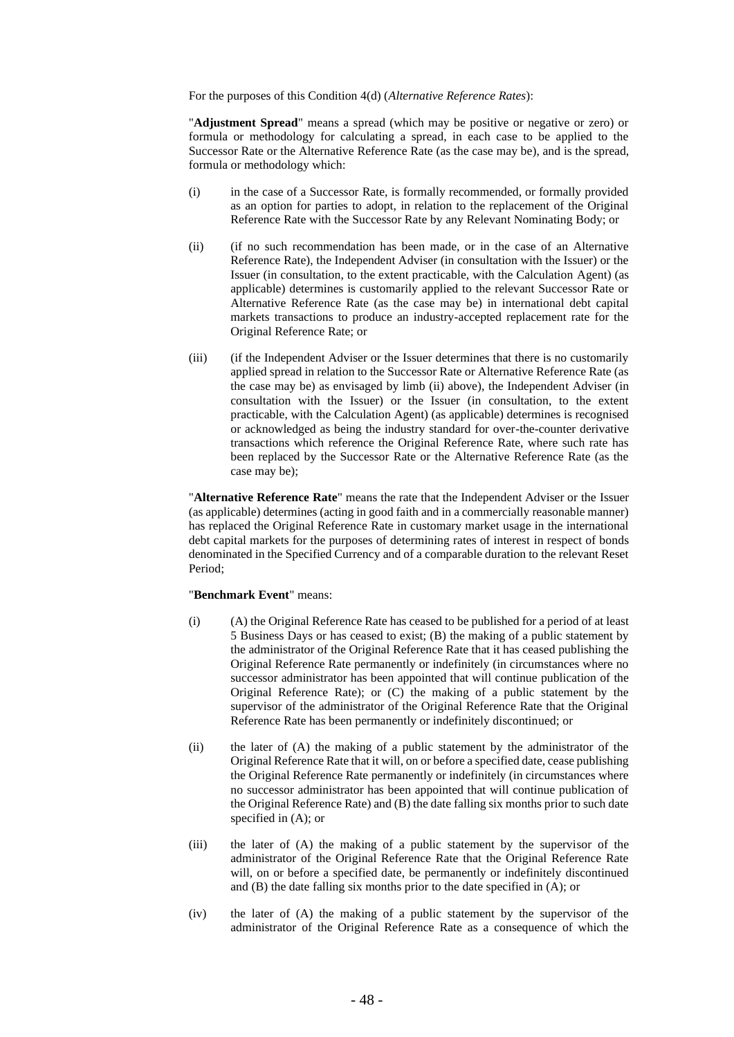For the purposes of this Condition 4(d) (*Alternative Reference Rates*):

"**Adjustment Spread**" means a spread (which may be positive or negative or zero) or formula or methodology for calculating a spread, in each case to be applied to the Successor Rate or the Alternative Reference Rate (as the case may be), and is the spread, formula or methodology which:

- (i) in the case of a Successor Rate, is formally recommended, or formally provided as an option for parties to adopt, in relation to the replacement of the Original Reference Rate with the Successor Rate by any Relevant Nominating Body; or
- (ii) (if no such recommendation has been made, or in the case of an Alternative Reference Rate), the Independent Adviser (in consultation with the Issuer) or the Issuer (in consultation, to the extent practicable, with the Calculation Agent) (as applicable) determines is customarily applied to the relevant Successor Rate or Alternative Reference Rate (as the case may be) in international debt capital markets transactions to produce an industry-accepted replacement rate for the Original Reference Rate; or
- (iii) (if the Independent Adviser or the Issuer determines that there is no customarily applied spread in relation to the Successor Rate or Alternative Reference Rate (as the case may be) as envisaged by limb (ii) above), the Independent Adviser (in consultation with the Issuer) or the Issuer (in consultation, to the extent practicable, with the Calculation Agent) (as applicable) determines is recognised or acknowledged as being the industry standard for over-the-counter derivative transactions which reference the Original Reference Rate, where such rate has been replaced by the Successor Rate or the Alternative Reference Rate (as the case may be);

"**Alternative Reference Rate**" means the rate that the Independent Adviser or the Issuer (as applicable) determines (acting in good faith and in a commercially reasonable manner) has replaced the Original Reference Rate in customary market usage in the international debt capital markets for the purposes of determining rates of interest in respect of bonds denominated in the Specified Currency and of a comparable duration to the relevant Reset Period;

## "**Benchmark Event**" means:

- (i) (A) the Original Reference Rate has ceased to be published for a period of at least 5 Business Days or has ceased to exist; (B) the making of a public statement by the administrator of the Original Reference Rate that it has ceased publishing the Original Reference Rate permanently or indefinitely (in circumstances where no successor administrator has been appointed that will continue publication of the Original Reference Rate); or (C) the making of a public statement by the supervisor of the administrator of the Original Reference Rate that the Original Reference Rate has been permanently or indefinitely discontinued; or
- (ii) the later of (A) the making of a public statement by the administrator of the Original Reference Rate that it will, on or before a specified date, cease publishing the Original Reference Rate permanently or indefinitely (in circumstances where no successor administrator has been appointed that will continue publication of the Original Reference Rate) and (B) the date falling six months prior to such date specified in  $(A)$ ; or
- (iii) the later of (A) the making of a public statement by the supervisor of the administrator of the Original Reference Rate that the Original Reference Rate will, on or before a specified date, be permanently or indefinitely discontinued and (B) the date falling six months prior to the date specified in (A); or
- (iv) the later of (A) the making of a public statement by the supervisor of the administrator of the Original Reference Rate as a consequence of which the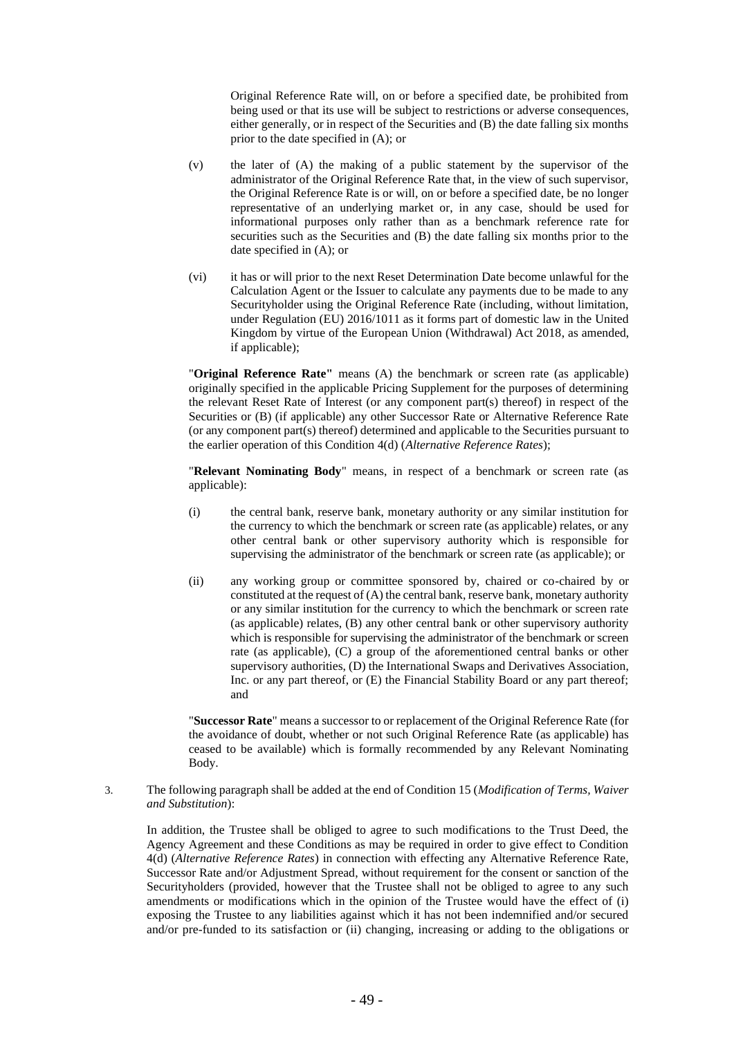Original Reference Rate will, on or before a specified date, be prohibited from being used or that its use will be subject to restrictions or adverse consequences, either generally, or in respect of the Securities and (B) the date falling six months prior to the date specified in (A); or

- (v) the later of (A) the making of a public statement by the supervisor of the administrator of the Original Reference Rate that, in the view of such supervisor, the Original Reference Rate is or will, on or before a specified date, be no longer representative of an underlying market or, in any case, should be used for informational purposes only rather than as a benchmark reference rate for securities such as the Securities and (B) the date falling six months prior to the date specified in (A); or
- (vi) it has or will prior to the next Reset Determination Date become unlawful for the Calculation Agent or the Issuer to calculate any payments due to be made to any Securityholder using the Original Reference Rate (including, without limitation, under Regulation (EU) 2016/1011 as it forms part of domestic law in the United Kingdom by virtue of the European Union (Withdrawal) Act 2018, as amended, if applicable);

"**Original Reference Rate"** means (A) the benchmark or screen rate (as applicable) originally specified in the applicable Pricing Supplement for the purposes of determining the relevant Reset Rate of Interest (or any component part(s) thereof) in respect of the Securities or (B) (if applicable) any other Successor Rate or Alternative Reference Rate (or any component part(s) thereof) determined and applicable to the Securities pursuant to the earlier operation of this Condition 4(d) (*Alternative Reference Rates*);

"**Relevant Nominating Body**" means, in respect of a benchmark or screen rate (as applicable):

- (i) the central bank, reserve bank, monetary authority or any similar institution for the currency to which the benchmark or screen rate (as applicable) relates, or any other central bank or other supervisory authority which is responsible for supervising the administrator of the benchmark or screen rate (as applicable); or
- (ii) any working group or committee sponsored by, chaired or co-chaired by or constituted at the request of (A) the central bank, reserve bank, monetary authority or any similar institution for the currency to which the benchmark or screen rate (as applicable) relates, (B) any other central bank or other supervisory authority which is responsible for supervising the administrator of the benchmark or screen rate (as applicable), (C) a group of the aforementioned central banks or other supervisory authorities, (D) the International Swaps and Derivatives Association, Inc. or any part thereof, or (E) the Financial Stability Board or any part thereof; and

"**Successor Rate**" means a successor to or replacement of the Original Reference Rate (for the avoidance of doubt, whether or not such Original Reference Rate (as applicable) has ceased to be available) which is formally recommended by any Relevant Nominating Body.

3. The following paragraph shall be added at the end of Condition 15 (*Modification of Terms, Waiver and Substitution*):

In addition, the Trustee shall be obliged to agree to such modifications to the Trust Deed, the Agency Agreement and these Conditions as may be required in order to give effect to Condition 4(d) (*Alternative Reference Rates*) in connection with effecting any Alternative Reference Rate, Successor Rate and/or Adjustment Spread, without requirement for the consent or sanction of the Securityholders (provided, however that the Trustee shall not be obliged to agree to any such amendments or modifications which in the opinion of the Trustee would have the effect of (i) exposing the Trustee to any liabilities against which it has not been indemnified and/or secured and/or pre-funded to its satisfaction or (ii) changing, increasing or adding to the obligations or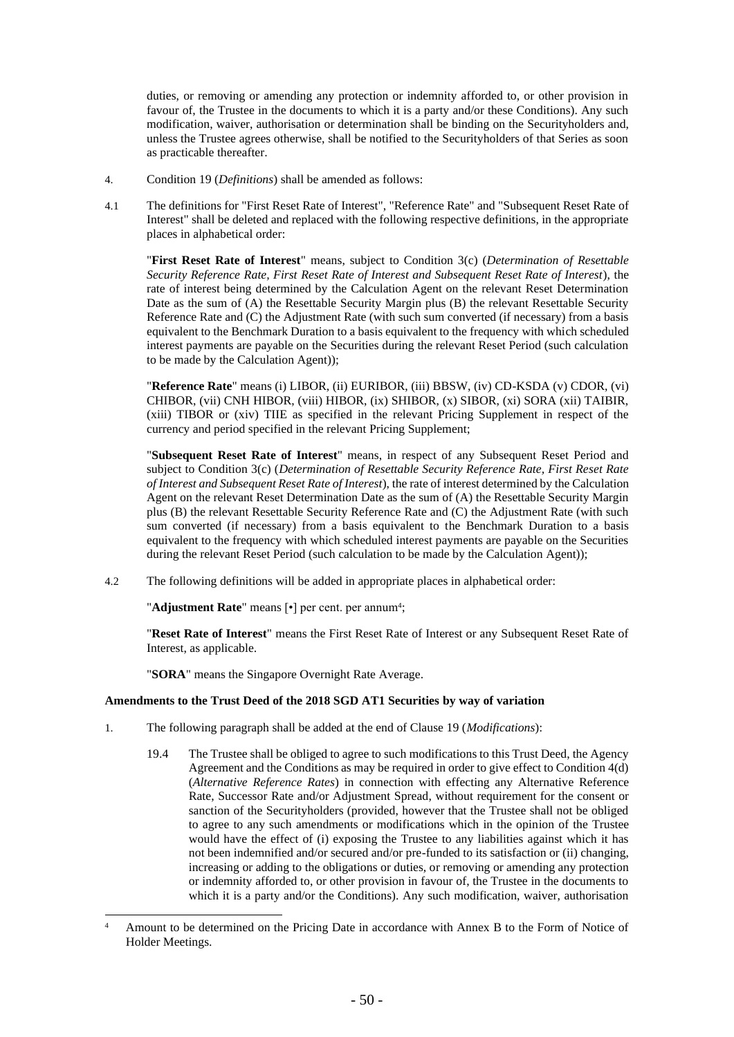duties, or removing or amending any protection or indemnity afforded to, or other provision in favour of, the Trustee in the documents to which it is a party and/or these Conditions). Any such modification, waiver, authorisation or determination shall be binding on the Securityholders and, unless the Trustee agrees otherwise, shall be notified to the Securityholders of that Series as soon as practicable thereafter.

- 4. Condition 19 (*Definitions*) shall be amended as follows:
- 4.1 The definitions for "First Reset Rate of Interest", "Reference Rate" and "Subsequent Reset Rate of Interest" shall be deleted and replaced with the following respective definitions, in the appropriate places in alphabetical order:

"**First Reset Rate of Interest**" means, subject to Condition 3(c) (*Determination of Resettable Security Reference Rate, First Reset Rate of Interest and Subsequent Reset Rate of Interest*), the rate of interest being determined by the Calculation Agent on the relevant Reset Determination Date as the sum of (A) the Resettable Security Margin plus (B) the relevant Resettable Security Reference Rate and (C) the Adjustment Rate (with such sum converted (if necessary) from a basis equivalent to the Benchmark Duration to a basis equivalent to the frequency with which scheduled interest payments are payable on the Securities during the relevant Reset Period (such calculation to be made by the Calculation Agent));

"**Reference Rate**" means (i) LIBOR, (ii) EURIBOR, (iii) BBSW, (iv) CD-KSDA (v) CDOR, (vi) CHIBOR, (vii) CNH HIBOR, (viii) HIBOR, (ix) SHIBOR, (x) SIBOR, (xi) SORA (xii) TAIBIR, (xiii) TIBOR or (xiv) TIIE as specified in the relevant Pricing Supplement in respect of the currency and period specified in the relevant Pricing Supplement;

"**Subsequent Reset Rate of Interest**" means, in respect of any Subsequent Reset Period and subject to Condition 3(c) (*Determination of Resettable Security Reference Rate, First Reset Rate of Interest and Subsequent Reset Rate of Interest*), the rate of interest determined by the Calculation Agent on the relevant Reset Determination Date as the sum of (A) the Resettable Security Margin plus (B) the relevant Resettable Security Reference Rate and (C) the Adjustment Rate (with such sum converted (if necessary) from a basis equivalent to the Benchmark Duration to a basis equivalent to the frequency with which scheduled interest payments are payable on the Securities during the relevant Reset Period (such calculation to be made by the Calculation Agent));

4.2 The following definitions will be added in appropriate places in alphabetical order:

"**Adjustment Rate**" means [•] per cent. per annum<sup>4</sup>;

"**Reset Rate of Interest**" means the First Reset Rate of Interest or any Subsequent Reset Rate of Interest, as applicable.

"**SORA**" means the Singapore Overnight Rate Average.

## **Amendments to the Trust Deed of the 2018 SGD AT1 Securities by way of variation**

- 1. The following paragraph shall be added at the end of Clause 19 (*Modifications*):
	- 19.4 The Trustee shall be obliged to agree to such modifications to this Trust Deed, the Agency Agreement and the Conditions as may be required in order to give effect to Condition 4(d) (*Alternative Reference Rates*) in connection with effecting any Alternative Reference Rate, Successor Rate and/or Adjustment Spread, without requirement for the consent or sanction of the Securityholders (provided, however that the Trustee shall not be obliged to agree to any such amendments or modifications which in the opinion of the Trustee would have the effect of (i) exposing the Trustee to any liabilities against which it has not been indemnified and/or secured and/or pre-funded to its satisfaction or (ii) changing, increasing or adding to the obligations or duties, or removing or amending any protection or indemnity afforded to, or other provision in favour of, the Trustee in the documents to which it is a party and/or the Conditions). Any such modification, waiver, authorisation

<sup>&</sup>lt;sup>4</sup> Amount to be determined on the Pricing Date in accordance with Annex B to the Form of Notice of Holder Meetings.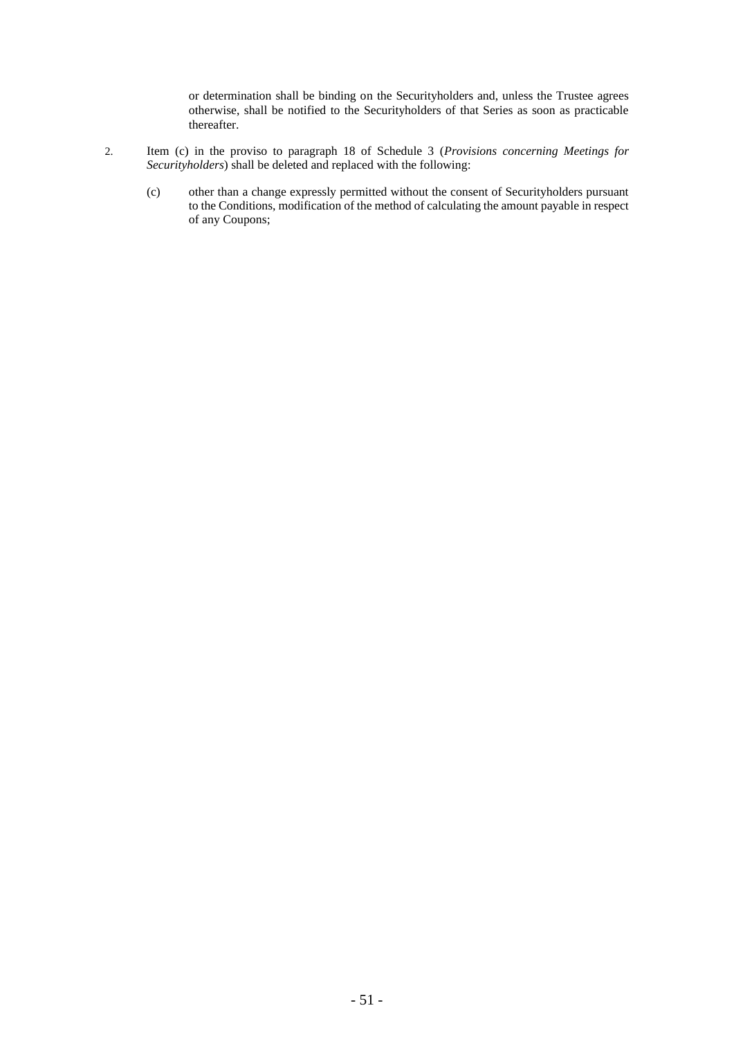or determination shall be binding on the Securityholders and, unless the Trustee agrees otherwise, shall be notified to the Securityholders of that Series as soon as practicable thereafter.

- 2. Item (c) in the proviso to paragraph 18 of Schedule 3 (*Provisions concerning Meetings for Securityholders*) shall be deleted and replaced with the following:
	- (c) other than a change expressly permitted without the consent of Securityholders pursuant to the Conditions, modification of the method of calculating the amount payable in respect of any Coupons;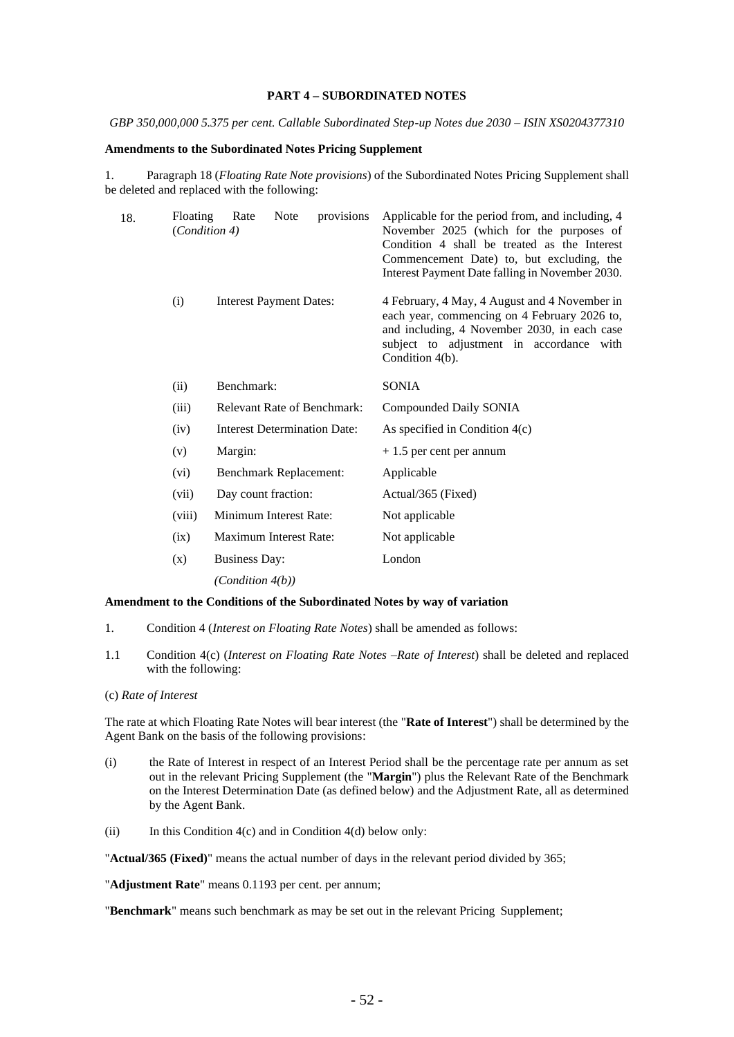#### **PART 4 – SUBORDINATED NOTES**

*GBP 350,000,000 5.375 per cent. Callable Subordinated Step-up Notes due 2030 – ISIN XS0204377310*

### **Amendments to the Subordinated Notes Pricing Supplement**

1. Paragraph 18 (*Floating Rate Note provisions*) of the Subordinated Notes Pricing Supplement shall be deleted and replaced with the following:

| 18. | Floating | provisions<br>Rate<br>Note<br>(Condition 4) | Applicable for the period from, and including, 4<br>November 2025 (which for the purposes of<br>Condition 4 shall be treated as the Interest<br>Commencement Date) to, but excluding, the<br>Interest Payment Date falling in November 2030. |  |  |
|-----|----------|---------------------------------------------|----------------------------------------------------------------------------------------------------------------------------------------------------------------------------------------------------------------------------------------------|--|--|
|     | (i)      | <b>Interest Payment Dates:</b>              | 4 February, 4 May, 4 August and 4 November in<br>each year, commencing on 4 February 2026 to,<br>and including, 4 November 2030, in each case<br>subject to adjustment in accordance with<br>Condition 4(b).                                 |  |  |
|     | (ii)     | Benchmark:                                  | <b>SONIA</b>                                                                                                                                                                                                                                 |  |  |
|     | (iii)    | <b>Relevant Rate of Benchmark:</b>          | Compounded Daily SONIA                                                                                                                                                                                                                       |  |  |
|     | (iv)     | <b>Interest Determination Date:</b>         | As specified in Condition $4(c)$                                                                                                                                                                                                             |  |  |
|     | (v)      | Margin:                                     | $+1.5$ per cent per annum                                                                                                                                                                                                                    |  |  |
|     | (vi)     | <b>Benchmark Replacement:</b>               | Applicable                                                                                                                                                                                                                                   |  |  |
|     | (vii)    | Day count fraction:                         | Actual/365 (Fixed)                                                                                                                                                                                                                           |  |  |
|     | (viii)   | Minimum Interest Rate:                      | Not applicable                                                                                                                                                                                                                               |  |  |
|     | (ix)     | Maximum Interest Rate:                      | Not applicable                                                                                                                                                                                                                               |  |  |
|     | (x)      | <b>Business Day:</b>                        | London                                                                                                                                                                                                                                       |  |  |
|     |          | (Condition 4(b))                            |                                                                                                                                                                                                                                              |  |  |

### **Amendment to the Conditions of the Subordinated Notes by way of variation**

- 1. Condition 4 (*Interest on Floating Rate Notes*) shall be amended as follows:
- 1.1 Condition 4(c) (*Interest on Floating Rate Notes –Rate of Interest*) shall be deleted and replaced with the following:
- (c) *Rate of Interest*

The rate at which Floating Rate Notes will bear interest (the "**Rate of Interest**") shall be determined by the Agent Bank on the basis of the following provisions:

- (i) the Rate of Interest in respect of an Interest Period shall be the percentage rate per annum as set out in the relevant Pricing Supplement (the "**Margin**") plus the Relevant Rate of the Benchmark on the Interest Determination Date (as defined below) and the Adjustment Rate, all as determined by the Agent Bank.
- (ii) In this Condition  $4(c)$  and in Condition  $4(d)$  below only:

"**Actual/365 (Fixed)**" means the actual number of days in the relevant period divided by 365;

"**Adjustment Rate**" means 0.1193 per cent. per annum;

"**Benchmark**" means such benchmark as may be set out in the relevant Pricing Supplement;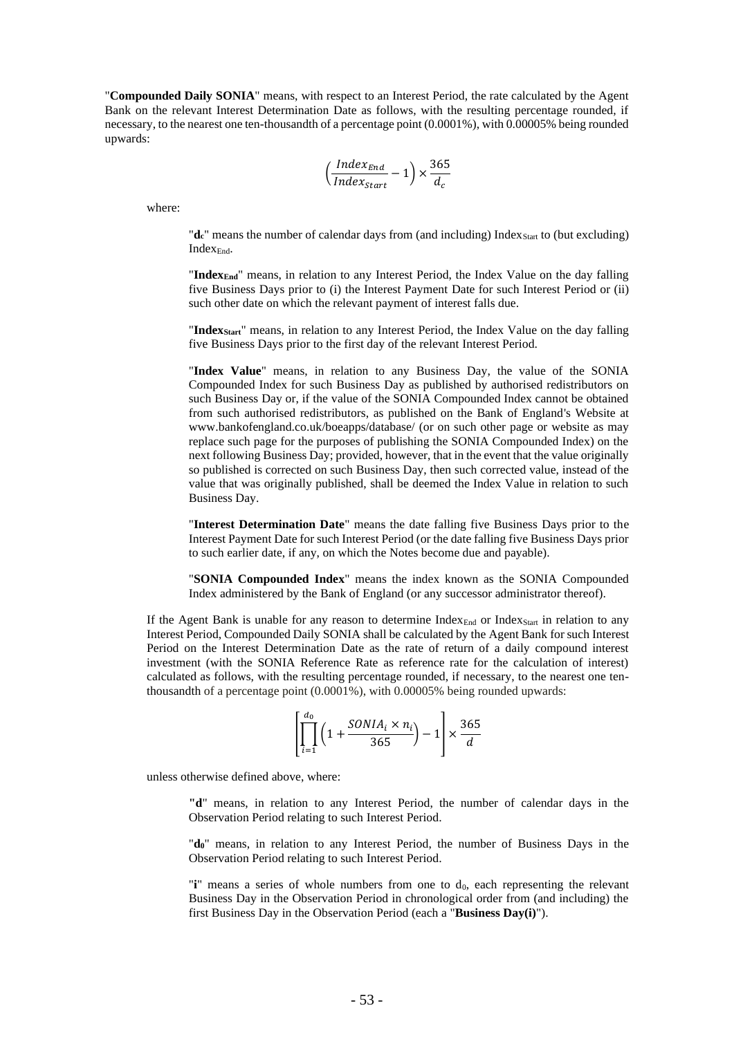"**Compounded Daily SONIA**" means, with respect to an Interest Period, the rate calculated by the Agent Bank on the relevant Interest Determination Date as follows, with the resulting percentage rounded, if necessary, to the nearest one ten-thousandth of a percentage point (0.0001%), with 0.00005% being rounded upwards:

$$
\left(\frac{Index_{End}}{Index_{Start}} - 1\right) \times \frac{365}{d_c}
$$

where:

"**d**<sub>c</sub>" means the number of calendar days from (and including) Index<sub>Start</sub> to (but excluding) Index<sub>End</sub>.

"**IndexEnd**" means, in relation to any Interest Period, the Index Value on the day falling five Business Days prior to (i) the Interest Payment Date for such Interest Period or (ii) such other date on which the relevant payment of interest falls due.

"**IndexStart**" means, in relation to any Interest Period, the Index Value on the day falling five Business Days prior to the first day of the relevant Interest Period.

"**Index Value**" means, in relation to any Business Day, the value of the SONIA Compounded Index for such Business Day as published by authorised redistributors on such Business Day or, if the value of the SONIA Compounded Index cannot be obtained from such authorised redistributors, as published on the Bank of England's Website at www.bankofengland.co.uk/boeapps/database/ (or on such other page or website as may replace such page for the purposes of publishing the SONIA Compounded Index) on the next following Business Day; provided, however, that in the event that the value originally so published is corrected on such Business Day, then such corrected value, instead of the value that was originally published, shall be deemed the Index Value in relation to such Business Day.

"**Interest Determination Date**" means the date falling five Business Days prior to the Interest Payment Date for such Interest Period (or the date falling five Business Days prior to such earlier date, if any, on which the Notes become due and payable).

"**SONIA Compounded Index**" means the index known as the SONIA Compounded Index administered by the Bank of England (or any successor administrator thereof).

If the Agent Bank is unable for any reason to determine Index $_{\text{End}}$  or Index $_{\text{Start}}$  in relation to any Interest Period, Compounded Daily SONIA shall be calculated by the Agent Bank for such Interest Period on the Interest Determination Date as the rate of return of a daily compound interest investment (with the SONIA Reference Rate as reference rate for the calculation of interest) calculated as follows, with the resulting percentage rounded, if necessary, to the nearest one tenthousandth of a percentage point (0.0001%), with 0.00005% being rounded upwards:

$$
\left[\prod_{i=1}^{d_0} \left(1 + \frac{SONIA_i \times n_i}{365}\right) - 1\right] \times \frac{365}{d}
$$

unless otherwise defined above, where:

**"d**" means, in relation to any Interest Period, the number of calendar days in the Observation Period relating to such Interest Period.

"**d0**" means, in relation to any Interest Period, the number of Business Days in the Observation Period relating to such Interest Period.

"**i**" means a series of whole numbers from one to d<sub>0</sub>, each representing the relevant Business Day in the Observation Period in chronological order from (and including) the first Business Day in the Observation Period (each a "**Business Day(i)**").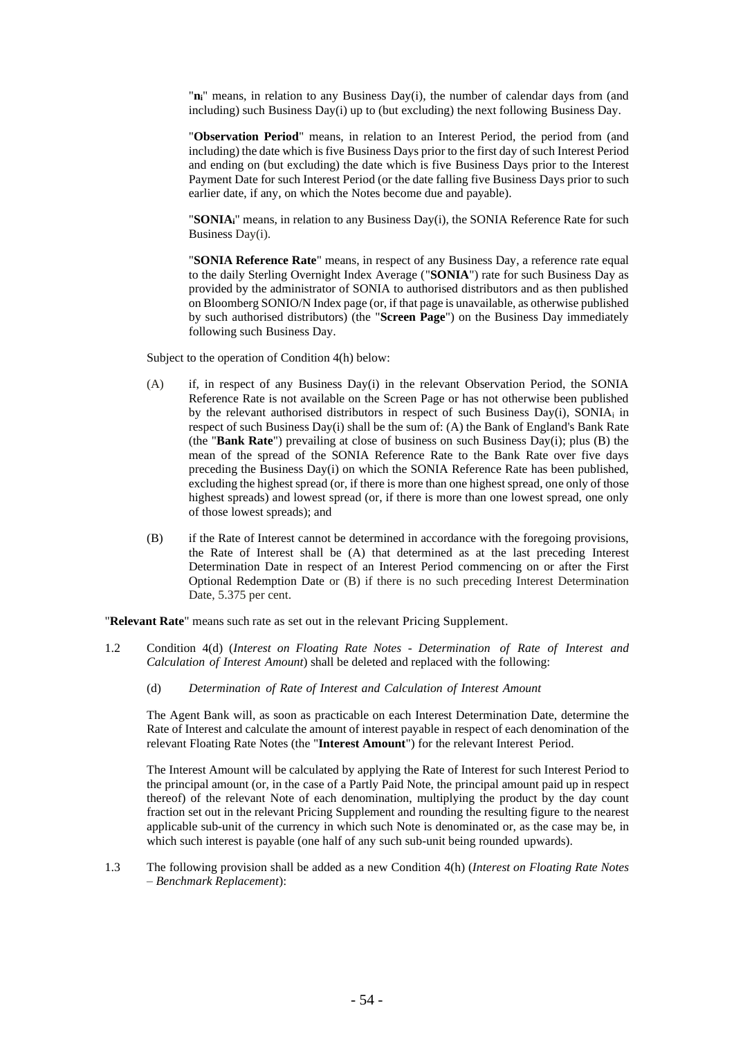"**ni**" means, in relation to any Business Day(i), the number of calendar days from (and including) such Business Day(i) up to (but excluding) the next following Business Day.

"**Observation Period**" means, in relation to an Interest Period, the period from (and including) the date which is five Business Days prior to the first day of such Interest Period and ending on (but excluding) the date which is five Business Days prior to the Interest Payment Date for such Interest Period (or the date falling five Business Days prior to such earlier date, if any, on which the Notes become due and payable).

"**SONIAi**" means, in relation to any Business Day(i), the SONIA Reference Rate for such Business Day(i).

"**SONIA Reference Rate**" means, in respect of any Business Day, a reference rate equal to the daily Sterling Overnight Index Average ("**SONIA**") rate for such Business Day as provided by the administrator of SONIA to authorised distributors and as then published on Bloomberg SONIO/N Index page (or, if that page is unavailable, as otherwise published by such authorised distributors) (the "**Screen Page**") on the Business Day immediately following such Business Day.

Subject to the operation of Condition 4(h) below:

- (A) if, in respect of any Business Day(i) in the relevant Observation Period, the SONIA Reference Rate is not available on the Screen Page or has not otherwise been published by the relevant authorised distributors in respect of such Business Day(i), SONIA<sup>i</sup> in respect of such Business Day(i) shall be the sum of: (A) the Bank of England's Bank Rate (the "**Bank Rate**") prevailing at close of business on such Business Day(i); plus (B) the mean of the spread of the SONIA Reference Rate to the Bank Rate over five days preceding the Business Day(i) on which the SONIA Reference Rate has been published, excluding the highest spread (or, if there is more than one highest spread, one only of those highest spreads) and lowest spread (or, if there is more than one lowest spread, one only of those lowest spreads); and
- (B) if the Rate of Interest cannot be determined in accordance with the foregoing provisions, the Rate of Interest shall be (A) that determined as at the last preceding Interest Determination Date in respect of an Interest Period commencing on or after the First Optional Redemption Date or (B) if there is no such preceding Interest Determination Date, 5.375 per cent.

"**Relevant Rate**" means such rate as set out in the relevant Pricing Supplement.

- 1.2 Condition 4(d) (*Interest on Floating Rate Notes - Determination of Rate of Interest and Calculation of Interest Amount*) shall be deleted and replaced with the following:
	- (d) *Determination of Rate of Interest and Calculation of Interest Amount*

The Agent Bank will, as soon as practicable on each Interest Determination Date, determine the Rate of Interest and calculate the amount of interest payable in respect of each denomination of the relevant Floating Rate Notes (the "**Interest Amount**") for the relevant Interest Period.

The Interest Amount will be calculated by applying the Rate of Interest for such Interest Period to the principal amount (or, in the case of a Partly Paid Note, the principal amount paid up in respect thereof) of the relevant Note of each denomination, multiplying the product by the day count fraction set out in the relevant Pricing Supplement and rounding the resulting figure to the nearest applicable sub-unit of the currency in which such Note is denominated or, as the case may be, in which such interest is payable (one half of any such sub-unit being rounded upwards).

1.3 The following provision shall be added as a new Condition 4(h) (*Interest on Floating Rate Notes – Benchmark Replacement*):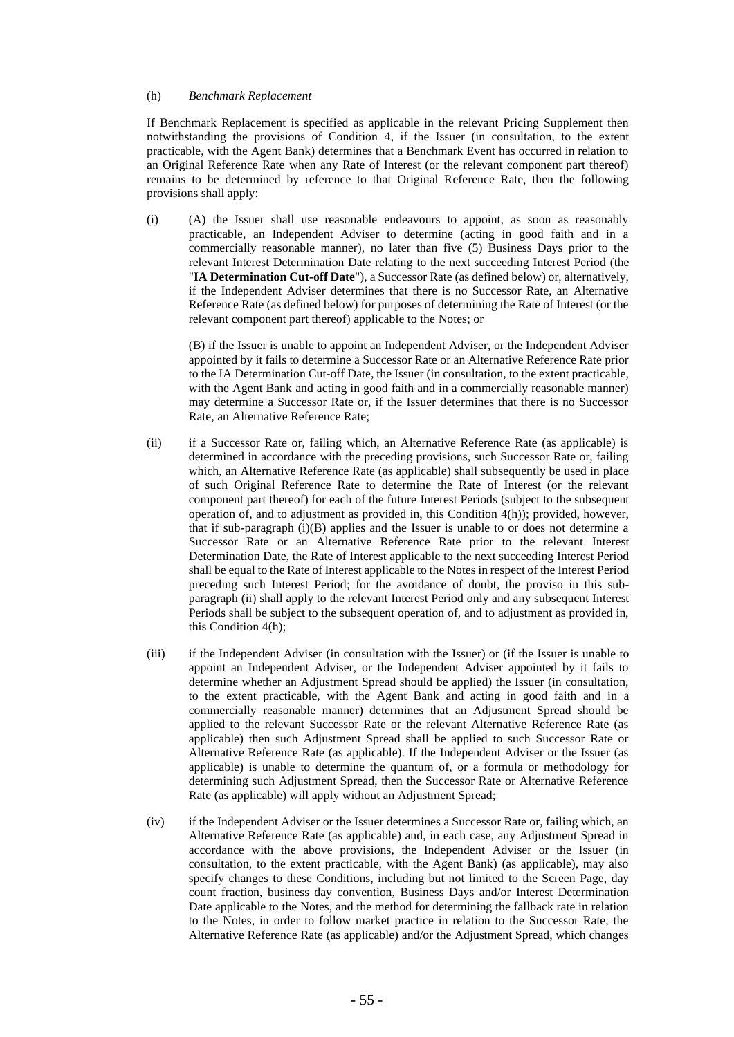#### (h) *Benchmark Replacement*

If Benchmark Replacement is specified as applicable in the relevant Pricing Supplement then notwithstanding the provisions of Condition 4, if the Issuer (in consultation, to the extent practicable, with the Agent Bank) determines that a Benchmark Event has occurred in relation to an Original Reference Rate when any Rate of Interest (or the relevant component part thereof) remains to be determined by reference to that Original Reference Rate, then the following provisions shall apply:

(i) (A) the Issuer shall use reasonable endeavours to appoint, as soon as reasonably practicable, an Independent Adviser to determine (acting in good faith and in a commercially reasonable manner), no later than five (5) Business Days prior to the relevant Interest Determination Date relating to the next succeeding Interest Period (the "**IA Determination Cut-off Date**"), a Successor Rate (as defined below) or, alternatively, if the Independent Adviser determines that there is no Successor Rate, an Alternative Reference Rate (as defined below) for purposes of determining the Rate of Interest (or the relevant component part thereof) applicable to the Notes; or

(B) if the Issuer is unable to appoint an Independent Adviser, or the Independent Adviser appointed by it fails to determine a Successor Rate or an Alternative Reference Rate prior to the IA Determination Cut-off Date, the Issuer (in consultation, to the extent practicable, with the Agent Bank and acting in good faith and in a commercially reasonable manner) may determine a Successor Rate or, if the Issuer determines that there is no Successor Rate, an Alternative Reference Rate;

- (ii) if a Successor Rate or, failing which, an Alternative Reference Rate (as applicable) is determined in accordance with the preceding provisions, such Successor Rate or, failing which, an Alternative Reference Rate (as applicable) shall subsequently be used in place of such Original Reference Rate to determine the Rate of Interest (or the relevant component part thereof) for each of the future Interest Periods (subject to the subsequent operation of, and to adjustment as provided in, this Condition 4(h)); provided, however, that if sub-paragraph (i)(B) applies and the Issuer is unable to or does not determine a Successor Rate or an Alternative Reference Rate prior to the relevant Interest Determination Date, the Rate of Interest applicable to the next succeeding Interest Period shall be equal to the Rate of Interest applicable to the Notes in respect of the Interest Period preceding such Interest Period; for the avoidance of doubt, the proviso in this subparagraph (ii) shall apply to the relevant Interest Period only and any subsequent Interest Periods shall be subject to the subsequent operation of, and to adjustment as provided in, this Condition 4(h);
- (iii) if the Independent Adviser (in consultation with the Issuer) or (if the Issuer is unable to appoint an Independent Adviser, or the Independent Adviser appointed by it fails to determine whether an Adjustment Spread should be applied) the Issuer (in consultation, to the extent practicable, with the Agent Bank and acting in good faith and in a commercially reasonable manner) determines that an Adjustment Spread should be applied to the relevant Successor Rate or the relevant Alternative Reference Rate (as applicable) then such Adjustment Spread shall be applied to such Successor Rate or Alternative Reference Rate (as applicable). If the Independent Adviser or the Issuer (as applicable) is unable to determine the quantum of, or a formula or methodology for determining such Adjustment Spread, then the Successor Rate or Alternative Reference Rate (as applicable) will apply without an Adjustment Spread;
- (iv) if the Independent Adviser or the Issuer determines a Successor Rate or, failing which, an Alternative Reference Rate (as applicable) and, in each case, any Adjustment Spread in accordance with the above provisions, the Independent Adviser or the Issuer (in consultation, to the extent practicable, with the Agent Bank) (as applicable), may also specify changes to these Conditions, including but not limited to the Screen Page, day count fraction, business day convention, Business Days and/or Interest Determination Date applicable to the Notes, and the method for determining the fallback rate in relation to the Notes, in order to follow market practice in relation to the Successor Rate, the Alternative Reference Rate (as applicable) and/or the Adjustment Spread, which changes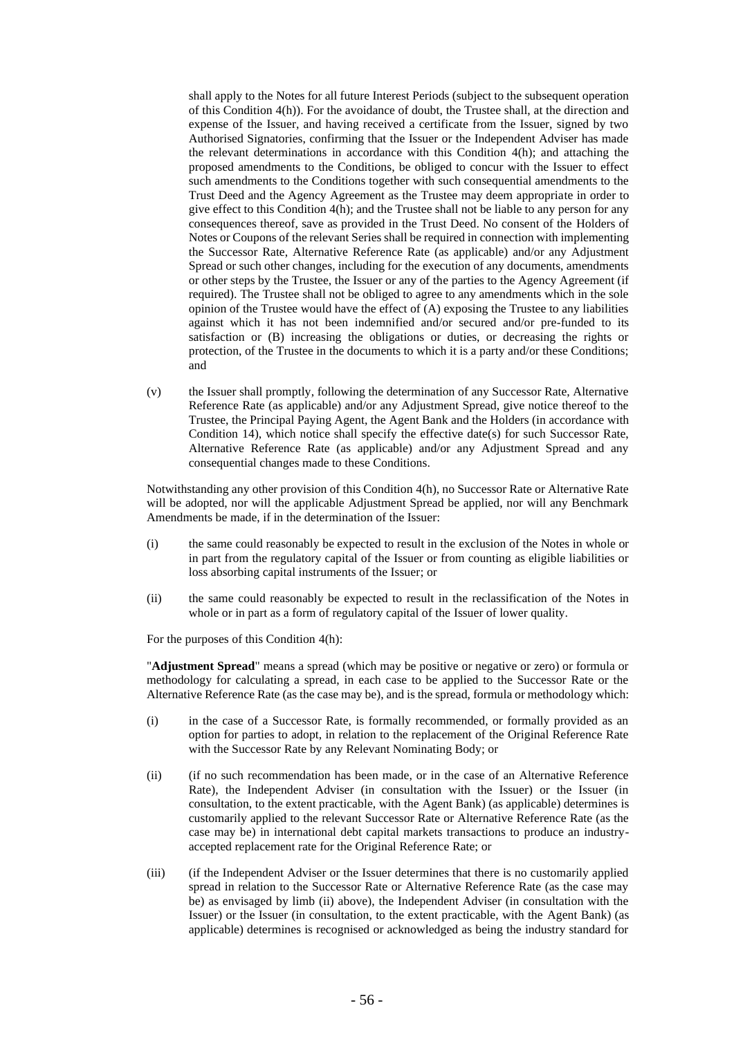shall apply to the Notes for all future Interest Periods (subject to the subsequent operation of this Condition 4(h)). For the avoidance of doubt, the Trustee shall, at the direction and expense of the Issuer, and having received a certificate from the Issuer, signed by two Authorised Signatories, confirming that the Issuer or the Independent Adviser has made the relevant determinations in accordance with this Condition 4(h); and attaching the proposed amendments to the Conditions, be obliged to concur with the Issuer to effect such amendments to the Conditions together with such consequential amendments to the Trust Deed and the Agency Agreement as the Trustee may deem appropriate in order to give effect to this Condition 4(h); and the Trustee shall not be liable to any person for any consequences thereof, save as provided in the Trust Deed. No consent of the Holders of Notes or Coupons of the relevant Series shall be required in connection with implementing the Successor Rate, Alternative Reference Rate (as applicable) and/or any Adjustment Spread or such other changes, including for the execution of any documents, amendments or other steps by the Trustee, the Issuer or any of the parties to the Agency Agreement (if required). The Trustee shall not be obliged to agree to any amendments which in the sole opinion of the Trustee would have the effect of (A) exposing the Trustee to any liabilities against which it has not been indemnified and/or secured and/or pre-funded to its satisfaction or (B) increasing the obligations or duties, or decreasing the rights or protection, of the Trustee in the documents to which it is a party and/or these Conditions; and

(v) the Issuer shall promptly, following the determination of any Successor Rate, Alternative Reference Rate (as applicable) and/or any Adjustment Spread, give notice thereof to the Trustee, the Principal Paying Agent, the Agent Bank and the Holders (in accordance with Condition 14), which notice shall specify the effective date(s) for such Successor Rate, Alternative Reference Rate (as applicable) and/or any Adjustment Spread and any consequential changes made to these Conditions.

Notwithstanding any other provision of this Condition 4(h), no Successor Rate or Alternative Rate will be adopted, nor will the applicable Adjustment Spread be applied, nor will any Benchmark Amendments be made, if in the determination of the Issuer:

- (i) the same could reasonably be expected to result in the exclusion of the Notes in whole or in part from the regulatory capital of the Issuer or from counting as eligible liabilities or loss absorbing capital instruments of the Issuer; or
- (ii) the same could reasonably be expected to result in the reclassification of the Notes in whole or in part as a form of regulatory capital of the Issuer of lower quality.

For the purposes of this Condition 4(h):

"**Adjustment Spread**" means a spread (which may be positive or negative or zero) or formula or methodology for calculating a spread, in each case to be applied to the Successor Rate or the Alternative Reference Rate (as the case may be), and is the spread, formula or methodology which:

- (i) in the case of a Successor Rate, is formally recommended, or formally provided as an option for parties to adopt, in relation to the replacement of the Original Reference Rate with the Successor Rate by any Relevant Nominating Body; or
- (ii) (if no such recommendation has been made, or in the case of an Alternative Reference Rate), the Independent Adviser (in consultation with the Issuer) or the Issuer (in consultation, to the extent practicable, with the Agent Bank) (as applicable) determines is customarily applied to the relevant Successor Rate or Alternative Reference Rate (as the case may be) in international debt capital markets transactions to produce an industryaccepted replacement rate for the Original Reference Rate; or
- (iii) (if the Independent Adviser or the Issuer determines that there is no customarily applied spread in relation to the Successor Rate or Alternative Reference Rate (as the case may be) as envisaged by limb (ii) above), the Independent Adviser (in consultation with the Issuer) or the Issuer (in consultation, to the extent practicable, with the Agent Bank) (as applicable) determines is recognised or acknowledged as being the industry standard for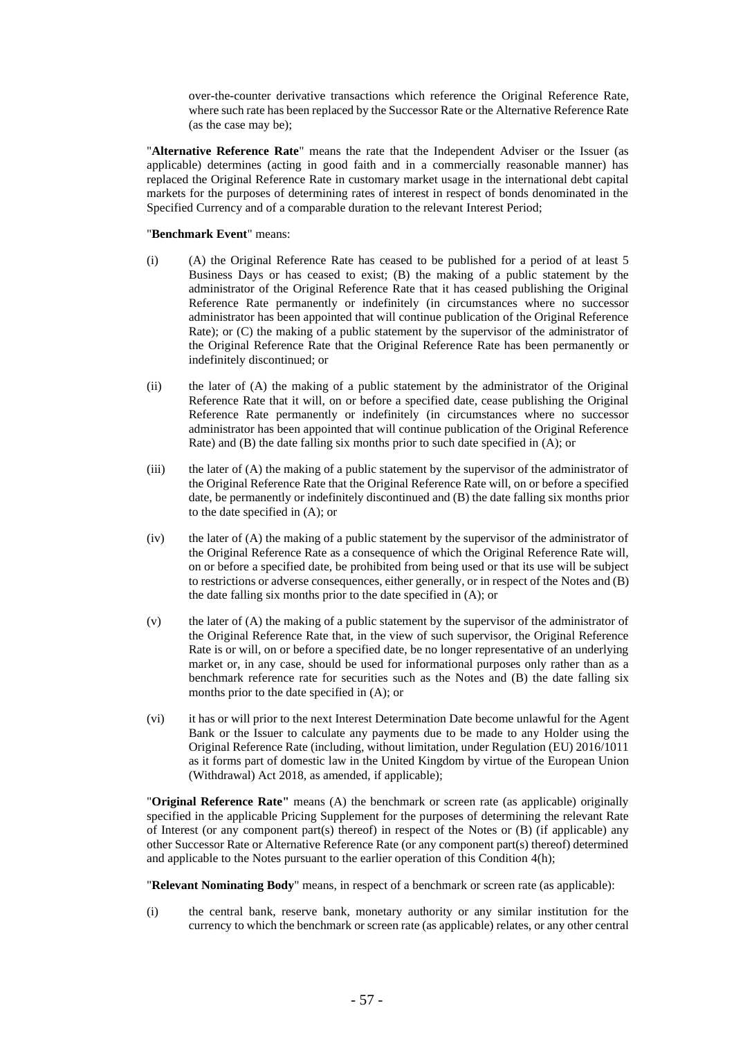over-the-counter derivative transactions which reference the Original Reference Rate, where such rate has been replaced by the Successor Rate or the Alternative Reference Rate (as the case may be);

"**Alternative Reference Rate**" means the rate that the Independent Adviser or the Issuer (as applicable) determines (acting in good faith and in a commercially reasonable manner) has replaced the Original Reference Rate in customary market usage in the international debt capital markets for the purposes of determining rates of interest in respect of bonds denominated in the Specified Currency and of a comparable duration to the relevant Interest Period;

#### "**Benchmark Event**" means:

- (i) (A) the Original Reference Rate has ceased to be published for a period of at least 5 Business Days or has ceased to exist; (B) the making of a public statement by the administrator of the Original Reference Rate that it has ceased publishing the Original Reference Rate permanently or indefinitely (in circumstances where no successor administrator has been appointed that will continue publication of the Original Reference Rate); or (C) the making of a public statement by the supervisor of the administrator of the Original Reference Rate that the Original Reference Rate has been permanently or indefinitely discontinued; or
- (ii) the later of (A) the making of a public statement by the administrator of the Original Reference Rate that it will, on or before a specified date, cease publishing the Original Reference Rate permanently or indefinitely (in circumstances where no successor administrator has been appointed that will continue publication of the Original Reference Rate) and (B) the date falling six months prior to such date specified in (A); or
- (iii) the later of (A) the making of a public statement by the supervisor of the administrator of the Original Reference Rate that the Original Reference Rate will, on or before a specified date, be permanently or indefinitely discontinued and (B) the date falling six months prior to the date specified in (A); or
- (iv) the later of (A) the making of a public statement by the supervisor of the administrator of the Original Reference Rate as a consequence of which the Original Reference Rate will, on or before a specified date, be prohibited from being used or that its use will be subject to restrictions or adverse consequences, either generally, or in respect of the Notes and (B) the date falling six months prior to the date specified in (A); or
- (v) the later of (A) the making of a public statement by the supervisor of the administrator of the Original Reference Rate that, in the view of such supervisor, the Original Reference Rate is or will, on or before a specified date, be no longer representative of an underlying market or, in any case, should be used for informational purposes only rather than as a benchmark reference rate for securities such as the Notes and (B) the date falling six months prior to the date specified in (A); or
- (vi) it has or will prior to the next Interest Determination Date become unlawful for the Agent Bank or the Issuer to calculate any payments due to be made to any Holder using the Original Reference Rate (including, without limitation, under Regulation (EU) 2016/1011 as it forms part of domestic law in the United Kingdom by virtue of the European Union (Withdrawal) Act 2018, as amended, if applicable);

"**Original Reference Rate"** means (A) the benchmark or screen rate (as applicable) originally specified in the applicable Pricing Supplement for the purposes of determining the relevant Rate of Interest (or any component part(s) thereof) in respect of the Notes or (B) (if applicable) any other Successor Rate or Alternative Reference Rate (or any component part(s) thereof) determined and applicable to the Notes pursuant to the earlier operation of this Condition 4(h);

"**Relevant Nominating Body**" means, in respect of a benchmark or screen rate (as applicable):

(i) the central bank, reserve bank, monetary authority or any similar institution for the currency to which the benchmark or screen rate (as applicable) relates, or any other central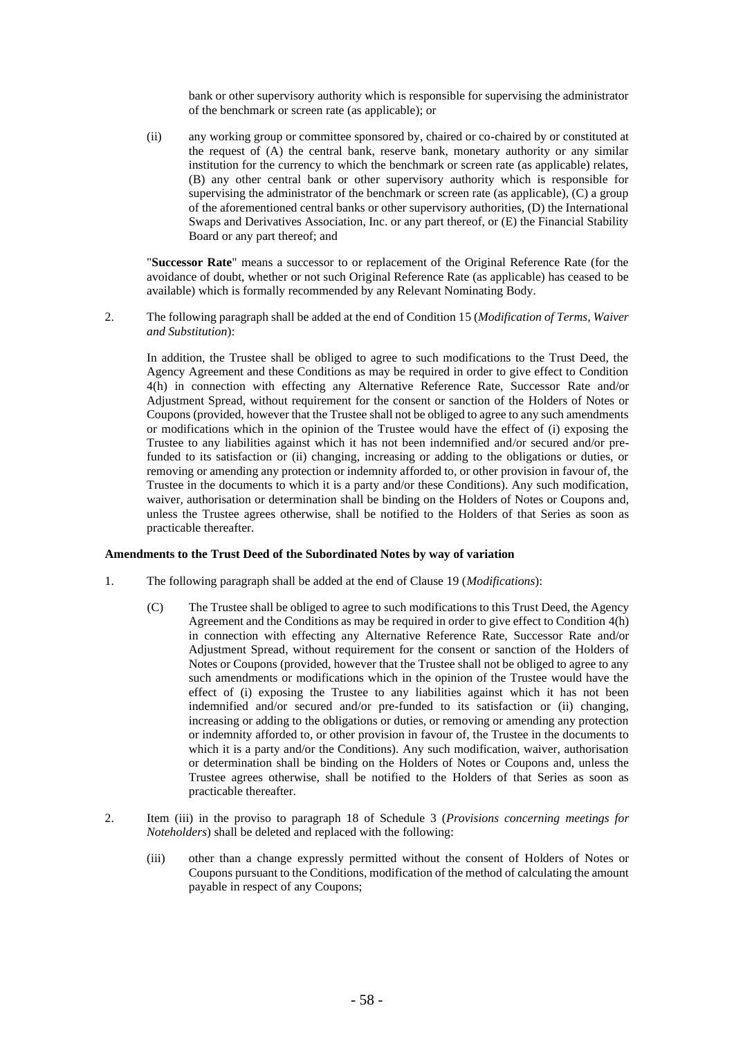bank or other supervisory authority which is responsible for supervising the administrator of the benchmark or screen rate (as applicable); or

(ii) any working group or committee sponsored by, chaired or co-chaired by or constituted at the request of (A) the central bank, reserve bank, monetary authority or any similar institution for the currency to which the benchmark or screen rate (as applicable) relates, (B) any other central bank or other supervisory authority which is responsible for supervising the administrator of the benchmark or screen rate (as applicable), (C) a group of the aforementioned central banks or other supervisory authorities, (D) the International Swaps and Derivatives Association, Inc. or any part thereof, or (E) the Financial Stability Board or any part thereof; and

"**Successor Rate**" means a successor to or replacement of the Original Reference Rate (for the avoidance of doubt, whether or not such Original Reference Rate (as applicable) has ceased to be available) which is formally recommended by any Relevant Nominating Body.

2. The following paragraph shall be added at the end of Condition 15 (*Modification of Terms, Waiver and Substitution*):

In addition, the Trustee shall be obliged to agree to such modifications to the Trust Deed, the Agency Agreement and these Conditions as may be required in order to give effect to Condition 4(h) in connection with effecting any Alternative Reference Rate, Successor Rate and/or Adjustment Spread, without requirement for the consent or sanction of the Holders of Notes or Coupons (provided, however that the Trustee shall not be obliged to agree to any such amendments or modifications which in the opinion of the Trustee would have the effect of (i) exposing the Trustee to any liabilities against which it has not been indemnified and/or secured and/or prefunded to its satisfaction or (ii) changing, increasing or adding to the obligations or duties, or removing or amending any protection or indemnity afforded to, or other provision in favour of, the Trustee in the documents to which it is a party and/or these Conditions). Any such modification, waiver, authorisation or determination shall be binding on the Holders of Notes or Coupons and, unless the Trustee agrees otherwise, shall be notified to the Holders of that Series as soon as practicable thereafter.

#### **Amendments to the Trust Deed of the Subordinated Notes by way of variation**

- 1. The following paragraph shall be added at the end of Clause 19 (*Modifications*):
	- (C) The Trustee shall be obliged to agree to such modifications to this Trust Deed, the Agency Agreement and the Conditions as may be required in order to give effect to Condition 4(h) in connection with effecting any Alternative Reference Rate, Successor Rate and/or Adjustment Spread, without requirement for the consent or sanction of the Holders of Notes or Coupons (provided, however that the Trustee shall not be obliged to agree to any such amendments or modifications which in the opinion of the Trustee would have the effect of (i) exposing the Trustee to any liabilities against which it has not been indemnified and/or secured and/or pre-funded to its satisfaction or (ii) changing, increasing or adding to the obligations or duties, or removing or amending any protection or indemnity afforded to, or other provision in favour of, the Trustee in the documents to which it is a party and/or the Conditions). Any such modification, waiver, authorisation or determination shall be binding on the Holders of Notes or Coupons and, unless the Trustee agrees otherwise, shall be notified to the Holders of that Series as soon as practicable thereafter.
- 2. Item (iii) in the proviso to paragraph 18 of Schedule 3 (*Provisions concerning meetings for Noteholders*) shall be deleted and replaced with the following:
	- (iii) other than a change expressly permitted without the consent of Holders of Notes or Coupons pursuant to the Conditions, modification of the method of calculating the amount payable in respect of any Coupons;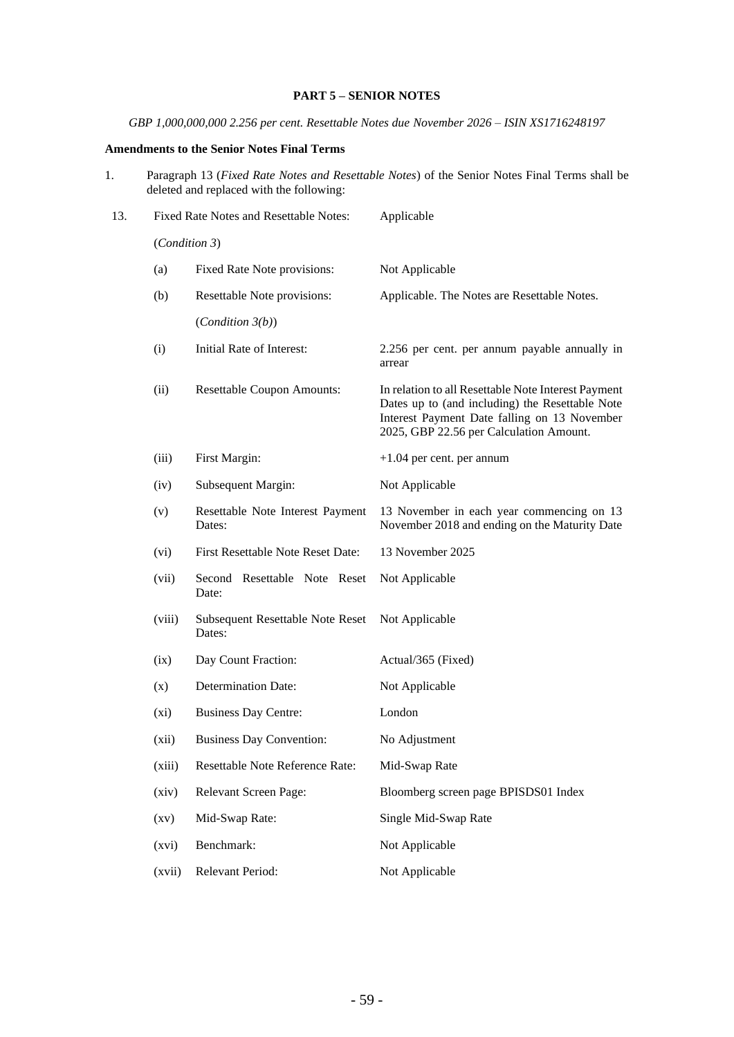## **PART 5 – SENIOR NOTES**

*GBP 1,000,000,000 2.256 per cent. Resettable Notes due November 2026 – ISIN XS1716248197*

## **Amendments to the Senior Notes Final Terms**

1. Paragraph 13 (*Fixed Rate Notes and Resettable Notes*) of the Senior Notes Final Terms shall be deleted and replaced with the following:

| 13. | Fixed Rate Notes and Resettable Notes: |                                            | Applicable                                                                                                                                                                                        |  |  |
|-----|----------------------------------------|--------------------------------------------|---------------------------------------------------------------------------------------------------------------------------------------------------------------------------------------------------|--|--|
|     | (Condition 3)                          |                                            |                                                                                                                                                                                                   |  |  |
|     | (a)                                    | Fixed Rate Note provisions:                | Not Applicable                                                                                                                                                                                    |  |  |
|     | (b)                                    | Resettable Note provisions:                | Applicable. The Notes are Resettable Notes.                                                                                                                                                       |  |  |
|     |                                        | (Condition 3(b))                           |                                                                                                                                                                                                   |  |  |
|     | (i)                                    | Initial Rate of Interest:                  | 2.256 per cent. per annum payable annually in<br>arrear                                                                                                                                           |  |  |
|     | (ii)                                   | <b>Resettable Coupon Amounts:</b>          | In relation to all Resettable Note Interest Payment<br>Dates up to (and including) the Resettable Note<br>Interest Payment Date falling on 13 November<br>2025, GBP 22.56 per Calculation Amount. |  |  |
|     | (iii)                                  | First Margin:                              | $+1.04$ per cent. per annum                                                                                                                                                                       |  |  |
|     | (iv)                                   | Subsequent Margin:                         | Not Applicable                                                                                                                                                                                    |  |  |
|     | (v)                                    | Resettable Note Interest Payment<br>Dates: | 13 November in each year commencing on 13<br>November 2018 and ending on the Maturity Date                                                                                                        |  |  |
|     | (vi)                                   | First Resettable Note Reset Date:          | 13 November 2025                                                                                                                                                                                  |  |  |
|     | (vii)                                  | Second Resettable Note Reset<br>Date:      | Not Applicable                                                                                                                                                                                    |  |  |
|     | (viii)                                 | Subsequent Resettable Note Reset<br>Dates: | Not Applicable                                                                                                                                                                                    |  |  |
|     | (ix)                                   | Day Count Fraction:                        | Actual/365 (Fixed)                                                                                                                                                                                |  |  |
|     | (x)                                    | <b>Determination Date:</b>                 | Not Applicable                                                                                                                                                                                    |  |  |
|     | $(x_i)$                                | <b>Business Day Centre:</b>                | London                                                                                                                                                                                            |  |  |
|     | (xii)                                  | <b>Business Day Convention:</b>            | No Adjustment                                                                                                                                                                                     |  |  |
|     | (xiii)                                 | Resettable Note Reference Rate:            | Mid-Swap Rate                                                                                                                                                                                     |  |  |
|     | (xiv)                                  | Relevant Screen Page:                      | Bloomberg screen page BPISDS01 Index                                                                                                                                                              |  |  |
|     | $\left( xy\right)$                     | Mid-Swap Rate:                             | Single Mid-Swap Rate                                                                                                                                                                              |  |  |
|     | (xvi)                                  | Benchmark:                                 | Not Applicable                                                                                                                                                                                    |  |  |
|     | (xvii)                                 | Relevant Period:                           | Not Applicable                                                                                                                                                                                    |  |  |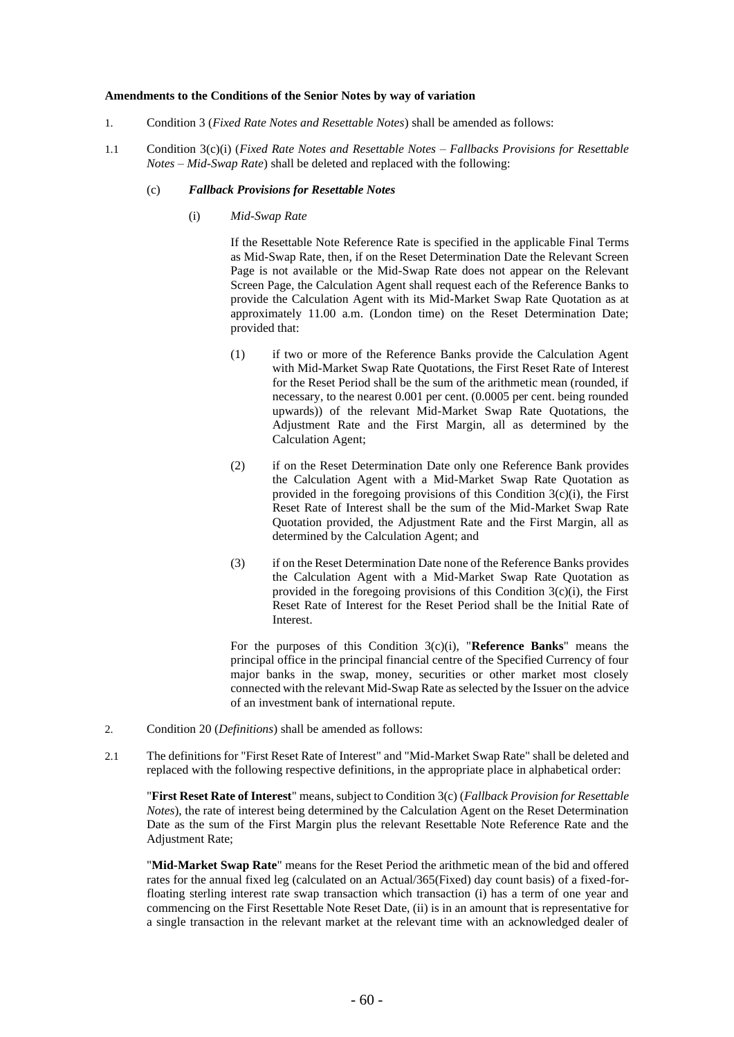#### **Amendments to the Conditions of the Senior Notes by way of variation**

- 1. Condition 3 (*Fixed Rate Notes and Resettable Notes*) shall be amended as follows:
- 1.1 Condition 3(c)(i) (*Fixed Rate Notes and Resettable Notes – Fallbacks Provisions for Resettable Notes – Mid-Swap Rate*) shall be deleted and replaced with the following:

### (c) *Fallback Provisions for Resettable Notes*

(i) *Mid-Swap Rate*

If the Resettable Note Reference Rate is specified in the applicable Final Terms as Mid-Swap Rate, then, if on the Reset Determination Date the Relevant Screen Page is not available or the Mid-Swap Rate does not appear on the Relevant Screen Page, the Calculation Agent shall request each of the Reference Banks to provide the Calculation Agent with its Mid-Market Swap Rate Quotation as at approximately 11.00 a.m. (London time) on the Reset Determination Date; provided that:

- (1) if two or more of the Reference Banks provide the Calculation Agent with Mid-Market Swap Rate Quotations, the First Reset Rate of Interest for the Reset Period shall be the sum of the arithmetic mean (rounded, if necessary, to the nearest 0.001 per cent. (0.0005 per cent. being rounded upwards)) of the relevant Mid-Market Swap Rate Quotations, the Adjustment Rate and the First Margin, all as determined by the Calculation Agent;
- (2) if on the Reset Determination Date only one Reference Bank provides the Calculation Agent with a Mid-Market Swap Rate Quotation as provided in the foregoing provisions of this Condition 3(c)(i), the First Reset Rate of Interest shall be the sum of the Mid-Market Swap Rate Quotation provided, the Adjustment Rate and the First Margin, all as determined by the Calculation Agent; and
- (3) if on the Reset Determination Date none of the Reference Banks provides the Calculation Agent with a Mid-Market Swap Rate Quotation as provided in the foregoing provisions of this Condition  $3(c)(i)$ , the First Reset Rate of Interest for the Reset Period shall be the Initial Rate of Interest.

For the purposes of this Condition 3(c)(i), "**Reference Banks**" means the principal office in the principal financial centre of the Specified Currency of four major banks in the swap, money, securities or other market most closely connected with the relevant Mid-Swap Rate as selected by the Issuer on the advice of an investment bank of international repute.

- 2. Condition 20 (*Definitions*) shall be amended as follows:
- 2.1 The definitions for "First Reset Rate of Interest" and "Mid-Market Swap Rate" shall be deleted and replaced with the following respective definitions, in the appropriate place in alphabetical order:

"**First Reset Rate of Interest**" means, subject to Condition 3(c) (*Fallback Provision for Resettable Notes*), the rate of interest being determined by the Calculation Agent on the Reset Determination Date as the sum of the First Margin plus the relevant Resettable Note Reference Rate and the Adjustment Rate;

"**Mid-Market Swap Rate**" means for the Reset Period the arithmetic mean of the bid and offered rates for the annual fixed leg (calculated on an Actual/365(Fixed) day count basis) of a fixed-forfloating sterling interest rate swap transaction which transaction (i) has a term of one year and commencing on the First Resettable Note Reset Date, (ii) is in an amount that is representative for a single transaction in the relevant market at the relevant time with an acknowledged dealer of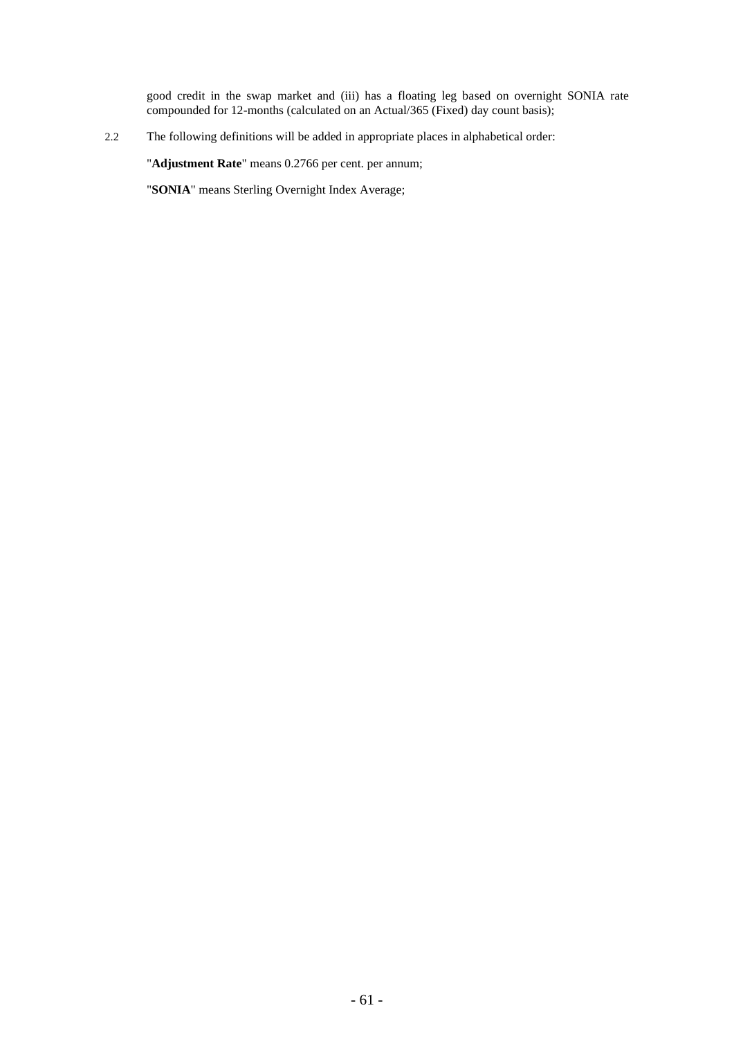good credit in the swap market and (iii) has a floating leg based on overnight SONIA rate compounded for 12-months (calculated on an Actual/365 (Fixed) day count basis);

2.2 The following definitions will be added in appropriate places in alphabetical order:

"**Adjustment Rate**" means 0.2766 per cent. per annum;

"**SONIA**" means Sterling Overnight Index Average;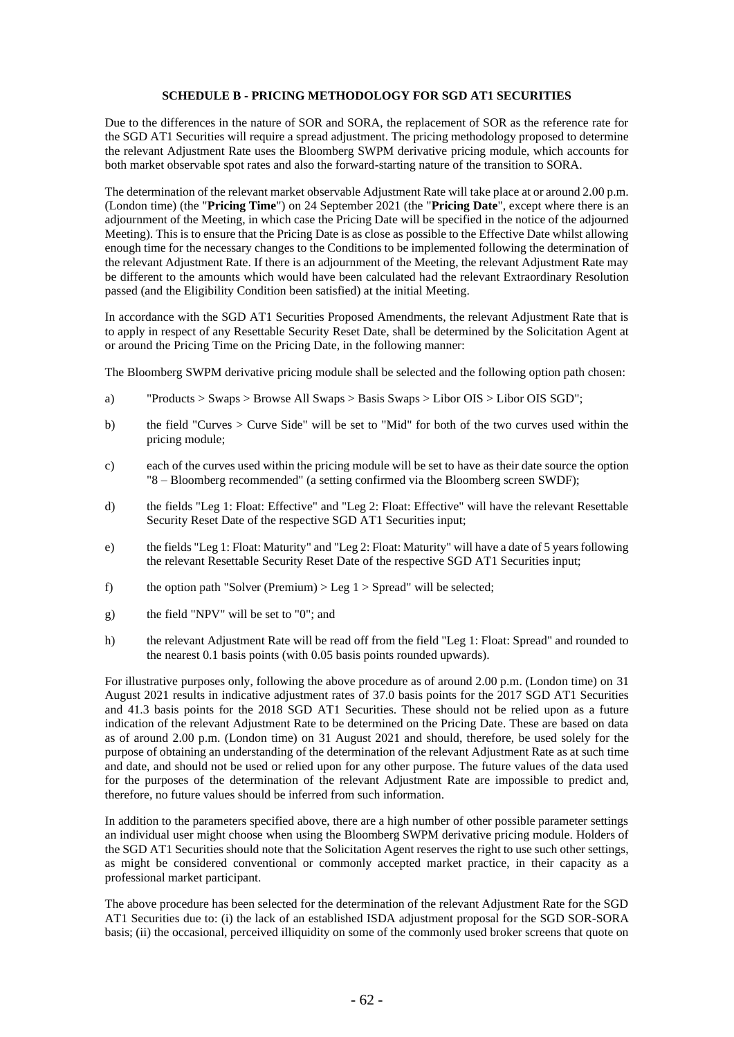## **SCHEDULE B - PRICING METHODOLOGY FOR SGD AT1 SECURITIES**

Due to the differences in the nature of SOR and SORA, the replacement of SOR as the reference rate for the SGD AT1 Securities will require a spread adjustment. The pricing methodology proposed to determine the relevant Adjustment Rate uses the Bloomberg SWPM derivative pricing module, which accounts for both market observable spot rates and also the forward-starting nature of the transition to SORA.

The determination of the relevant market observable Adjustment Rate will take place at or around 2.00 p.m. (London time) (the "**Pricing Time**") on 24 September 2021 (the "**Pricing Date**", except where there is an adjournment of the Meeting, in which case the Pricing Date will be specified in the notice of the adjourned Meeting). This is to ensure that the Pricing Date is as close as possible to the Effective Date whilst allowing enough time for the necessary changes to the Conditions to be implemented following the determination of the relevant Adjustment Rate. If there is an adjournment of the Meeting, the relevant Adjustment Rate may be different to the amounts which would have been calculated had the relevant Extraordinary Resolution passed (and the Eligibility Condition been satisfied) at the initial Meeting.

In accordance with the SGD AT1 Securities Proposed Amendments, the relevant Adjustment Rate that is to apply in respect of any Resettable Security Reset Date, shall be determined by the Solicitation Agent at or around the Pricing Time on the Pricing Date, in the following manner:

The Bloomberg SWPM derivative pricing module shall be selected and the following option path chosen:

- a) "Products > Swaps > Browse All Swaps > Basis Swaps > Libor OIS > Libor OIS SGD";
- b) the field "Curves > Curve Side" will be set to "Mid" for both of the two curves used within the pricing module;
- c) each of the curves used within the pricing module will be set to have as their date source the option "8 – Bloomberg recommended" (a setting confirmed via the Bloomberg screen SWDF);
- d) the fields "Leg 1: Float: Effective" and "Leg 2: Float: Effective" will have the relevant Resettable Security Reset Date of the respective SGD AT1 Securities input;
- e) the fields "Leg 1: Float: Maturity" and "Leg 2: Float: Maturity" will have a date of 5 years following the relevant Resettable Security Reset Date of the respective SGD AT1 Securities input;
- f) the option path "Solver (Premium)  $>$  Leg 1  $>$  Spread" will be selected;
- g) the field "NPV" will be set to "0"; and
- h) the relevant Adjustment Rate will be read off from the field "Leg 1: Float: Spread" and rounded to the nearest 0.1 basis points (with 0.05 basis points rounded upwards).

For illustrative purposes only, following the above procedure as of around 2.00 p.m. (London time) on 31 August 2021 results in indicative adjustment rates of 37.0 basis points for the 2017 SGD AT1 Securities and 41.3 basis points for the 2018 SGD AT1 Securities. These should not be relied upon as a future indication of the relevant Adjustment Rate to be determined on the Pricing Date. These are based on data as of around 2.00 p.m. (London time) on 31 August 2021 and should, therefore, be used solely for the purpose of obtaining an understanding of the determination of the relevant Adjustment Rate as at such time and date, and should not be used or relied upon for any other purpose. The future values of the data used for the purposes of the determination of the relevant Adjustment Rate are impossible to predict and, therefore, no future values should be inferred from such information.

In addition to the parameters specified above, there are a high number of other possible parameter settings an individual user might choose when using the Bloomberg SWPM derivative pricing module. Holders of the SGD AT1 Securities should note that the Solicitation Agent reserves the right to use such other settings, as might be considered conventional or commonly accepted market practice, in their capacity as a professional market participant.

The above procedure has been selected for the determination of the relevant Adjustment Rate for the SGD AT1 Securities due to: (i) the lack of an established ISDA adjustment proposal for the SGD SOR-SORA basis; (ii) the occasional, perceived illiquidity on some of the commonly used broker screens that quote on